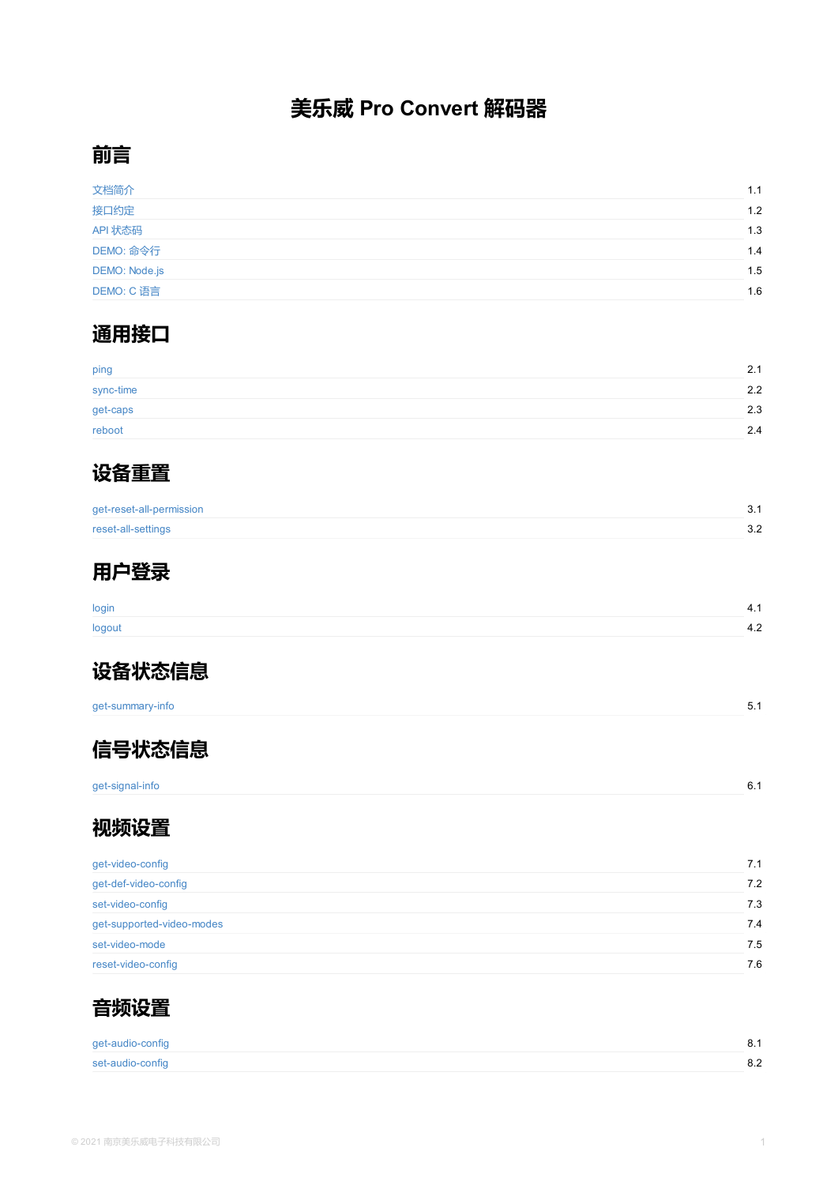get-caps

reboot



get-reset-all-permission

reset-all-settings



[login](#page-4-0)

[logout](#page-5-0)



get-summary-info



[get-signal-](#page-10-0)info

## **[视频](#page-12-0)设置**

| get-video-config          |  |
|---------------------------|--|
| get-def-video-config      |  |
| set-video-config          |  |
| get-supported-video-modes |  |
| set-video-mode            |  |
| reset-video-config        |  |



get-audio-config

set-audio-config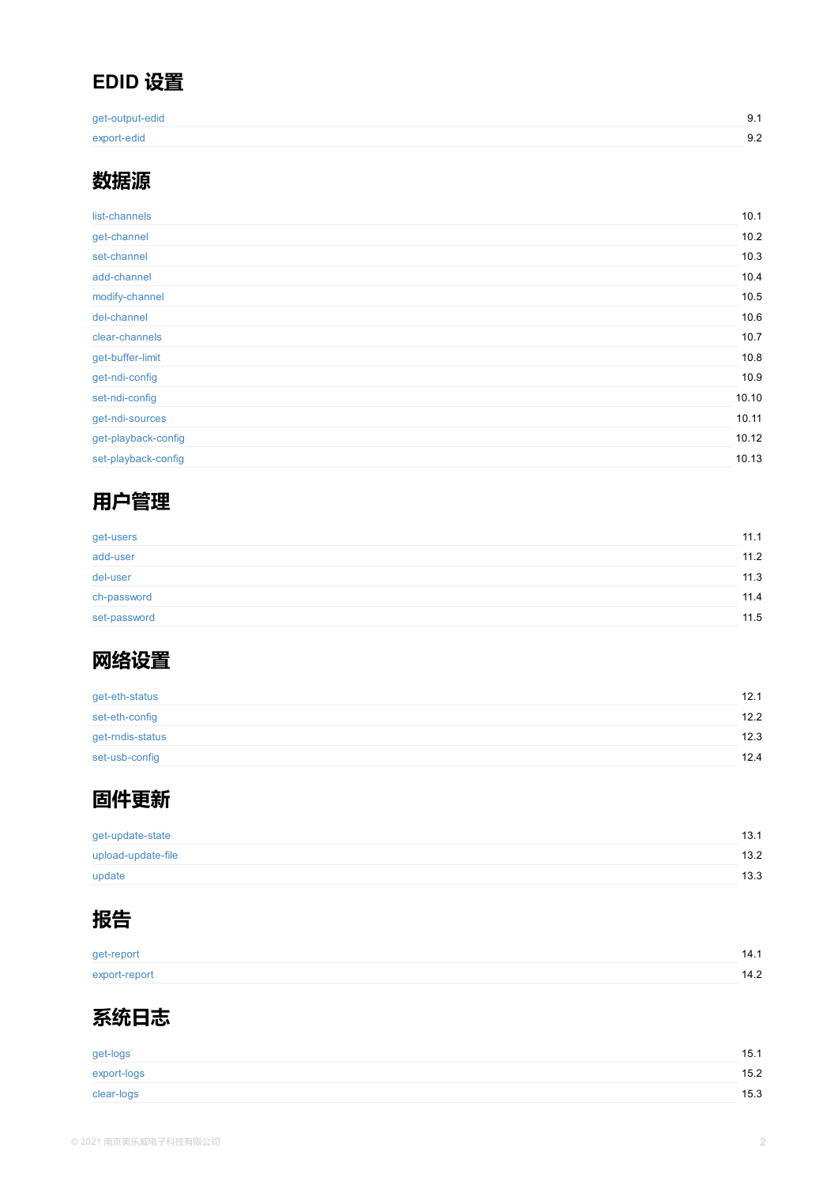| set-nai-conlig      |  |  |
|---------------------|--|--|
| get-ndi-sources     |  |  |
| get-playback-config |  |  |
| set-playback-config |  |  |
|                     |  |  |

## **[用户管理](#page-36-0)**

| get-users    |  |  |
|--------------|--|--|
| add-user     |  |  |
| del-user     |  |  |
| ch-password  |  |  |
| set-password |  |  |



| get-eth-status   |  |  |
|------------------|--|--|
| set-eth-config   |  |  |
| get-rndis-status |  |  |
| set-usb-config   |  |  |

# **[固件更新](#page-48-0)**

| get-update-state   |  |  |
|--------------------|--|--|
| upload-update-file |  |  |
| update             |  |  |



[get-report](#page-53-0) [export-rep](#page-54-0)ort



get-logs export-logs

[clear-logs](#page-57-0)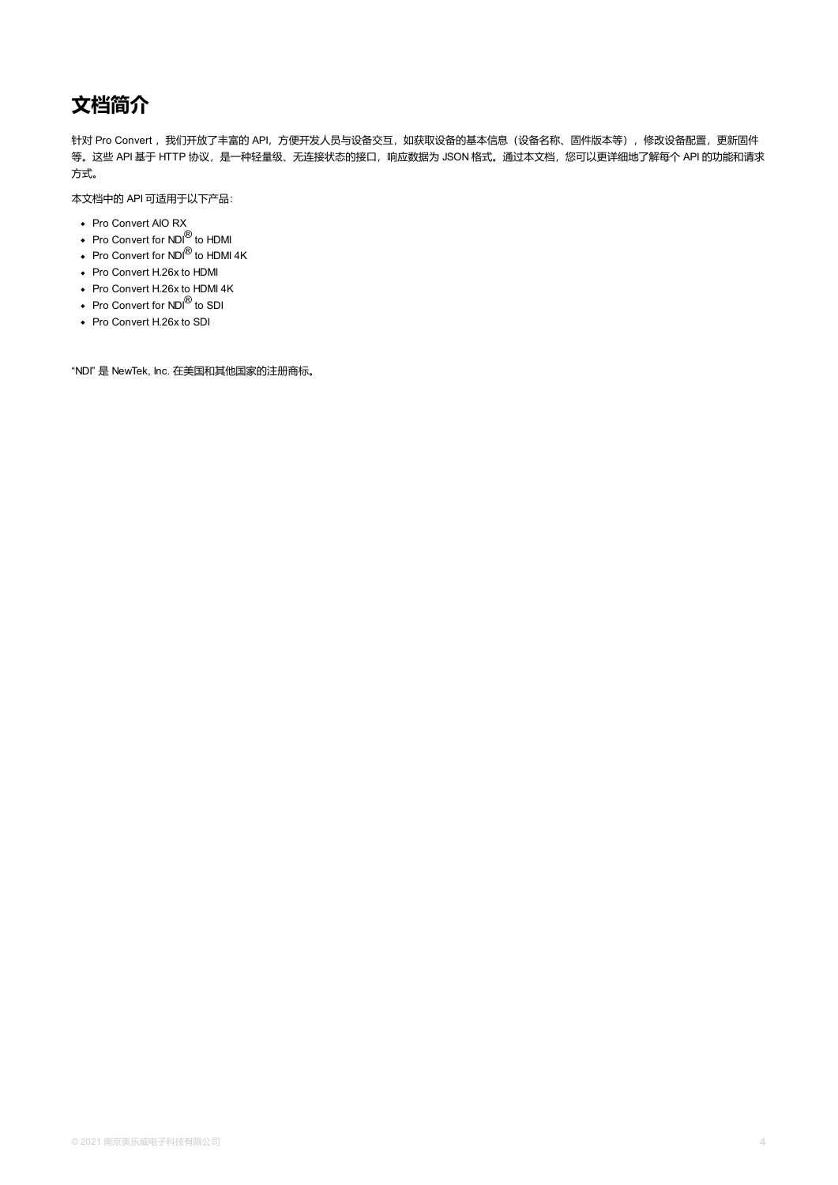# <span id="page-3-0"></span>**文档简介**

针对 Pro Convert, 我们开放了丰富的 API, 方便开发人员与设备交互, 如获取设备的基本信息(设备名称、固件版本等), 修改设备配置, 更新固件 等。这些 API 基于 HTTP 协议,是一种轻量级、无连接状态的接口,响应数据为 JSON 格式。通过本文档,您可以更详细地了解每个 API 的功能和请求 方式。

本文档中的 API 可适用于以下产品:

- Pro Convert AIO RX
- Pro Convert for NDI<sup>®</sup> to HDMI
- Pro Convert for NDI $^\text{\textregistered}$  to HDMI 4K
- Pro Convert H.26x to HDMI
- Pro Convert H.26x to HDMI 4K
- Pro Convert for NDI<sup>®</sup> to SDI
- Pro Convert H.26x to SDI

"NDI" 是 NewTek, Inc. 在美国和其他国家的注册商标。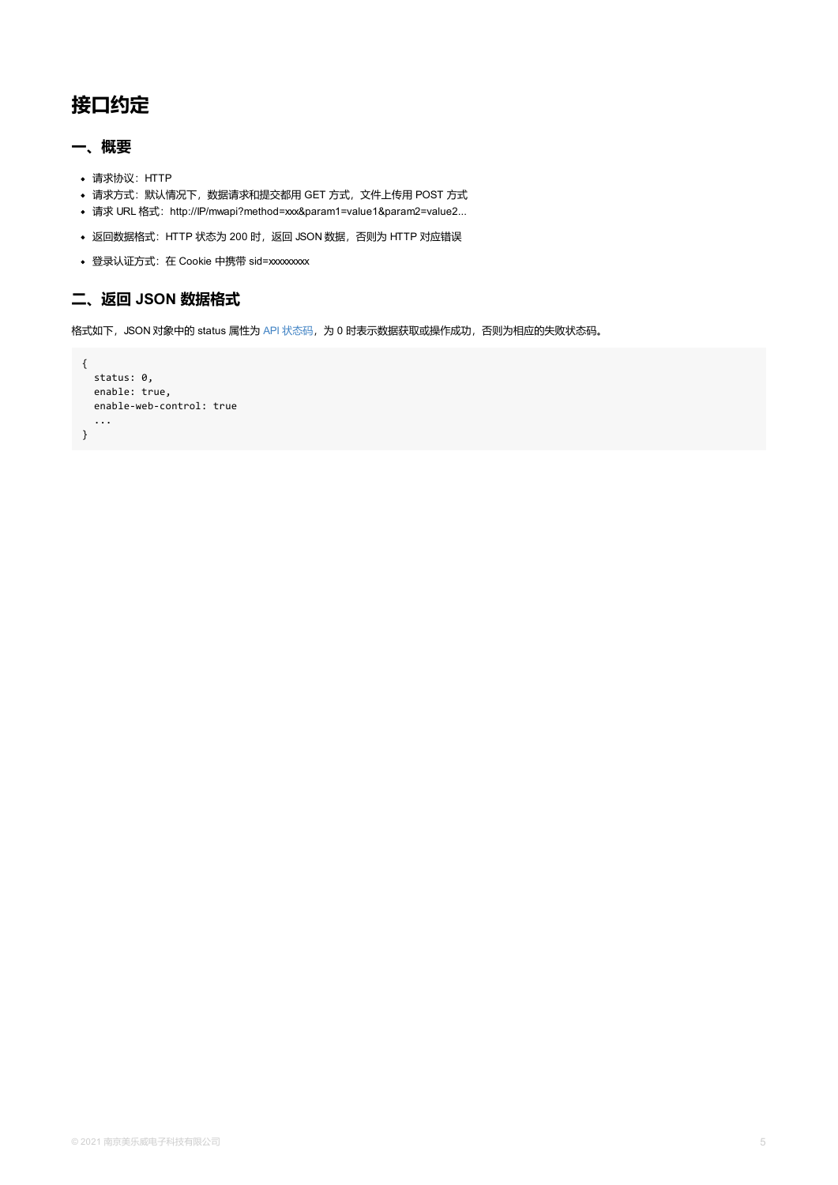```
enable: true,
 enable-web-control: true
 ...
}
```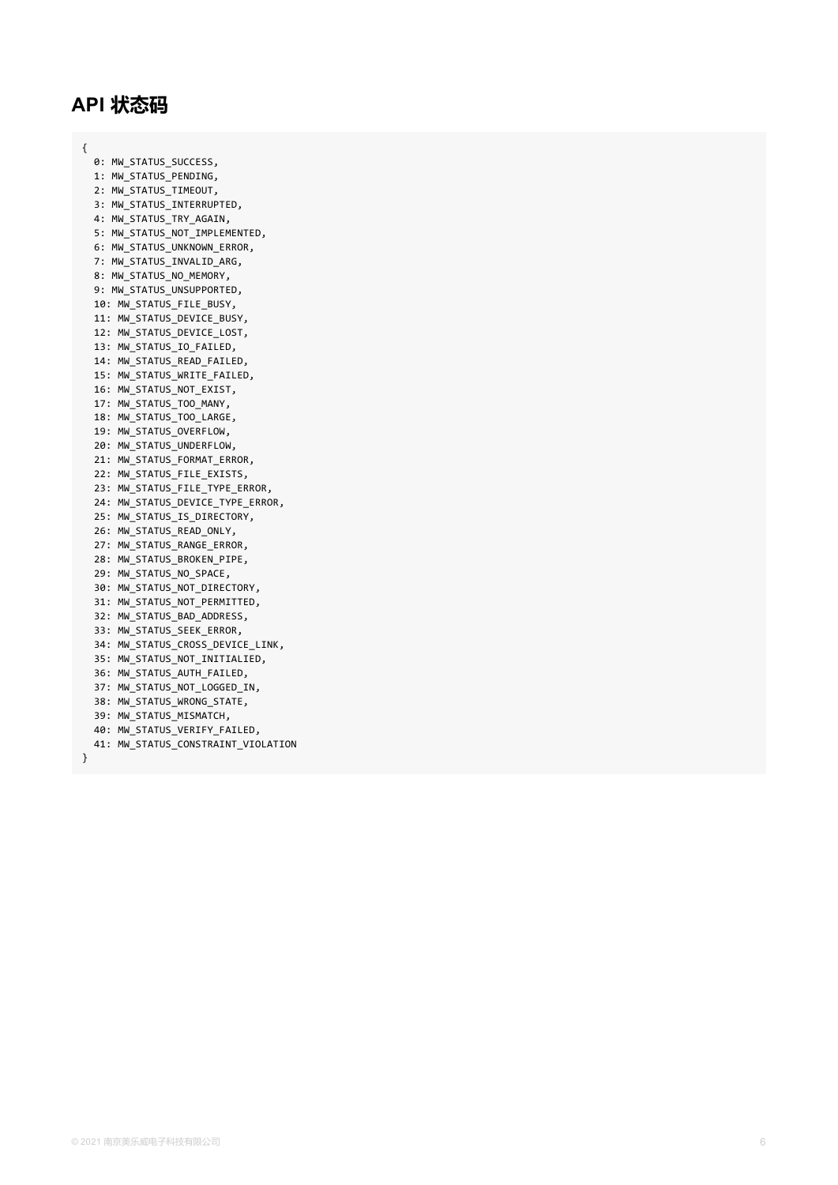## <span id="page-5-0"></span>**A P I 状 态 码**

{

}

0: MW\_STATUS\_SUCCESS**,** 1: MW\_STATUS\_PENDING, 2: MW\_STATUS\_TIMEOUT**,** 3: MW\_STATUS\_INTERRUPTED**,** 4: MW\_STATUS\_TRY\_AGAIN**,** 5: MW\_STATUS\_NOT\_IMPLEMENTED, 6: MW\_STATUS\_UNKNOWN\_ERROR**,** 7: MW\_STATUS\_INVALID\_ARG**,** 8: MW\_STATUS\_NO\_MEMORY**,** 9: MW\_STATUS\_UNSUPPORTED**,** 10: MW\_STATUS\_FILE\_BUSY, 11: MW\_STATUS\_DEVICE\_BUSY, 12: MW\_STATUS\_DEVICE\_LOST, 13: MW\_STATUS\_IO\_FAILED**,** 14: MW\_STATUS\_READ\_FAILED**,** 15: MW\_STATUS\_WRITE\_FAILED, 16: MW\_STATUS\_NOT\_EXIST, 17: MW\_STATUS\_TOO\_MANY**,** 18: MW\_STATUS\_TOO\_LARGE, 19: MW\_STATUS\_OVERFLOW**,** 20: MW\_STATUS\_UNDERFLOW, 21: MW\_STATUS\_FORMAT\_ERROR**,** 22: MW\_STATUS\_FILE\_EXISTS**,** 23: MW\_STATUS\_FILE\_TYPE\_ERROR**,** 24: MW\_STATUS\_DEVICE\_TYPE\_ERROR, 25: MW\_STATUS\_IS\_DIRECTORY, 26: MW\_STATUS\_READ\_ONLY**,** 27: MW\_STATUS\_RANGE\_ERROR**,** 28: MW\_STATUS\_BROKEN\_PIPE, 29: MW\_STATUS\_NO\_SPACE**,** 30: MW\_STATUS\_NOT\_DIRECTORY, 31: MW\_STATUS\_NOT\_PERMITTED, 32: MW\_STATUS\_BAD\_ADDRESS, 33: MW\_STATUS\_SEEK\_ERROR**,** 34: MW\_STATUS\_CROSS\_DEVICE\_LINK, 35: MW\_STATUS\_NOT\_INITIALIED, 36: MW\_STATUS\_AUTH\_FAILED, 37: MW\_STATUS\_NOT\_LOGGED\_IN**,** 38: MW\_STATUS\_WRONG\_STATE, 39: MW\_STATUS\_MISMATCH, 40: MW\_STATUS\_VERIFY\_FAILED, 41: MW\_STATUS\_CONSTRAINT\_VIOLATION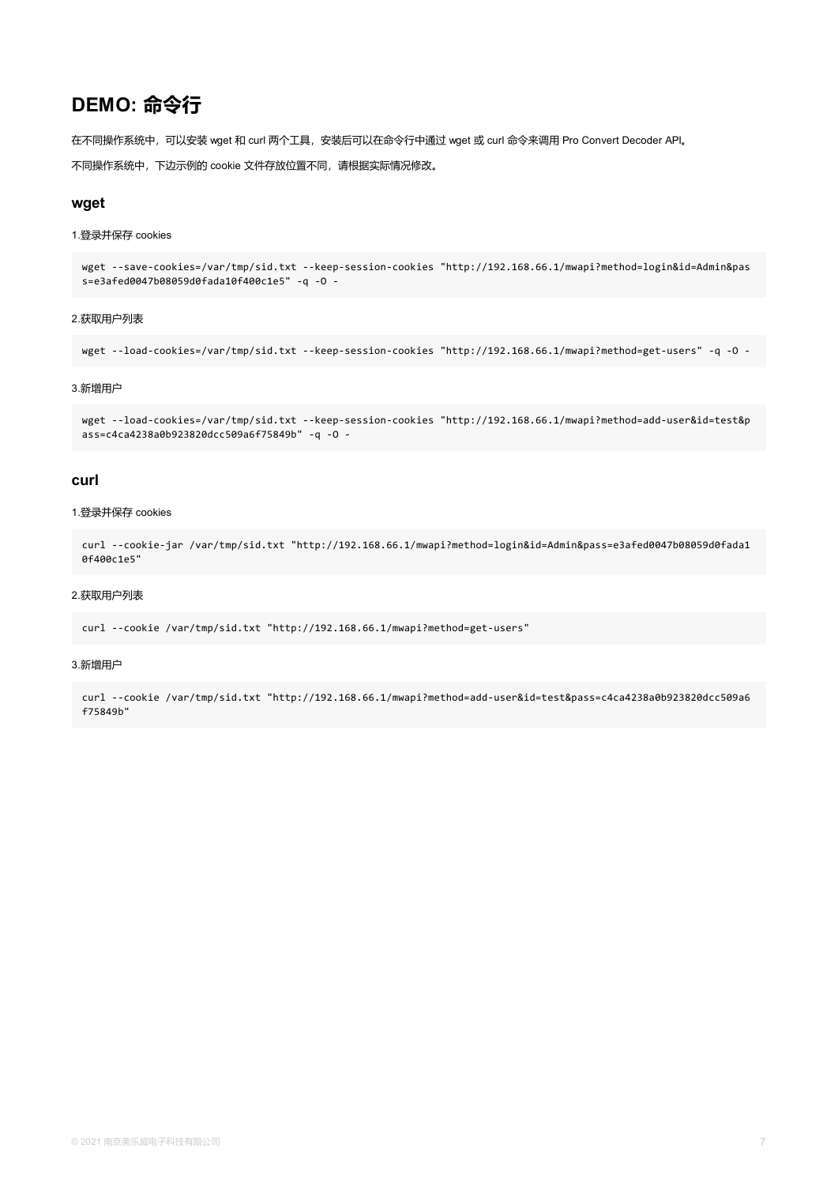## **DEMO: 命令行**

在不同操作系统中,可以安装 wget 和 curl 两个工具,安装后可以在命令行中通过 wget 或 curl 命令来调用 Pro Convert Decoder API。

不同操作系统中,下边示例的 cookie 文件存放位置不同,请根据实际情况修改。

#### **wget**

#### 1.登录并保存 cookies

wget --save-cookies=/var/tmp/sid.txt --keep-session-cookies "http://192.168.66.1/mwapi?method=login&id=Admin&pas s=e3afed0047b08059d0fada10f400c1e5" -q -O -

#### 2.获取用户列表

wget --load-cookies=/var/tmp/sid.txt --keep-session-cookies "http://192.168.66.1/mwapi?method=get-users" -q -O -

#### 3.新增用户

wget --load-cookies=/var/tmp/sid.txt --keep-session-cookies "http://192.168.66.1/mwapi?method=add-user&id=test&p ass=c4ca4238a0b923820dcc509a6f75849b" -q -O -

#### **curl**

#### 1.登录并保存 cookies

```
curl --cookie-jar /var/tmp/sid.txt "http://192.168.66.1/mwapi?method=login&id=Admin&pass=e3afed0047b08059d0fada1
0f400c1e5"
```
#### 2.获取用户列表

curl --cookie /var/tmp/sid.txt "http://192.168.66.1/mwapi?method=get-users"

#### 3.新增用户

curl --cookie /var/tmp/sid.txt "http://192.168.66.1/mwapi?method=add-user&id=test&pass=c4ca4238a0b923820dcc509a6 f75849b"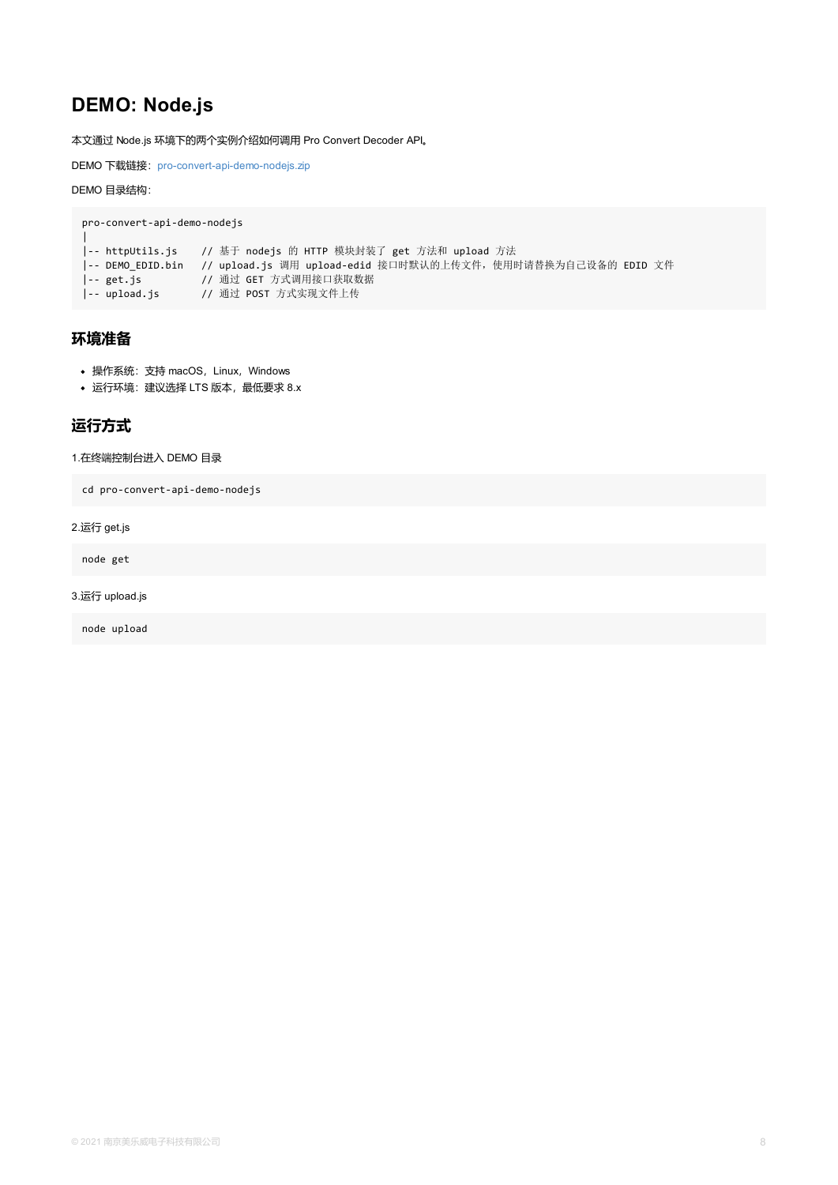### <span id="page-7-0"></span>**运行方式**

#### 1.在终端控制台进入 DEMO 目录

cd pro-convert-api-demo-nodejs

2.运行 get.js

node get

3.运行 upload.js

node upload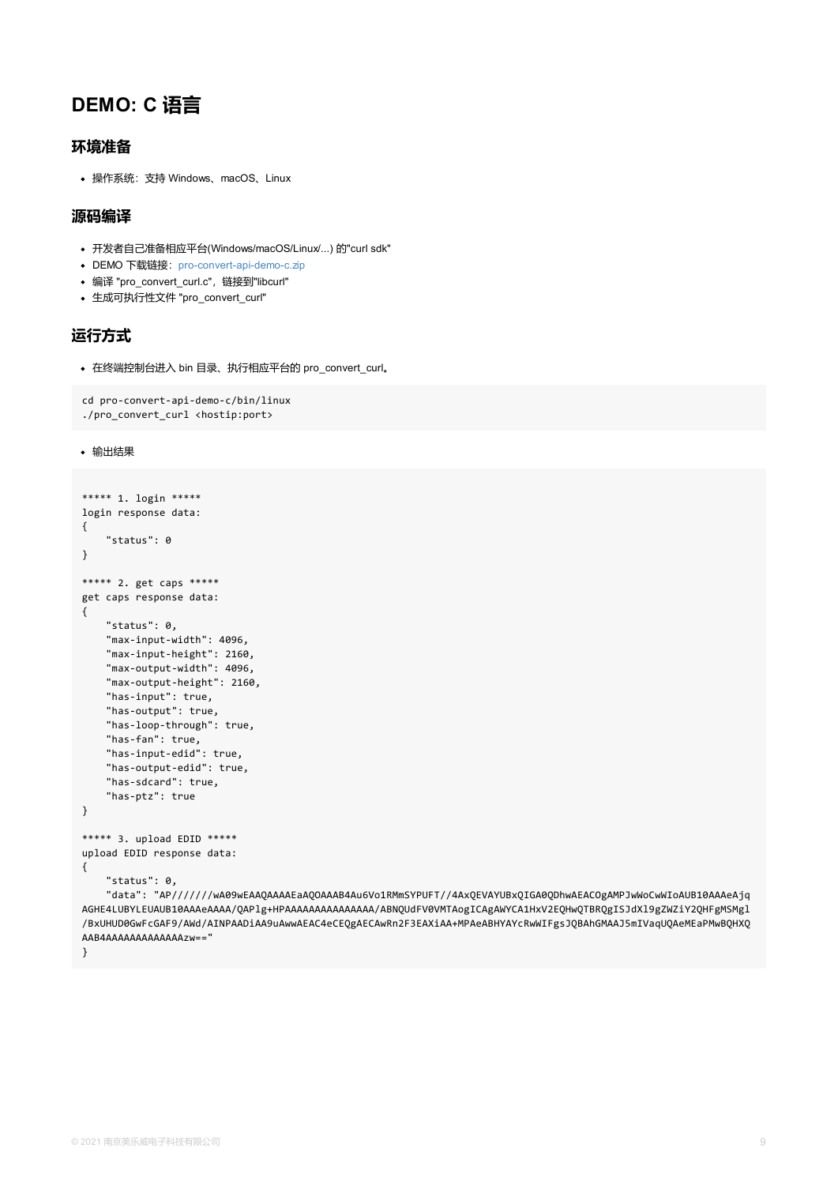```
cd pro-convert-api-demo-c/bin/linux
./pro_convert_curl <hostip:port>
```
输出结果

```
***** 1. login *****
login response data:
{
    "status": 0
}
***** 2. get caps *****
get caps response data:
{
    "status": 0,
    "max-input-width": 4096,
    "max-input-height": 2160,
    "max-output-width": 4096,
    "max-output-height": 2160,
    "has-input": true,
    "has-output": true,
    "has-loop-through": true,
    "has-fan": true,
    "has-input-edid": true,
    "has-output-edid": true,
    "has-sdcard": true,
    "has-ptz": true
}
***** 3. upload EDID *****
upload EDID response data:
{
    "status": 0,
    "data": "AP///////wA09wEAAQAAAAEaAQOAAAB4Au6Vo1RMmSYPUFT//4AxQEVAYUBxQIGA0QDhwAEACOg
AGHE4LUBYLEUAUB10AAAeAAAA/QAPlg+HPAAAAAAAAAAAAAAAA/ABNQUdFV0VMTAogICAgAWYCA1HxV2EQHwQTBRQ
/BxUHUD0GwFcGAF9/AWd/AINPAADiAA9uAwwAEAC4eCEQgAECAwRn2F3EAXiAA+MPAeABHYAYcRwWIFgsJQBAhGM
AAB4AAAAAAAAAAAAAzw=="
}
```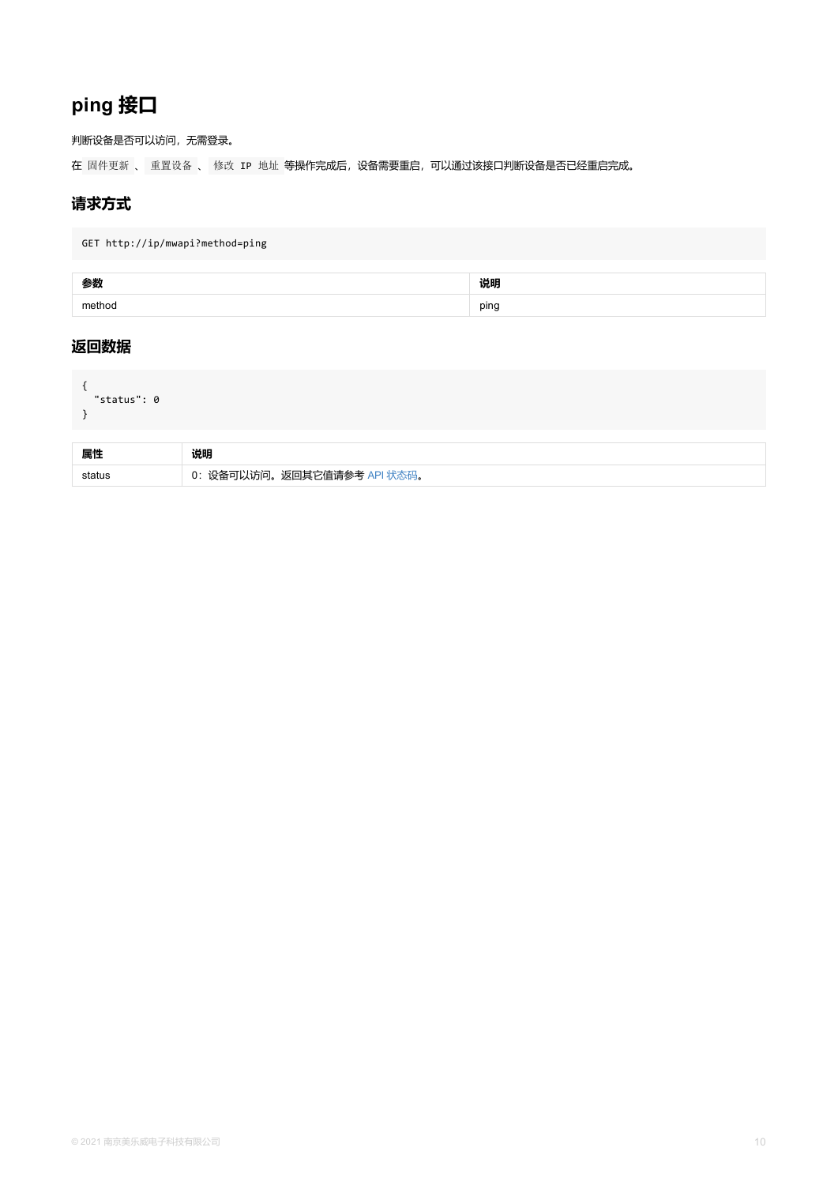```
"status": 0
}
```

| 属性 | 说明                             |
|----|--------------------------------|
|    | 设备可以访问。返回其它值请参考 API 状态码。<br>0: |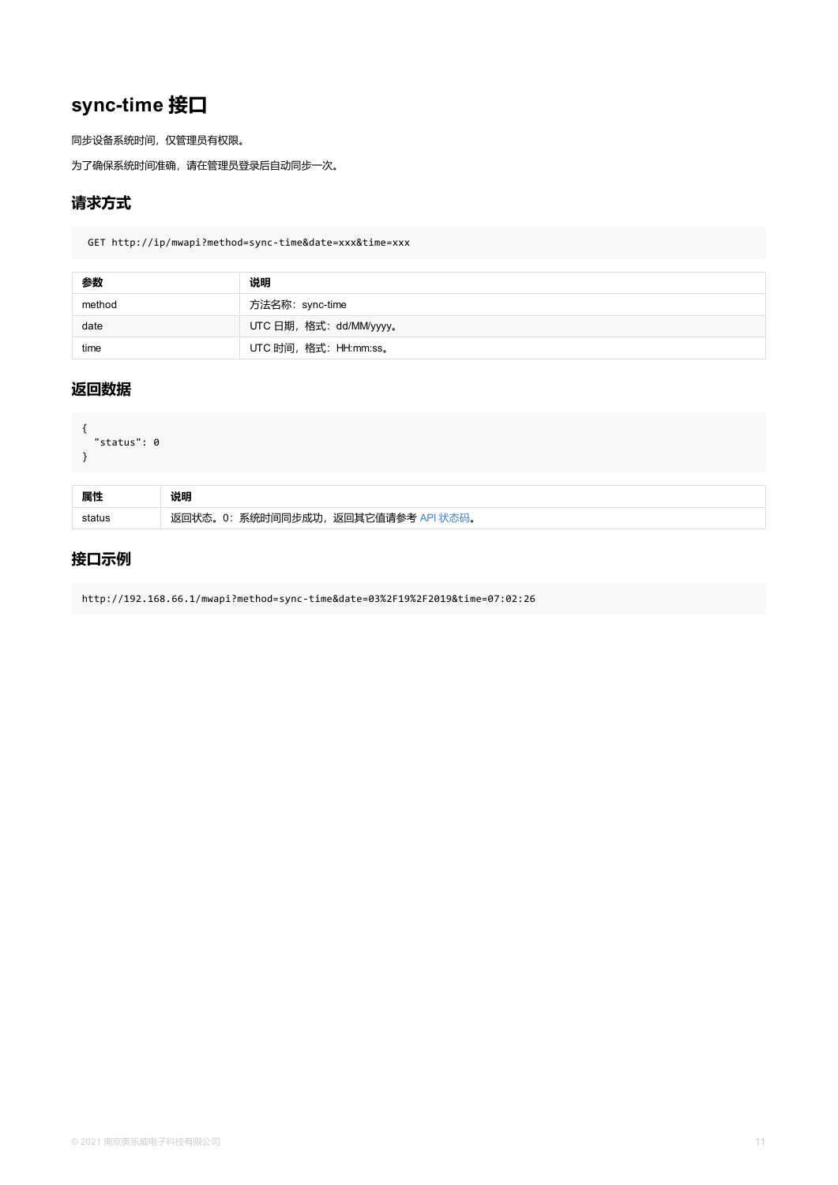```
{
  "status": 0
}
```

| 属性 | 说明                                      |
|----|-----------------------------------------|
|    | 返回状态。0: 系统时间同步成功,<br>,返回其它值请参考 API 状态码。 |

## **接口示例**

http://192.168.66.1/mwapi?method=sync-time&date=03%2F19%2F2019&time=07:02:26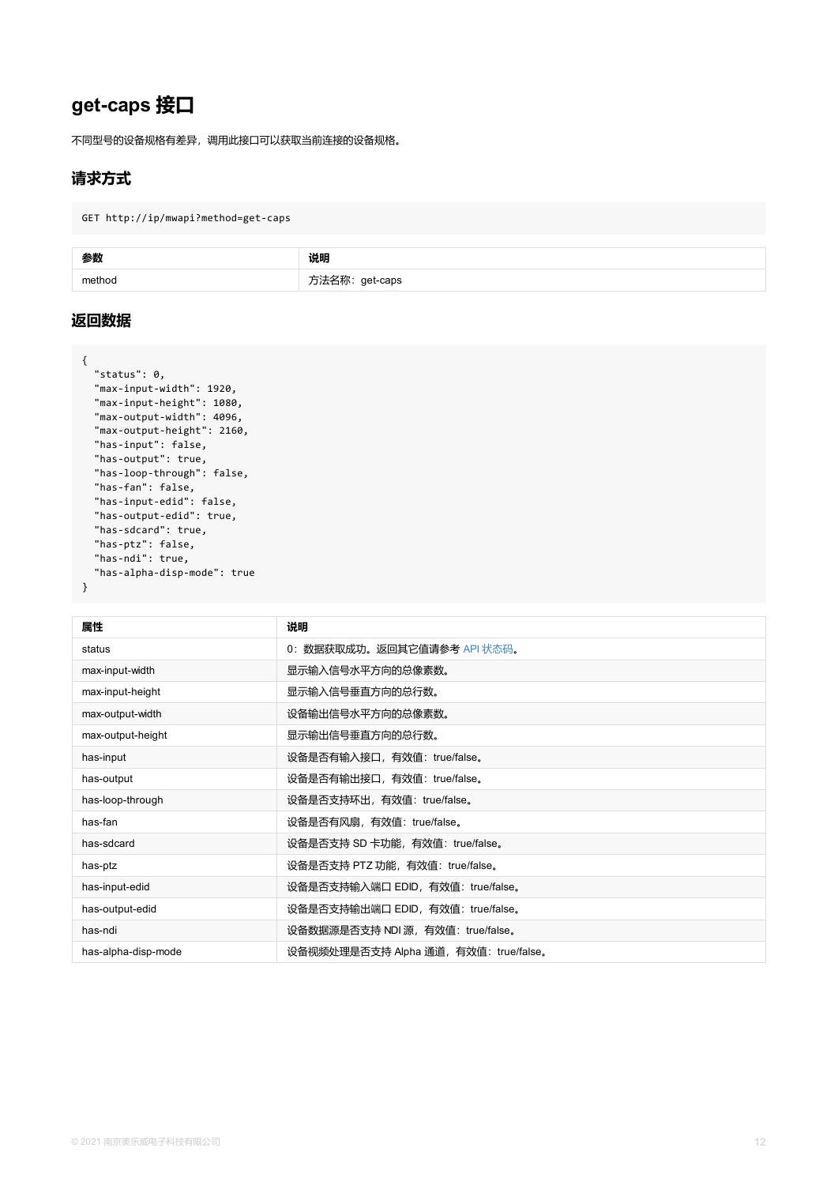```
"max-input-height": 1080,
  "max-output-width": 4096,
  "max-output-height": 2160,
  "has-input": false,
  "has-output": true,
  "has-loop-through": false,
  "has-fan": false,
  "has-input-edid": false,
  "has-output-edid": true,
 "has-sdcard": true,
  "has-ptz": false,
  "has-ndi": true,
  "has-alpha-disp-mode": true
}
```

| 属性                  | 说明                                   |
|---------------------|--------------------------------------|
| status              | 0: 数据获取成功。返回其它值请参考 API 状态码。          |
| max-input-width     | 显示输入信号水平方向的总像素数。                     |
| max-input-height    | 显示输入信号垂直方向的总行数。                      |
| max-output-width    | 设备输出信号水平方向的总像素数。                     |
| max-output-height   | 显示输出信号垂直方向的总行数。                      |
| has-input           | 设备是否有输入接口,有效值: true/false。           |
| has-output          | 设备是否有输出接口, 有效值: true/false。          |
| has-loop-through    | 设备是否支持环出, 有效值: true/false。           |
| has-fan             | 设备是否有风扇,有效值: true/false。             |
| has-sdcard          | 设备是否支持 SD 卡功能, 有效值: true/false。      |
| has-ptz             | 设备是否支持 PTZ 功能, 有效值: true/false。      |
| has-input-edid      | 设备是否支持输入端口 EDID, 有效值: true/false。    |
| has-output-edid     | 设备是否支持输出端口 EDID, 有效值: true/false。    |
| has-ndi             | 设备数据源是否支持 NDI 源,有效值: true/false。     |
| has-alpha-disp-mode | 设备视频处理是否支持 Alpha 通道,有效值: true/false。 |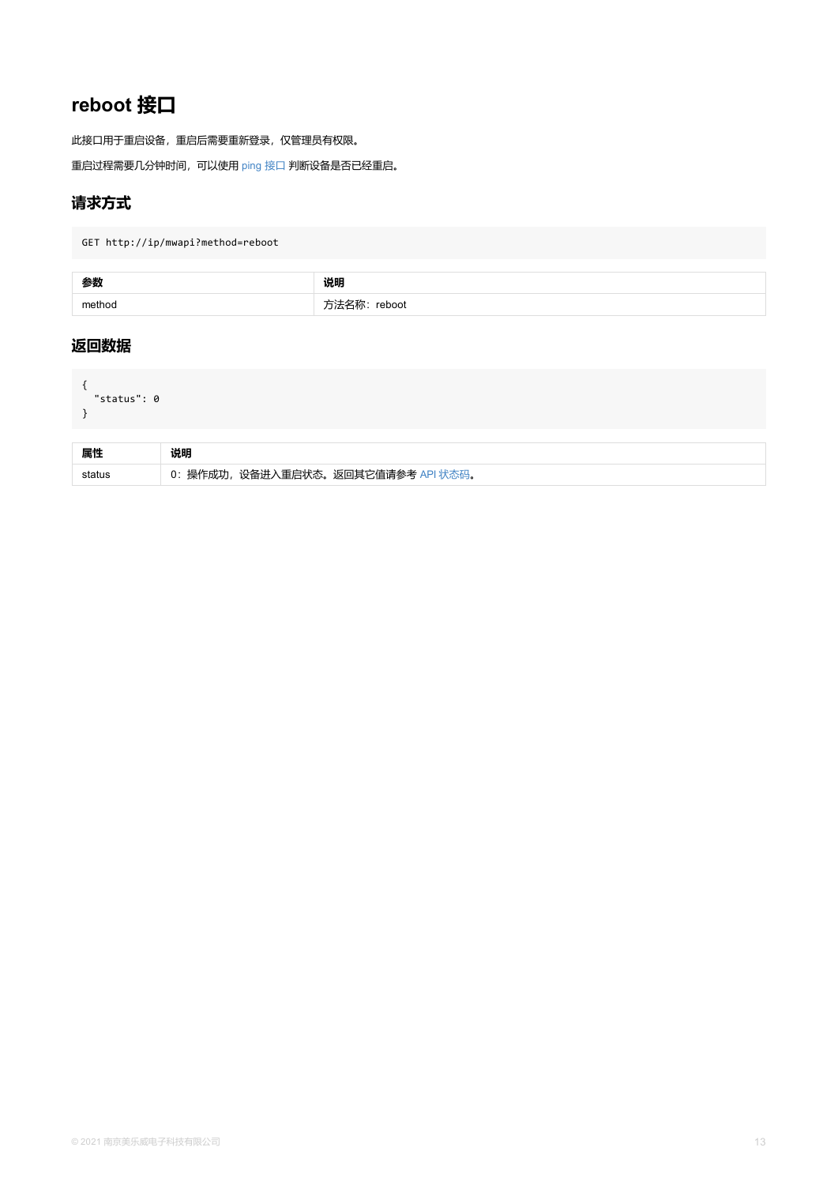```
"status": 0
}
```

| 属性 | 说明                                  |
|----|-------------------------------------|
|    | 0: 操作成功, 设备进入重启状态。返回其它值请参考 API 状态码。 |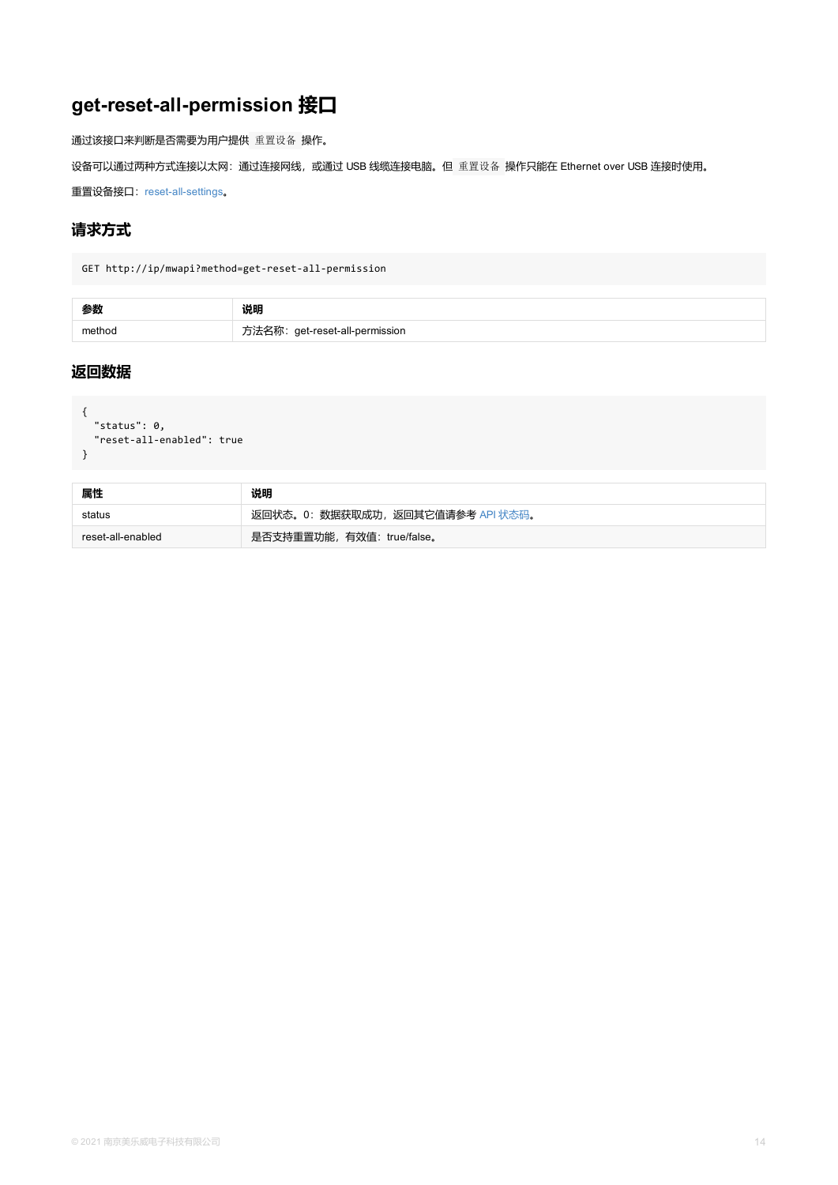```
{
"status": 0,
"reset-all-enabled": true
}
```

| 属性                | 说明                                |
|-------------------|-----------------------------------|
| status            | 返回状态。0: 数据获取成功, 返回其它值请参考 API 状态码。 |
| reset-all-enabled | 是否支持重置功能,有效值: true/false。         |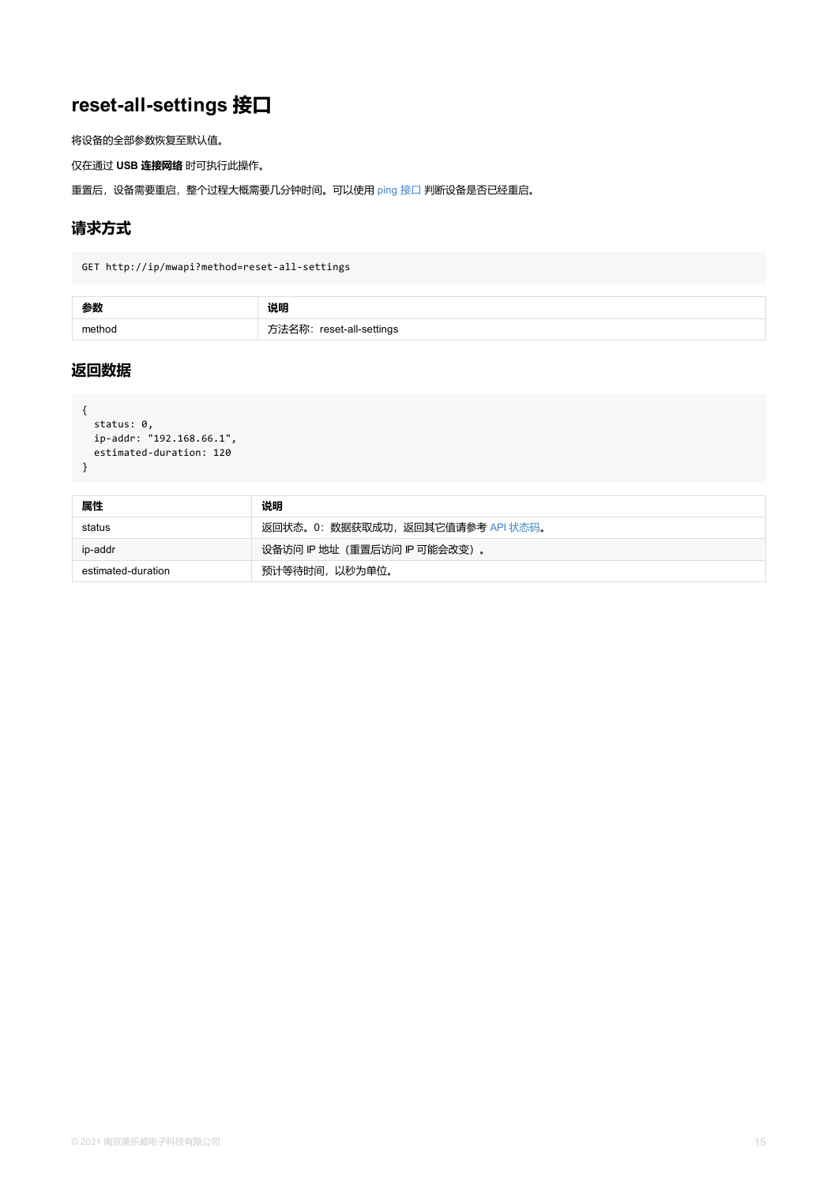```
{
status: 0,
 ip-addr: "192.168.66.1",
 estimated-duration: 120
}
```

| 属性                 | 说明                              |
|--------------------|---------------------------------|
| status             | 返回状态。0:数据获取成功,返回其它值请参考 API 状态码。 |
| ip-addr            | 设备访问 IP 地址 (重置后访问 IP 可能会改变) 。   |
| estimated-duration | 预计等待时间, 以秒为单位。                  |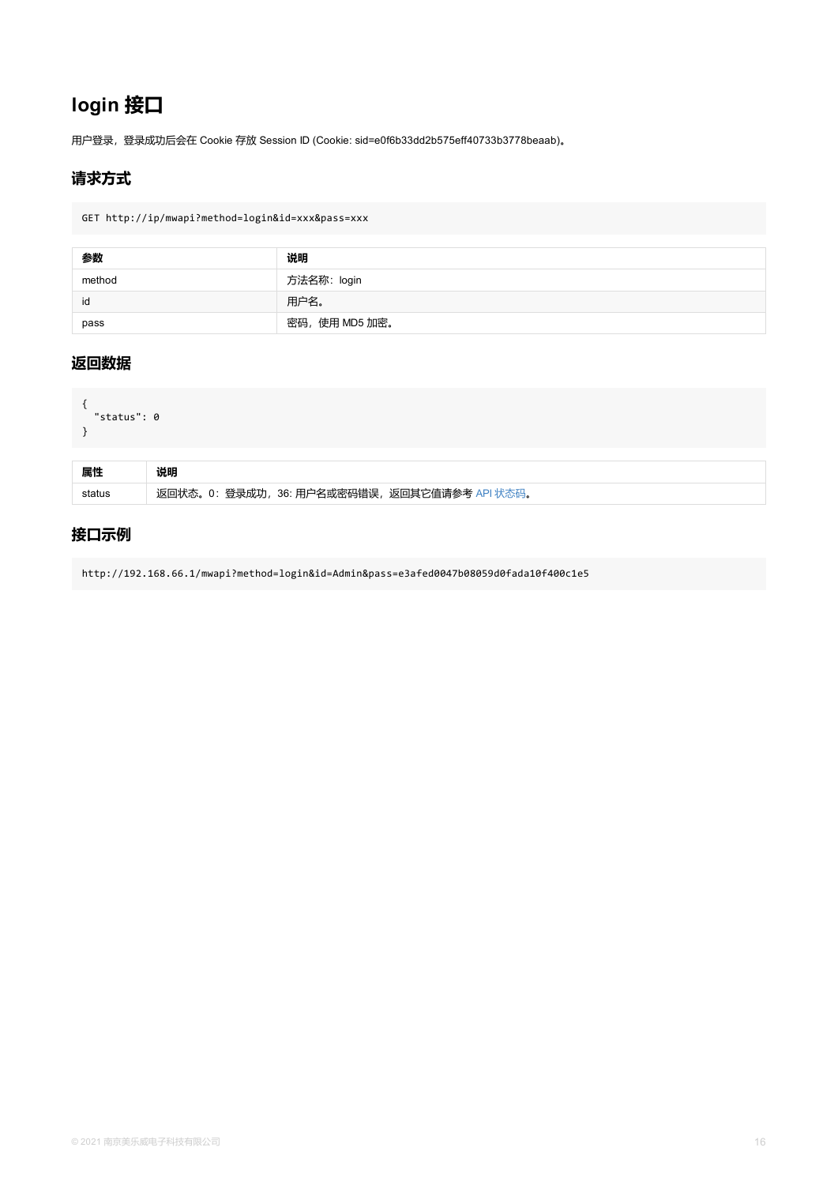```
{
  "status": 0
}
```

| 属性 | 说明                                            |
|----|-----------------------------------------------|
|    | 返回状态。0: 登录成功, 36: 用户名或密码错误, 返回其它值请参考 API 状态码。 |

### **接口示例**

http://192.168.66.1/mwapi?method=login&id=Admin&pass=e3afed0047b08059d0fada10f400c1e5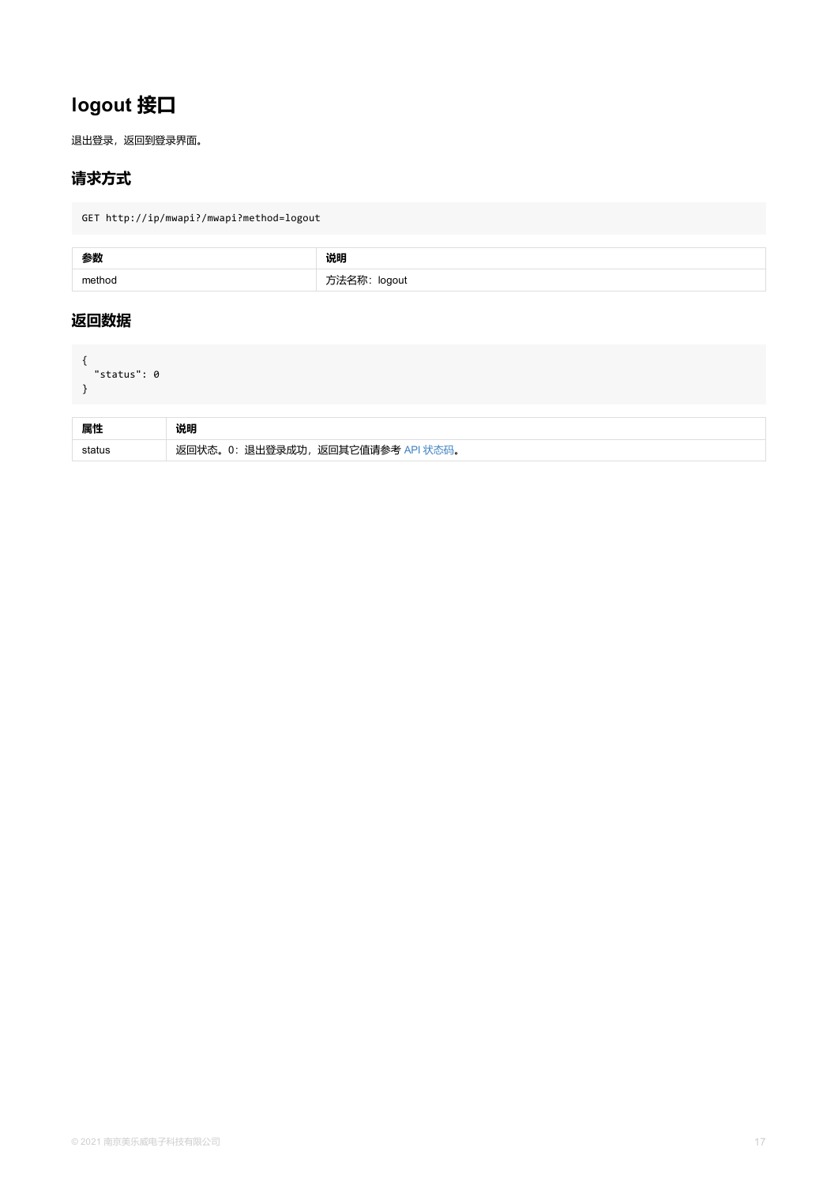<span id="page-16-0"></span>

| 属性 |                                   |
|----|-----------------------------------|
|    | 返回状态。0: 退出登录成功, 返回其它值请参考 API 状态码。 |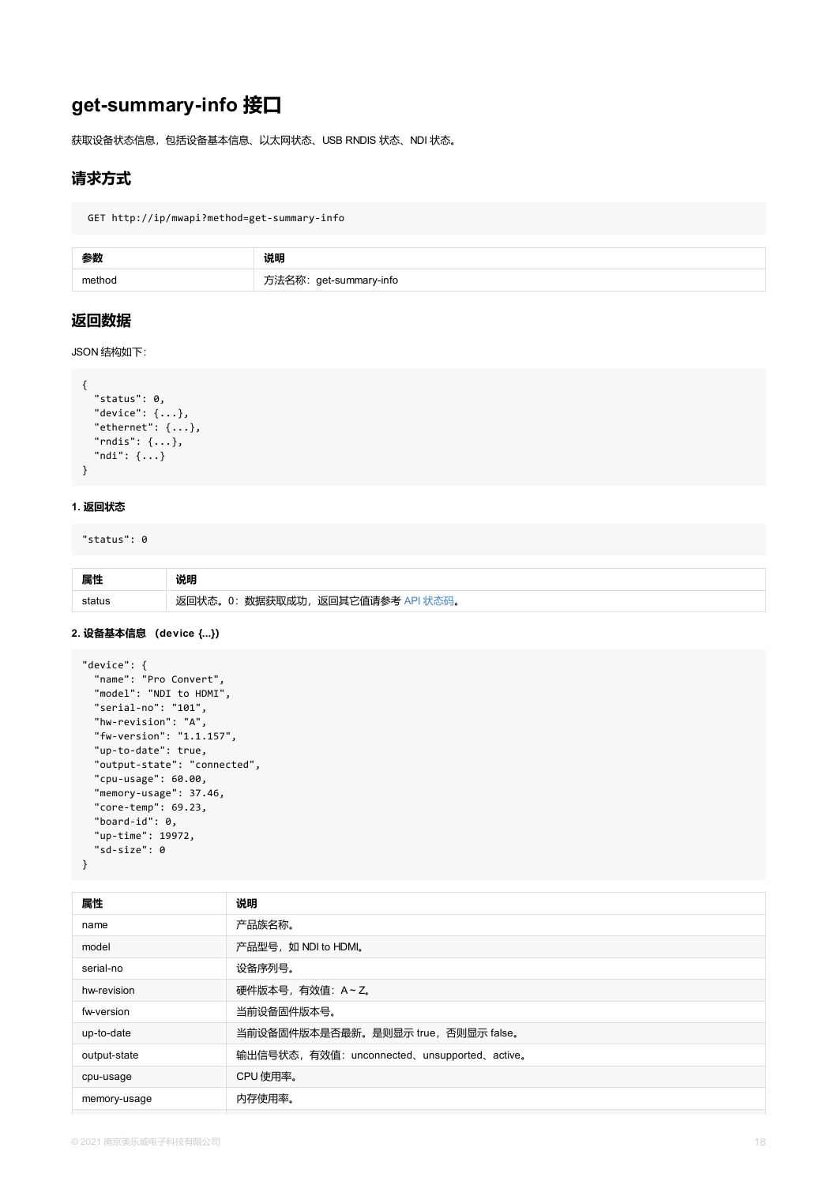```
"status": 0,
  "device": {...},
  "ethernet": {...},
  "rndis": {...},
  "ndi": {...}
}
```
#### **1. 返回状态**

"status": 0

| 属性 |                                   |
|----|-----------------------------------|
|    | 返回状态。0: 数据获取成功, 返回其它值请参考 API 状态码。 |

#### **2. 设备基本信息 (device {...})**

```
"device": {
  "name": "Pro Convert",
  "model": "NDI to HDMI",
  "serial-no": "101",
  "hw-revision": "A",
  "fw-version": "1.1.157",
  "up-to-date": true,
  "output-state": "connected",
  "cpu-usage": 60.00,
  "memory-usage": 37.46,
  "core-temp": 69.23,
  "board-id": 0,
  "up-time": 19972,
  "sd-size": 0
}
```

| 属性           | 说明                                          |
|--------------|---------------------------------------------|
| name         | 产品族名称。                                      |
| model        | 产品型号, 如 NDI to HDMI。                        |
| serial-no    | 设备序列号。                                      |
| hw-revision  | 硬件版本号,有效值: A~Z。                             |
| fw-version   | 当前设备固件版本号。                                  |
| up-to-date   | 当前设备固件版本是否最新。是则显示 true, 否则显示 false。         |
| output-state | 输出信号状态,有效值: unconnected、unsupported、active。 |
| cpu-usage    | CPU 使用率。                                    |
| memory-usage | 内存使用率。                                      |
|              |                                             |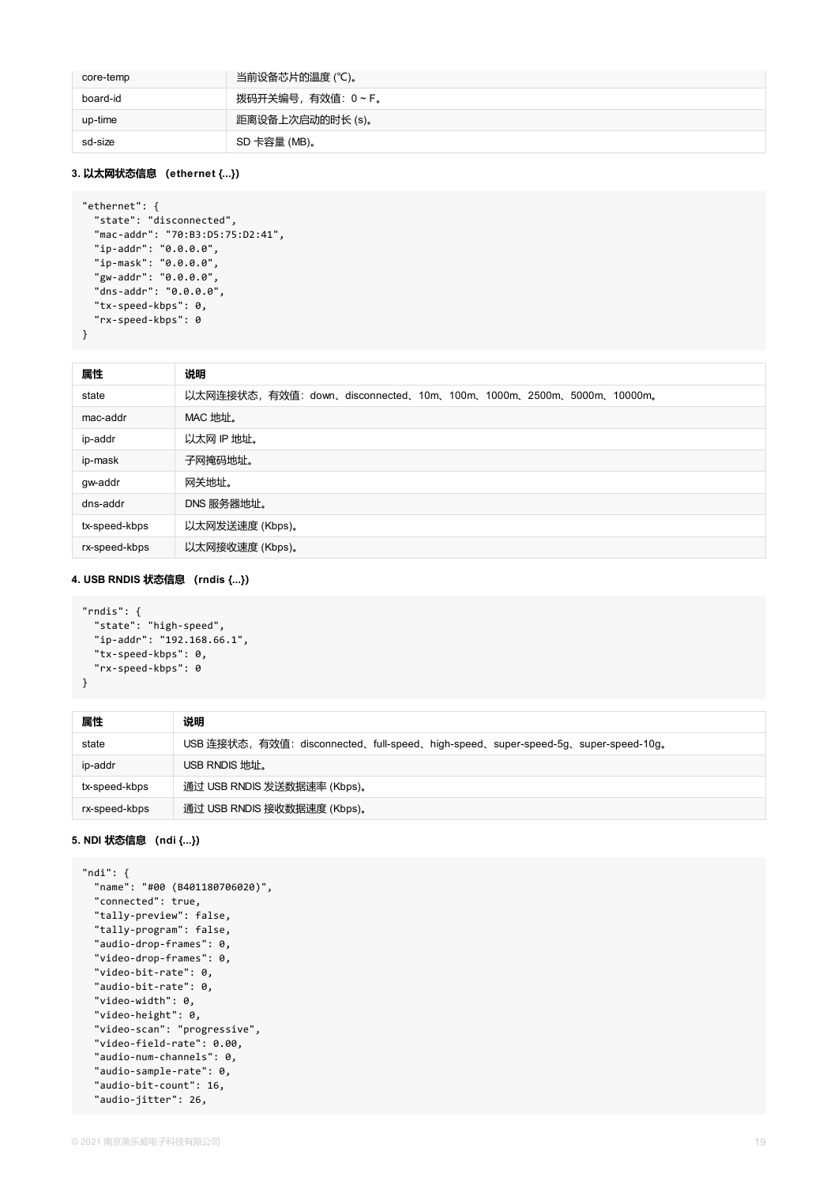| core-temp | 当前设备芯片的温度 (℃)。     |
|-----------|--------------------|
| board-id  | 拨码开关编号,有效值: 0 ~ F。 |
| up-time   | 距离设备上次启动的时长 (s)。   |
| sd-size   | SD 卡容量 (MB)。       |

#### **3. 以太网状态信息 (ethernet {...})**

```
"ethernet": {
  "state": "disconnected",
  "mac-addr": "70:B3:D5:75:D2:41",
  "ip-addr": "0.0.0.0",
  "ip-mask": "0.0.0.0",
  "gw-addr": "0.0.0.0",
  "dns-addr": "0.0.0.0",
  "tx-speed-kbps": 0,
  "rx-speed-kbps": 0
}
```

| 属性            | 说明                                                                 |
|---------------|--------------------------------------------------------------------|
| state         | 以太网连接状态, 有效值: down、disconnected、10m、100m、1000m、2500m、5000m、10000m。 |
| mac-addr      | MAC 地址。                                                            |
| ip-addr       | 以太网 IP 地址。                                                         |
| ip-mask       | 子网掩码地址。                                                            |
| gw-addr       | 网关地址。                                                              |
| dns-addr      | DNS 服务器地址。                                                         |
| tx-speed-kbps | 以太网发送速度 (Kbps)。                                                    |
| rx-speed-kbps | 以太网接收速度 (Kbps)。                                                    |

#### **4. USB RNDIS 状态信息 (rndis {...})**

```
"rndis": {
 "state": "high-speed",
  "ip-addr": "192.168.66.1",
 "tx-speed-kbps": 0,
  "rx-speed-kbps": 0
}
```

| 属性            | 说明                                                                               |
|---------------|----------------------------------------------------------------------------------|
| state         | USB 连接状态,有效值: disconnected、full-speed、high-speed、super-speed-5g、super-speed-10g。 |
| ip-addr       | USB RNDIS 地址。                                                                    |
| tx-speed-kbps | 通过 USB RNDIS 发送数据速率 (Kbps)。                                                      |
| rx-speed-kbps | 通过 USB RNDIS 接收数据速度 (Kbps)。                                                      |

#### **5. NDI 状态信息 (ndi {...})**

```
"ndi": {
 "name": "#00 (B401180706020)",
```

```
"connected": true,
"tally-preview": false,
"tally-program": false,
"audio-drop-frames": 0,
"video-drop-frames": 0,
"video-bit-rate": 0,
"audio-bit-rate": 0,
"video-width": 0,
"video-height": 0,
"video-scan": "progressive",
"video-field-rate": 0.00,
"audio-num-channels": 0,
"audio-sample-rate": 0,
"audio-bit-count": 16,
"audio-jitter": 26,
```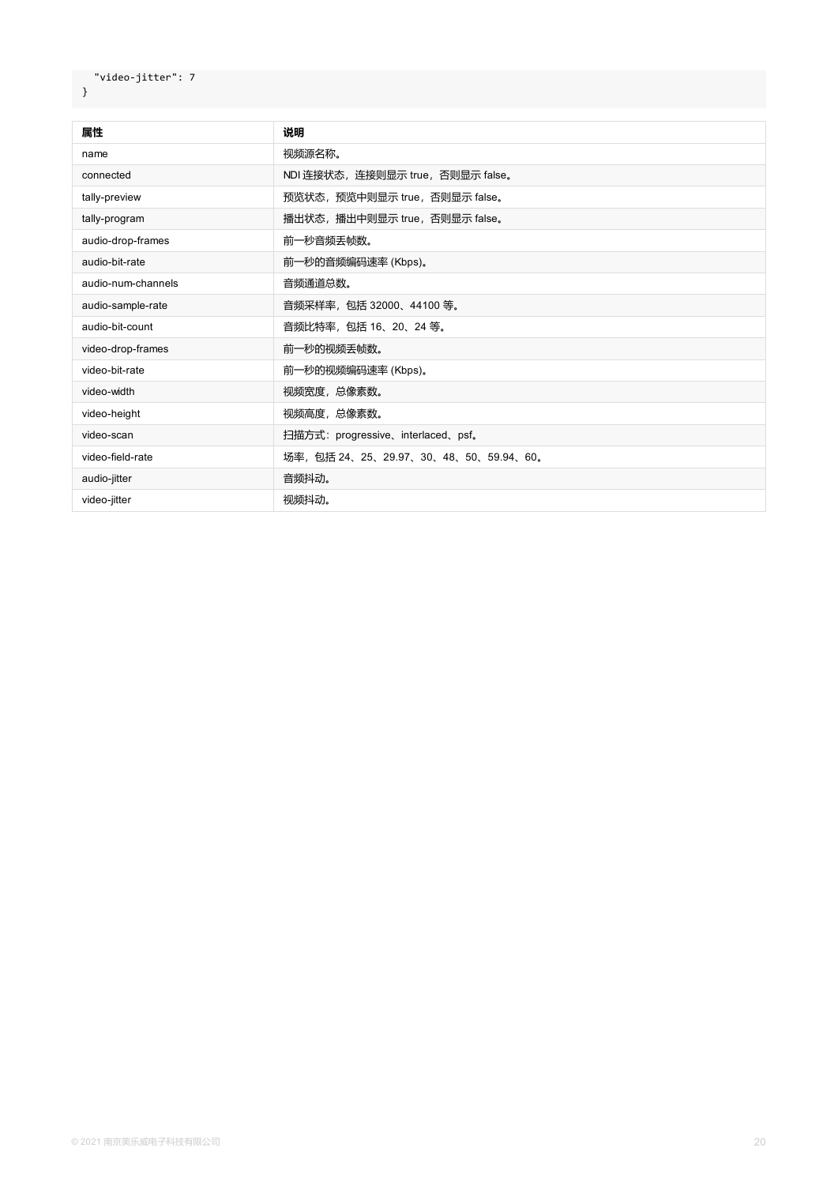| 属性                 | 说明                                   |
|--------------------|--------------------------------------|
| name               | 视频源名称。                               |
| connected          | NDI 连接状态, 连接则显示 true, 否则显示 false。    |
| tally-preview      | 预览状态, 预览中则显示 true, 否则显示 false。       |
| tally-program      | 播出状态, 播出中则显示 true, 否则显示 false。       |
| audio-drop-frames  | 前一秒音频丢帧数。                            |
| audio-bit-rate     | 前一秒的音频编码速率 (Kbps)。                   |
| audio-num-channels | 音频通道总数。                              |
| audio-sample-rate  | 音频采样率, 包括 32000、44100 等。             |
| audio-bit-count    | 音频比特率, 包括 16、20、24 等。                |
| video-drop-frames  | 前一秒的视频丢帧数。                           |
| video-bit-rate     | 前一秒的视频编码速率 (Kbps)。                   |
| video-width        | 视频宽度, 总像素数。                          |
| video-height       | 视频高度, 总像素数。                          |
| video-scan         | 扫描方式: progressive、interlaced、psf。    |
| video-field-rate   | 场率,包括 24、25、29.97、30、48、50、59.94、60。 |
| audio-jitter       | 音频抖动。                                |
| video-jitter       | 视频抖动。                                |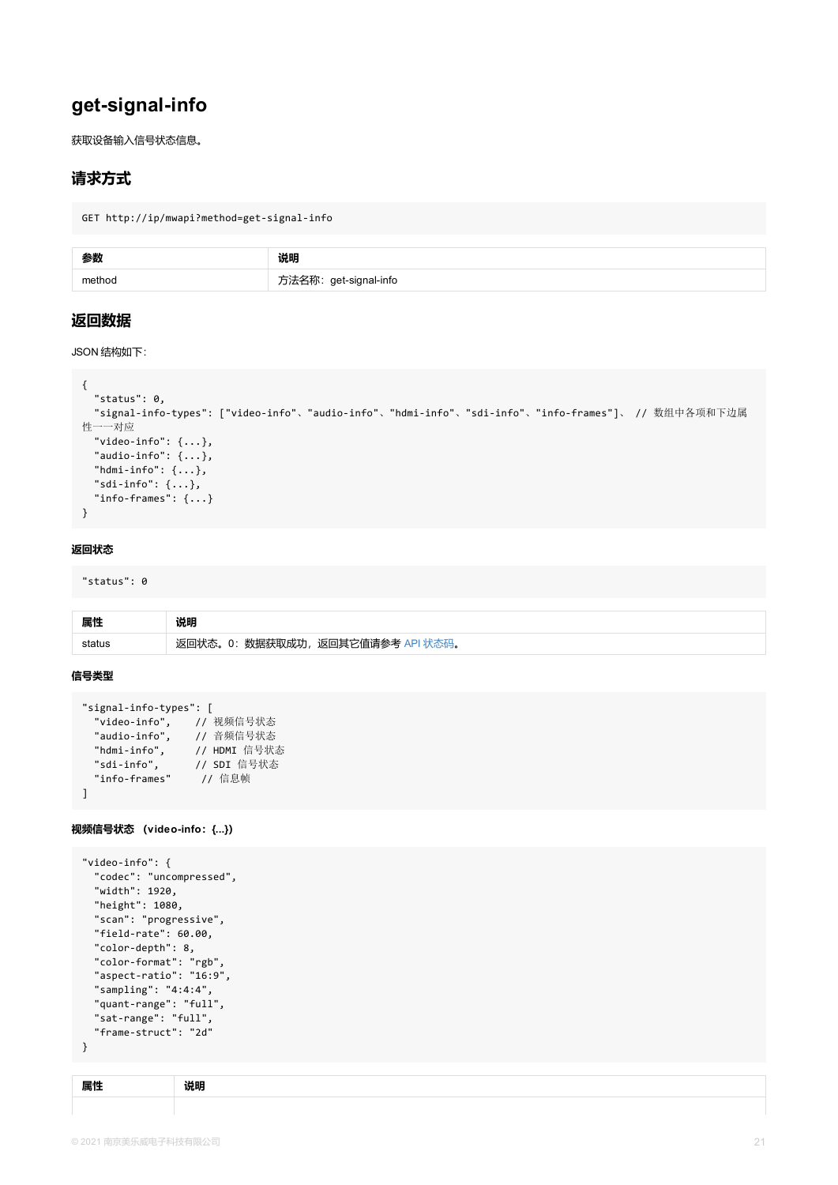```
"status": 0,
  "signal-info-types": ["video-info"、"audio-info"、"hdmi-info"、"sdi-info"、"info-frames
性一一对应
  "video-info": \{ \ldots \},
  "audio-info": \{ \ldots \},
  "hdmi-info": \{\ldots\},
  "sdi-info": {...},
  "info-frames": {...}
}
```
#### **返回状态**

"status": 0

| 属性     | 说明                                |
|--------|-----------------------------------|
| status | 返回状态。0: 数据获取成功, 返回其它值请参考 API 状态码。 |

#### **信号类型**

```
"signal-info-types": [
 "video-info", // 视频信号状态
 "audio-info", // 音频信号状态
 "hdmi-info", // HDMI 信号状态
 "sdi-info", // SDI 信号状态
 "info-frames" // 信息帧
\mathbf{I}
```
**视频信号状态 (video-info:{...})**

```
"video-info": {
  "codec": "uncompressed",
  "width": 1920,
  "height": 1080,
  "scan": "progressive",
  "field-rate": 60.00,
  "color-depth": 8,
  "color-format": "rgb",
  "aspect-ratio": "16:9",
  "sampling": "4:4:4",
  "quant-range": "full",
  "sat-range": "full",
  "frame-struct": "2d"
}
```

| - -<br>,,,, | . |
|-------------|---|
|             |   |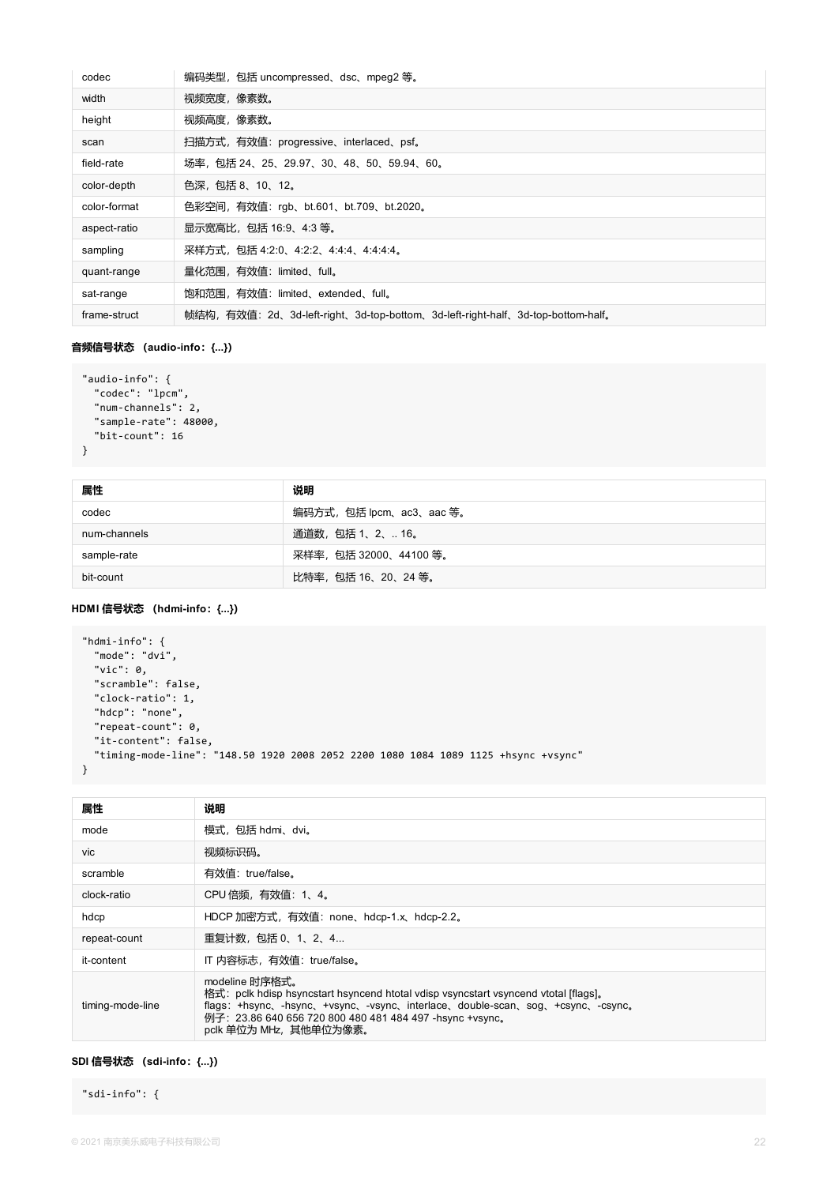| codec        | 编码类型,包括 uncompressed、dsc、mpeg2 等。                                             |
|--------------|-------------------------------------------------------------------------------|
| width        | 视频宽度,像素数。                                                                     |
| height       | 视频高度,像素数。                                                                     |
| scan         | 扫描方式,有效值: progressive、interlaced、psf。                                         |
| field-rate   | 场率,包括 24、25、29.97、30、48、50、59.94、60。                                          |
| color-depth  | 色深,包括 8、10、12。                                                                |
| color-format | 色彩空间, 有效值: rgb、bt.601、bt.709、bt.2020。                                         |
| aspect-ratio | 显示宽高比, 包括 16:9、4:3 等。                                                         |
| sampling     | 采样方式, 包括 4:2:0、4:2:2、4:4:4、4:4:4:4。                                           |
| quant-range  | 量化范围,有效值: limited、full。                                                       |
| sat-range    | 饱和范围,有效值: limited、extended、full。                                              |
| frame-struct | 帧结构,有效值:2d、3d-left-right、3d-top-bottom、3d-left-right-half、3d-top-bottom-half。 |

#### **音频信号状态 (audio-info:{...})**

```
"audio-info": {
 "codec": "lpcm",
 "num-channels": 2,
 "sample-rate": 48000,
 "bit-count": 16
}
```

| 属性           | 说明                      |
|--------------|-------------------------|
| codec        | 编码方式,包括 lpcm、ac3、aac 等。 |
| num-channels | 通道数,包括 1、2、 16。         |
| sample-rate  | 采样率, 包括 32000、44100 等。  |
| bit-count    | 比特率,包括16、20、24 等。       |

### **HDMI 信号状态 (hdmi-info:{...})**

```
"hdmi-info": {
 "mode": "dvi",
 "vic": 0,
 "scramble": false,
  "clock-ratio": 1,
 "hdcp": "none",
 "repeat-count": 0,
 "it-content": false,
 "timing-mode-line": "148.50 1920 2008 2052 2200 1080 1084 1089 1125 +hsync +vsync"
}
```

| 属性               | 说明                                                                                                                                                                                                                                                                                 |
|------------------|------------------------------------------------------------------------------------------------------------------------------------------------------------------------------------------------------------------------------------------------------------------------------------|
| mode             | 模式,包括 hdmi、dvi。                                                                                                                                                                                                                                                                    |
| vic              | 视频标识码。                                                                                                                                                                                                                                                                             |
| scramble         | 有效值: true/false。                                                                                                                                                                                                                                                                   |
| clock-ratio      | CPU 倍频, 有效值: 1、4。                                                                                                                                                                                                                                                                  |
| hdcp             | HDCP 加密方式, 有效值: none、hdcp-1.x、hdcp-2.2。                                                                                                                                                                                                                                            |
| repeat-count     | 重复计数, 包括 0、1、2、4                                                                                                                                                                                                                                                                   |
| it-content       | IT 内容标志, 有效值: true/false。                                                                                                                                                                                                                                                          |
| timing-mode-line | modeline 时序格式。<br>格式: pclk hdisp hsyncstart hsyncend htotal vdisp vsyncstart vsyncend vtotal [flags].<br>flags: +hsync, -hsync, +vsync, -vsync, interlace, double-scan, sog, +csync, -csync,<br>例子: 23.86 640 656 720 800 480 481 484 497 -hsync +vsync。<br>pclk 单位为 MHz, 其他单位为像素。 |

#### **SDI 信号状态 (sdi-info:{...})**

"sdi-info": {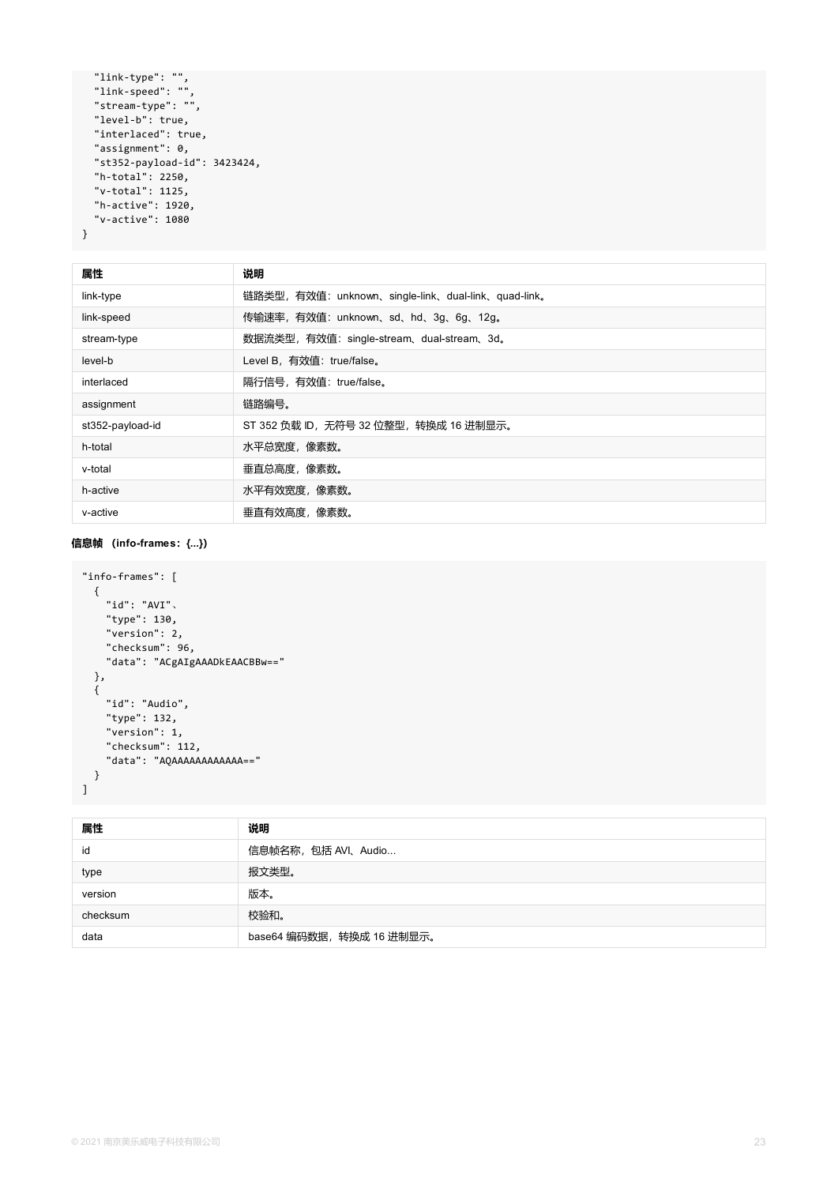```
"link-type": "",
 "link-speed": "",
  "stream-type": "",
  "level-b": true,
  "interlaced": true,
  "assignment": 0,
  "st352-payload-id": 3423424,
  "h-total": 2250,
  "v-total": 1125,
  "h-active": 1920,
  "v-active": 1080
}
```

| 属性               | 说明                                                  |
|------------------|-----------------------------------------------------|
| link-type        | 链路类型, 有效值: unknown、single-link、dual-link、quad-link。 |
| link-speed       | 传输速率, 有效值: unknown、sd、hd、3g、6g、12g。                 |
| stream-type      | 数据流类型, 有效值: single-stream、dual-stream、3d。           |
| level-b          | Level B, 有效值: true/false。                           |
| interlaced       | 隔行信号, 有效值: true/false。                              |
| assignment       | 链路编号。                                               |
| st352-payload-id | ST 352 负载 ID, 无符号 32 位整型, 转换成 16 进制显示。              |
| h-total          | 水平总宽度, 像素数。                                         |
| v-total          | 垂直总高度,像素数。                                          |
| h-active         | 水平有效宽度,像素数。                                         |
| v-active         | 垂直有效高度,像素数。                                         |

### **信息帧 (info-frames:{...})**

```
"info-frames": [
 {
   "id": "AVI"、
   "type": 130,
    "version": 2,
   "checksum": 96,
   "data": "ACgAIgAAADkEAACBBw=="
 },
 {
   "id": "Audio",
   "type": 132,
   "version": 1,
   "checksum": 112,
   "data": "AQAAAAAAAAAAAA=="
 }
]
```

| 属性       | 说明                        |
|----------|---------------------------|
| id       | 信息帧名称, 包括 AVI、Audio       |
| type     | 报文类型。                     |
| version  | 版本。                       |
| checksum | 校验和。                      |
| data     | base64 编码数据, 转换成 16 进制显示。 |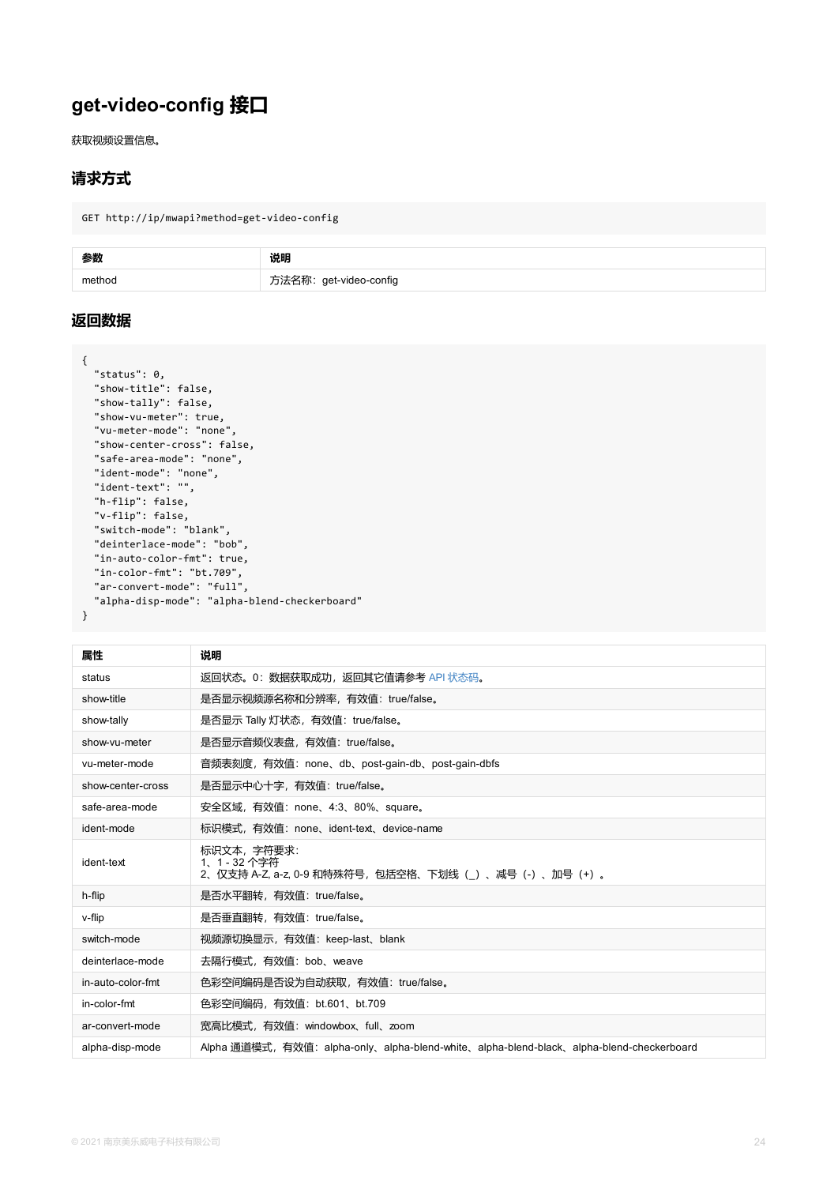```
"show-tally": false,
  "show-vu-meter": true,
  "vu-meter-mode": "none",
  "show-center-cross": false,
  "safe-area-mode": "none",
  "ident-mode": "none",
  "ident-text": "",
  "h-flip": false,
  "v-flip": false,
  "switch-mode": "blank",
  "deinterlace-mode": "bob",
  "in-auto-color-fmt": true,
  "in-color-fmt": "bt.709",
  "ar-convert-mode": "full",
  "alpha-disp-mode": "alpha-blend-checkerboard"
}
```

| 属性                | 说明                                                                                |
|-------------------|-----------------------------------------------------------------------------------|
| status            | 返回状态。0:数据获取成功,返回其它值请参考 API 状态码。                                                   |
| show-title        | 是否显示视频源名称和分辨率,有效值: true/false。                                                    |
| show-tally        | 是否显示 Tally 灯状态, 有效值: true/false。                                                  |
| show-vu-meter     | 是否显示音频仪表盘,有效值: true/false。                                                        |
| vu-meter-mode     | 音频表刻度,有效值:none、db、post-gain-db、post-gain-dbfs                                     |
| show-center-cross | 是否显示中心十字,有效值: true/false。                                                         |
| safe-area-mode    | 安全区域,有效值: none、4:3、80%、square。                                                    |
| ident-mode        | 标识模式,有效值:none、ident-text、device-name                                              |
| ident-text        | 标识文本, 字符要求:<br>1、1 - 32 个字符<br>2、仅支持 A-Z, a-z, 0-9 和特殊符号,包括空格、下划线(_)、减号(-)、加号(+)。 |
| h-flip            | 是否水平翻转,有效值: true/false。                                                           |
| v-flip            | 是否垂直翻转, 有效值: true/false。                                                          |
| switch-mode       | 视频源切换显示,有效值: keep-last、blank                                                      |
| deinterlace-mode  | 去隔行模式,有效值: bob、weave                                                              |
| in-auto-color-fmt | 色彩空间编码是否设为自动获取,有效值: true/false。                                                   |
| in-color-fmt      | 色彩空间编码, 有效值: bt.601、bt.709                                                        |
| ar-convert-mode   | 宽高比模式,有效值: windowbox、full、zoom                                                    |
| alpha-disp-mode   | Alpha 通道模式,有效值:alpha-only、alpha-blend-white、alpha-blend-black、alpha-b             |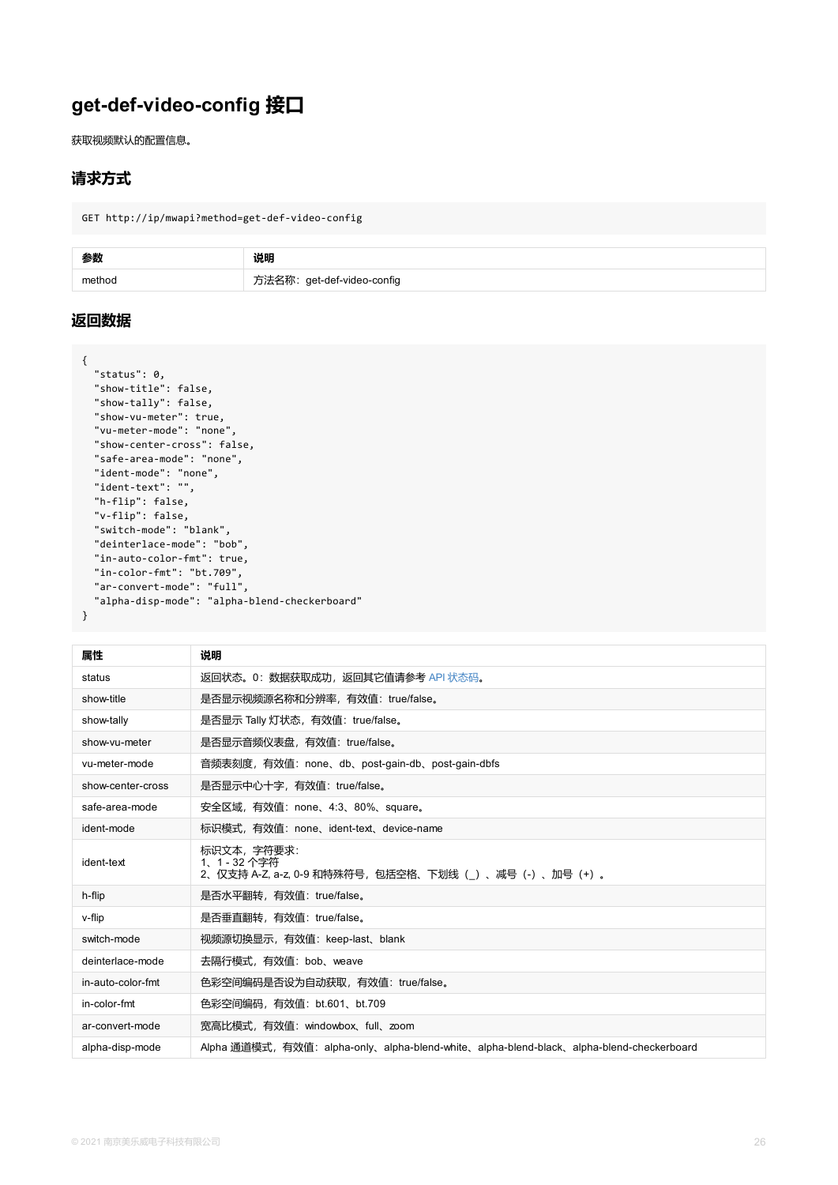```
"show-tally": false,
  "show-vu-meter": true,
  "vu-meter-mode": "none",
  "show-center-cross": false,
  "safe-area-mode": "none",
  "ident-mode": "none",
  "ident-text": "",
  "h-flip": false,
  "v-flip": false,
  "switch-mode": "blank",
  "deinterlace-mode": "bob",
  "in-auto-color-fmt": true,
  "in-color-fmt": "bt.709",
  "ar-convert-mode": "full",
  "alpha-disp-mode": "alpha-blend-checkerboard"
}
```

| 属性                | 说明                                                                                |
|-------------------|-----------------------------------------------------------------------------------|
| status            | 返回状态。0:数据获取成功,返回其它值请参考 API 状态码。                                                   |
| show-title        | 是否显示视频源名称和分辨率,有效值: true/false。                                                    |
| show-tally        | 是否显示 Tally 灯状态, 有效值: true/false。                                                  |
| show-vu-meter     | 是否显示音频仪表盘,有效值: true/false。                                                        |
| vu-meter-mode     | 音频表刻度,有效值:none、db、post-gain-db、post-gain-dbfs                                     |
| show-center-cross | 是否显示中心十字,有效值: true/false。                                                         |
| safe-area-mode    | 安全区域,有效值: none、4:3、80%、square。                                                    |
| ident-mode        | 标识模式,有效值:none、ident-text、device-name                                              |
| ident-text        | 标识文本, 字符要求:<br>1、1 - 32 个字符<br>2、仅支持 A-Z, a-z, 0-9 和特殊符号,包括空格、下划线(_)、减号(-)、加号(+)。 |
| h-flip            | 是否水平翻转,有效值: true/false。                                                           |
| v-flip            | 是否垂直翻转, 有效值: true/false。                                                          |
| switch-mode       | 视频源切换显示,有效值: keep-last、blank                                                      |
| deinterlace-mode  | 去隔行模式,有效值: bob、weave                                                              |
| in-auto-color-fmt | 色彩空间编码是否设为自动获取,有效值: true/false。                                                   |
| in-color-fmt      | 色彩空间编码, 有效值: bt.601、bt.709                                                        |
| ar-convert-mode   | 宽高比模式,有效值: windowbox、full、zoom                                                    |
| alpha-disp-mode   | Alpha 通道模式,有效值:alpha-only、alpha-blend-white、alpha-blend-black、alpha-b             |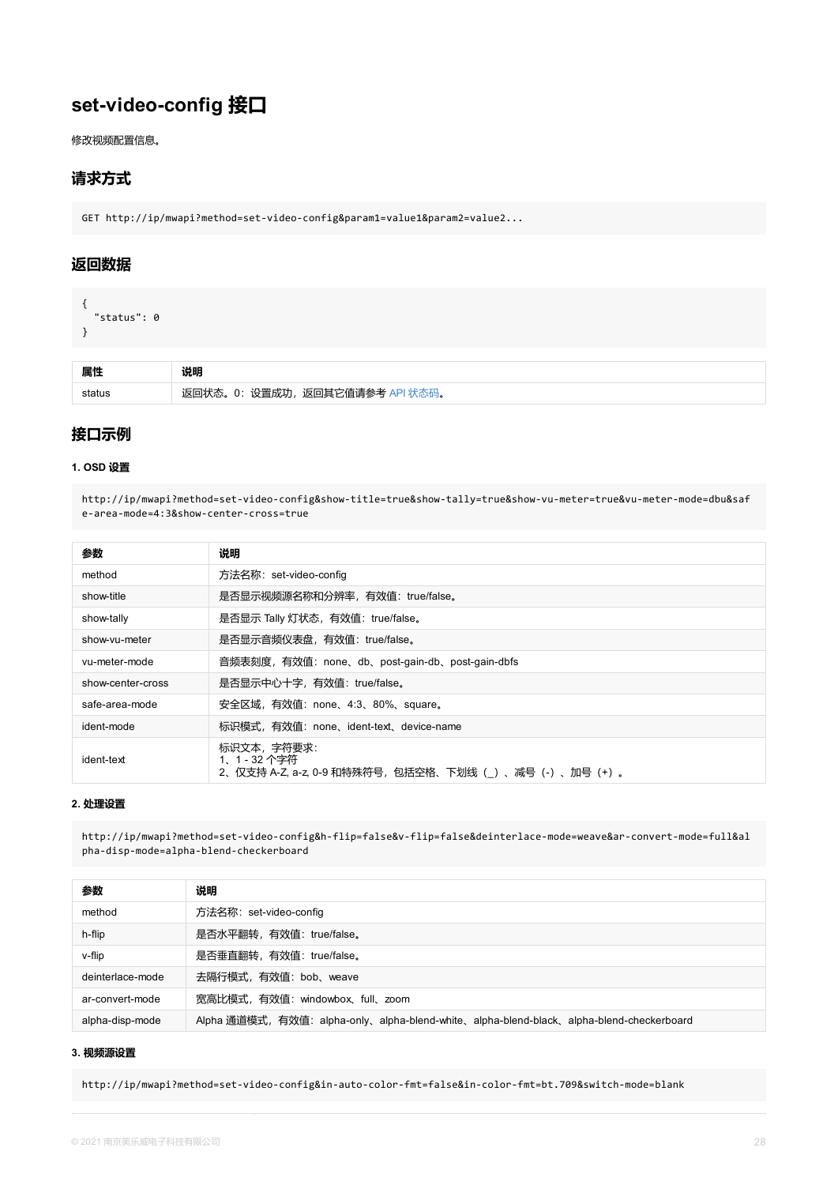### **接口示例**

#### **1. OSD 设置**

http://ip/mwapi?method=set-video-config&show-title=true&show-tally=true&show-vu-meter=tr e-area-mode=4:3&show-center-cross=true

| 参数                | 说明                                                                                    |
|-------------------|---------------------------------------------------------------------------------------|
| method            | 方法名称: set-video-config                                                                |
| show-title        | 是否显示视频源名称和分辨率,有效值: true/false。                                                        |
| show-tally        | 是否显示 Tally 灯状态,有效值: true/false。                                                       |
| show-vu-meter     | 是否显示音频仪表盘, 有效值: true/false。                                                           |
| vu-meter-mode     | 音频表刻度,有效值:none、db、post-gain-db、post-gain-dbfs                                         |
| show-center-cross | 是否显示中心十字, 有效值: true/false。                                                            |
| safe-area-mode    | 安全区域, 有效值: none、4:3、80%、square。                                                       |
| ident-mode        | 标识模式,有效值: none、ident-text、device-name                                                 |
| ident-text        | 标识文本, 字符要求:<br>1、1 - 32 个字符<br>2、仅支持 A-Z, a-z, 0-9 和特殊符号,包括空格、下划线( )、减号(-)、<br>加号 (+) |

#### **2. 处理设置**

http://ip/mwapi?method=set-video-config&h-flip=false&v-flip=false&deinterlace-mode=weave pha-disp-mode=alpha-blend-checkerboard

| 参数               | 说明                                                                      |  |
|------------------|-------------------------------------------------------------------------|--|
|                  |                                                                         |  |
| method           | 方法名称: set-video-config                                                  |  |
| h-flip           | 是否水平翻转, 有效值: true/false。                                                |  |
| v-flip           | 是否垂直翻转, 有效值: true/false。                                                |  |
| deinterlace-mode | 去隔行模式, 有效值: bob、weave                                                   |  |
| ar-convert-mode  | 宽高比模式,有效值: windowbox、full、zoom                                          |  |
| alpha-disp-mode  | Alpha 通道模式,有效值:alpha-only、alpha-blend-white、alpha-blend-black、alpha-ble |  |

#### **3. 视频源设置**

http://ip/mwapi?method=set-video-config&in-auto-color-fmt=false&in-color-fmt=bt.709&swit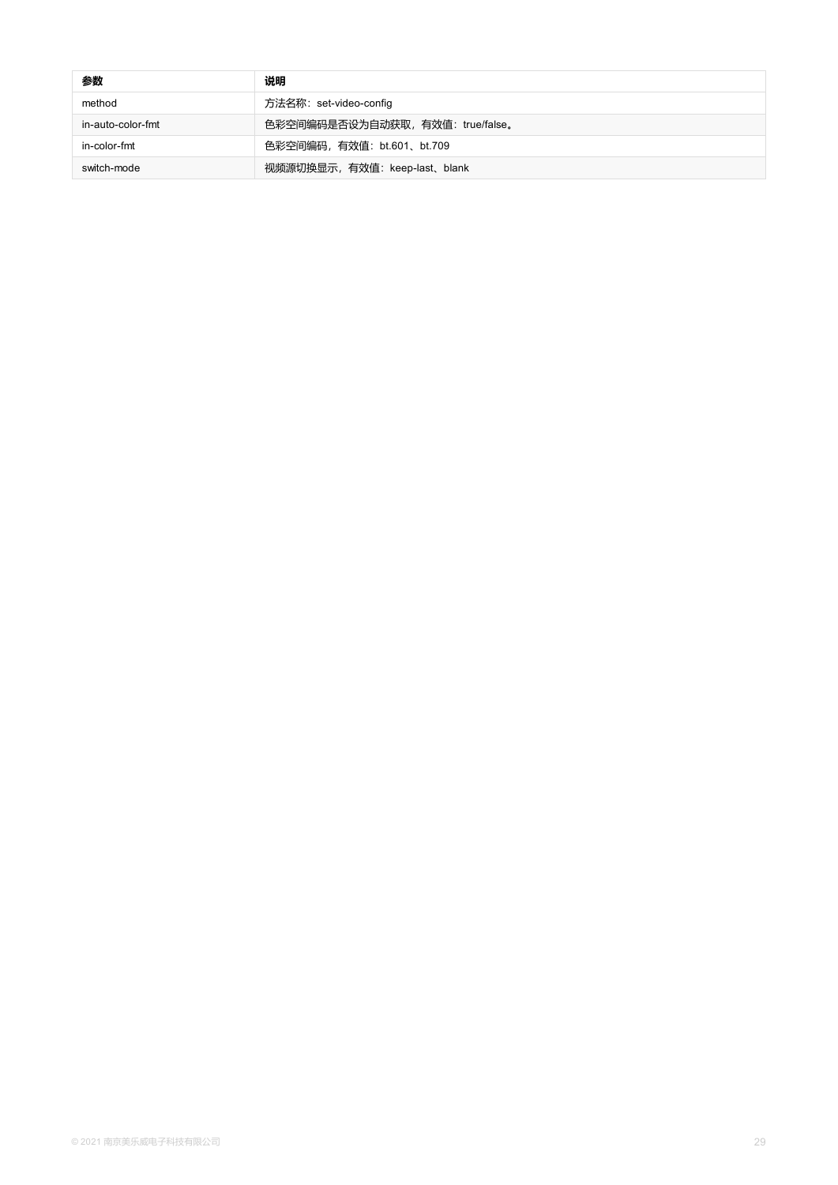| 参数                | 说明                               |
|-------------------|----------------------------------|
| method            | 方法名称: set-video-config           |
| in-auto-color-fmt | 色彩空间编码是否设为自动获取, 有效值: true/false。 |
| in-color-fmt      | 色彩空间编码, 有效值: bt.601、bt.709       |
| switch-mode       | 视频源切换显示, 有效值: keep-last、blank    |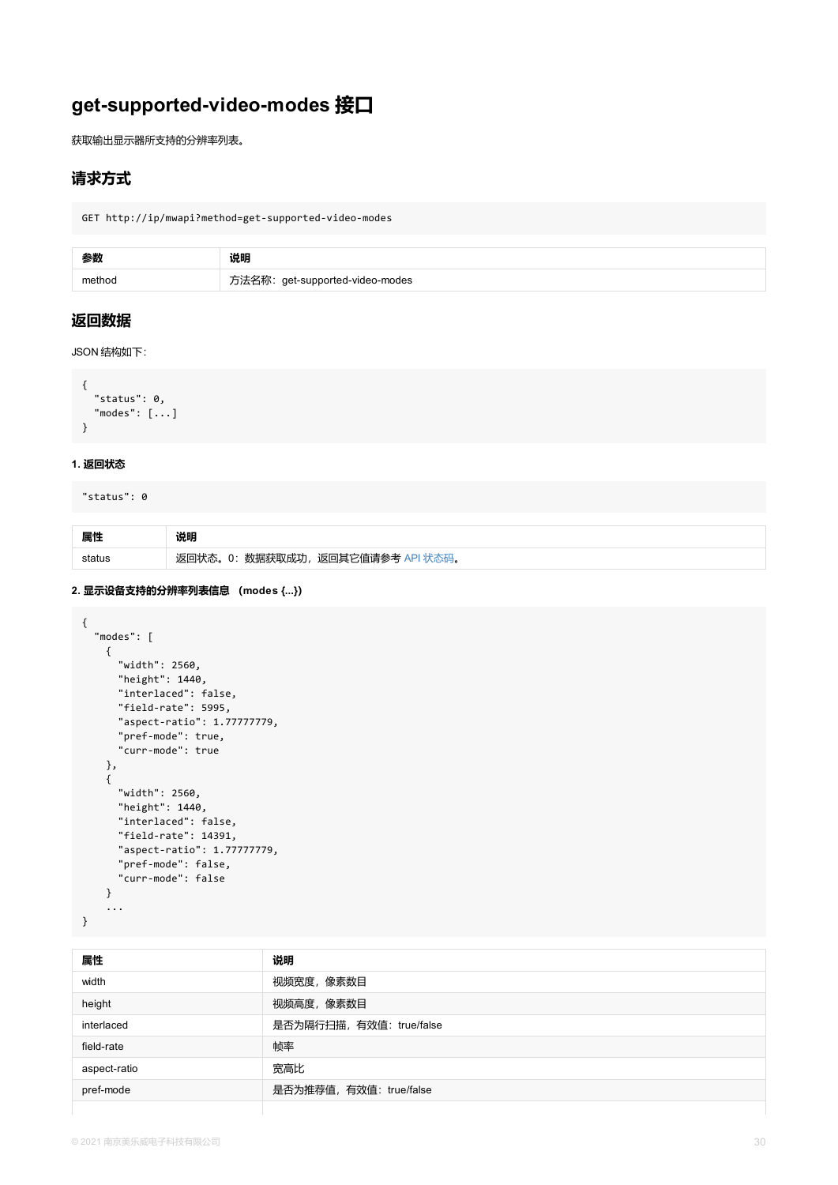```
"status": 0,
  "modes": [...]
}
```
#### **1. 返回状态**

```
"status": 0
```

| 属性 | 说明                                |
|----|-----------------------------------|
|    | 返回状态。0: 数据获取成功, 返回其它值请参考 API 状态码。 |

#### **2. 显示设备支持的分辨率列表信息 (modes {...})**

```
{
  "modes": [
    {
     "width": 2560,
     "height": 1440,
      "interlaced": false,
      "field-rate": 5995,
      "aspect-ratio": 1.77777779,
      "pref-mode": true,
      "curr-mode": true
    },
    {
      "width": 2560,
      "height": 1440,
      "interlaced": false,
      "field-rate": 14391,
      "aspect-ratio": 1.77777779,
      "pref-mode": false,
      "curr-mode": false
    }
   ...
}
```

| 属性           | 说明                       |
|--------------|--------------------------|
| width        | 视频宽度, 像素数目               |
| height       | 视频高度,像素数目                |
| interlaced   | 是否为隔行扫描, 有效值: true/false |
| field-rate   | 帧率                       |
| aspect-ratio | 宽高比                      |
| pref-mode    | 是否为推荐值, 有效值: true/false  |
|              |                          |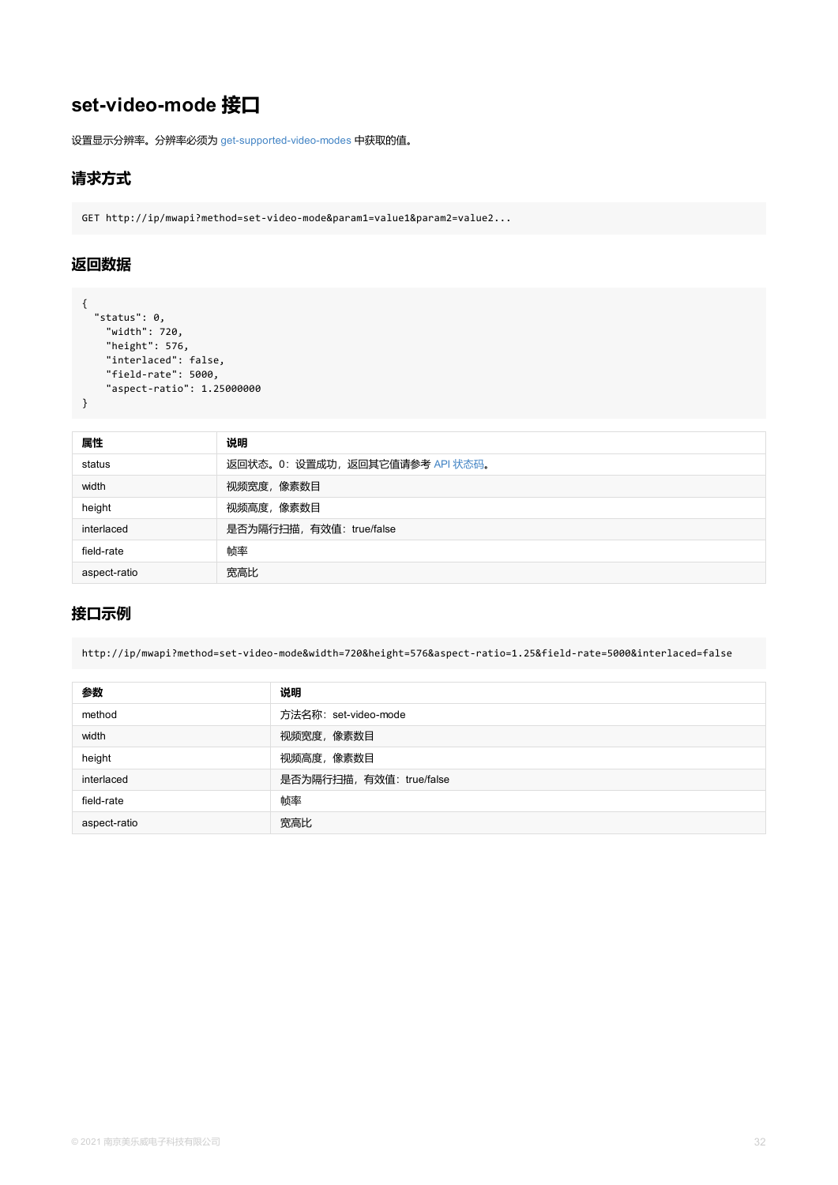| 属性           | 说明                              |
|--------------|---------------------------------|
| status       | 返回状态。0: 设置成功, 返回其它值请参考 API 状态码。 |
| width        | 视频宽度,像素数目                       |
| height       | 视频高度,像素数目                       |
| interlaced   | 是否为隔行扫描, 有效值: true/false        |
| field-rate   | 帧率                              |
| aspect-ratio | 宽高比                             |

## **接口示例**

}

http://ip/mwapi?method=set-video-mode&width=720&height=576&aspect-ratio=1.25&field-rate=

| 参数           | 说明                       |
|--------------|--------------------------|
| method       | 方法名称: set-video-mode     |
| width        | 视频宽度,像素数目                |
| height       | 视频高度,像素数目                |
| interlaced   | 是否为隔行扫描, 有效值: true/false |
| field-rate   | 帧率                       |
| aspect-ratio | 宽高比                      |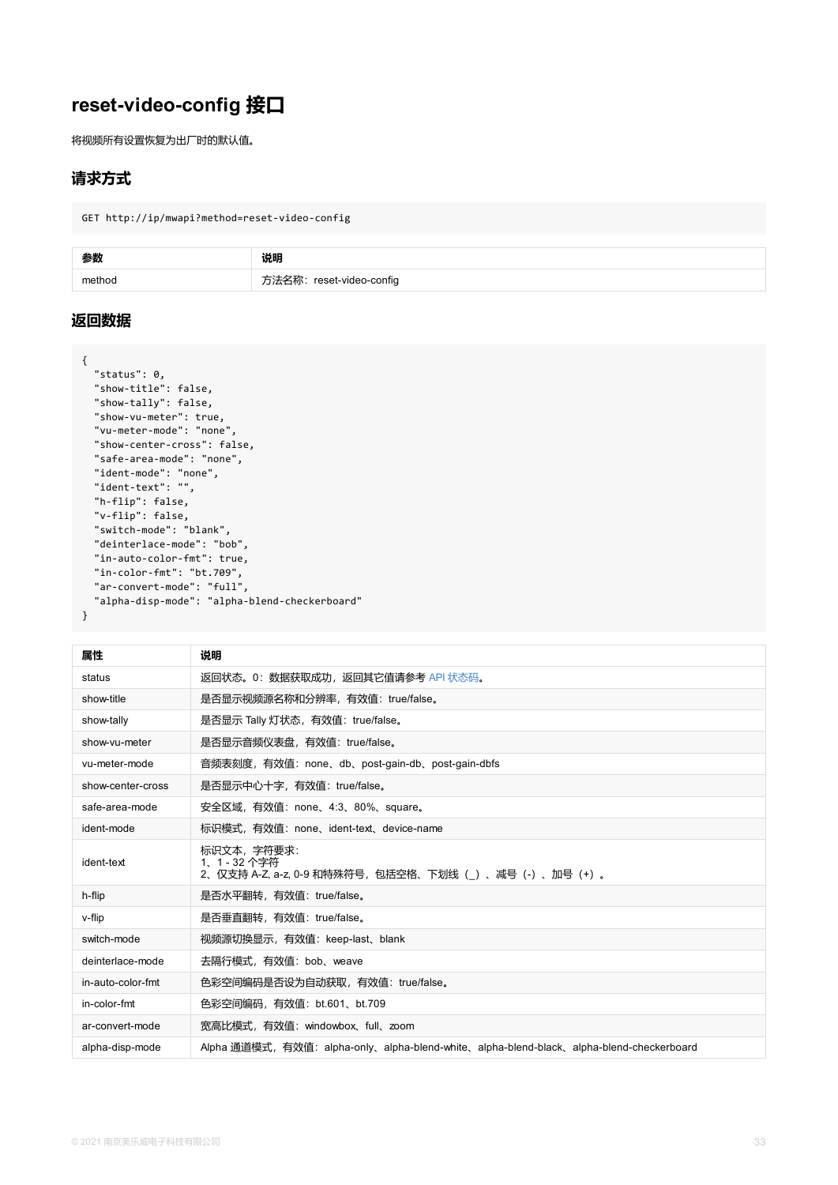```
"show-tally": false,
  "show-vu-meter": true,
  "vu-meter-mode": "none",
  "show-center-cross": false,
  "safe-area-mode": "none",
  "ident-mode": "none",
  "ident-text": "",
  "h-flip": false,
  "v-flip": false,
  "switch-mode": "blank",
  "deinterlace-mode": "bob",
  "in-auto-color-fmt": true,
  "in-color-fmt": "bt.709",
  "ar-convert-mode": "full",
  "alpha-disp-mode": "alpha-blend-checkerboard"
}
```

| 属性                | 说明                                                                                |
|-------------------|-----------------------------------------------------------------------------------|
| status            | 返回状态。0:数据获取成功,返回其它值请参考 API 状态码。                                                   |
| show-title        | 是否显示视频源名称和分辨率,有效值: true/false。                                                    |
| show-tally        | 是否显示 Tally 灯状态, 有效值: true/false。                                                  |
| show-vu-meter     | 是否显示音频仪表盘,有效值: true/false。                                                        |
| vu-meter-mode     | 音频表刻度,有效值:none、db、post-gain-db、post-gain-dbfs                                     |
| show-center-cross | 是否显示中心十字,有效值: true/false。                                                         |
| safe-area-mode    | 安全区域,有效值: none、4:3、80%、square。                                                    |
| ident-mode        | 标识模式,有效值:none、ident-text、device-name                                              |
| ident-text        | 标识文本, 字符要求:<br>1、1 - 32 个字符<br>2、仅支持 A-Z, a-z, 0-9 和特殊符号,包括空格、下划线(_)、减号(-)、加号(+)。 |
| h-flip            | 是否水平翻转,有效值: true/false。                                                           |
| v-flip            | 是否垂直翻转, 有效值: true/false。                                                          |
| switch-mode       | 视频源切换显示,有效值: keep-last、blank                                                      |
| deinterlace-mode  | 去隔行模式,有效值: bob、weave                                                              |
| in-auto-color-fmt | 色彩空间编码是否设为自动获取,有效值: true/false。                                                   |
| in-color-fmt      | 色彩空间编码, 有效值: bt.601、bt.709                                                        |
| ar-convert-mode   | 宽高比模式,有效值: windowbox、full、zoom                                                    |
| alpha-disp-mode   | Alpha 通道模式,有效值:alpha-only、alpha-blend-white、alpha-blend-black、alpha-b             |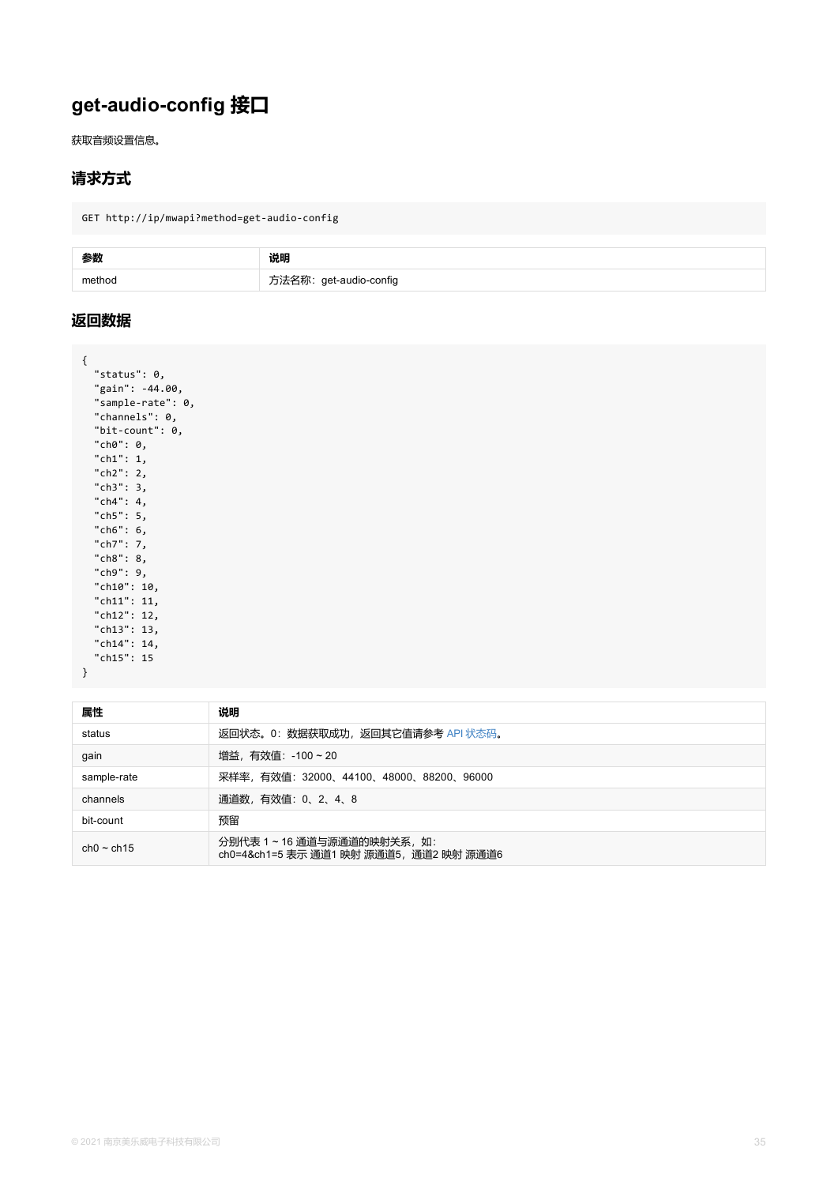| "sample-rate": 0, |
|-------------------|
| "channels": 0,    |
| "bit-count": 0,   |
| "ch0": 0,         |
| "ch1": 1,         |
| "ch2": 2,         |
| "ch3": 3,         |
| "ch4": 4,         |
| "ch5": 5,         |
| "ch6": 6,         |
| "ch7": 7,         |
| "ch8": 8,         |
| "ch9": 9,         |
| "ch10": 10,       |
| "ch11": 11,       |
| "ch12": 12,       |
| "ch13": 13,       |
| "ch14": 14,       |
| "ch15": 15        |
| }                 |

| 属性              | 说明                                                                 |  |
|-----------------|--------------------------------------------------------------------|--|
| status          | 返回状态。0: 数据获取成功, 返回其它值请参考 API 状态码。                                  |  |
| gain            | 增益,有效值: -100 ~ 20                                                  |  |
| sample-rate     | 采样率,有效值:32000、44100、48000、88200、96000                              |  |
| channels        | 通道数,有效值: 0、2、4、8                                                   |  |
| bit-count       | 预留                                                                 |  |
| $ch0 \sim ch15$ | 分别代表 1~16 通道与源通道的映射关系,如:<br>ch0=4&ch1=5 表示 通道1 映射 源通道5,通道2 映射 源通道6 |  |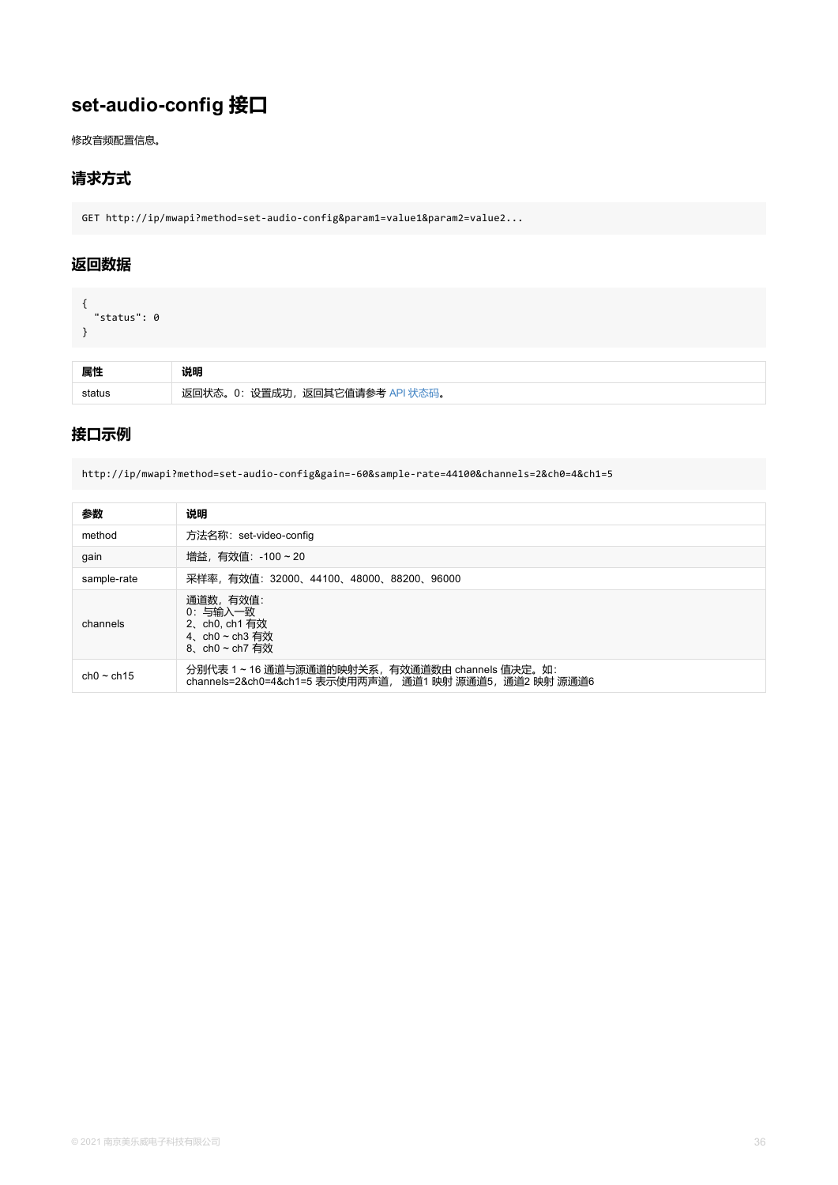### **接口示例**

http://ip/mwapi?method=set-audio-config&gain=-60&sample-rate=44100&channels=2&ch0=4&ch1=5

| 参数              | 说明                                                                                                       |
|-----------------|----------------------------------------------------------------------------------------------------------|
| method          | 方法名称: set-video-config                                                                                   |
| gain            | 增益, 有效值: -100~20                                                                                         |
| sample-rate     | 采样率, 有效值: 32000、44100、48000、88200、96000                                                                  |
| channels        | 通道数, 有效值:<br>0: 与输入一致<br>2、ch0, ch1 有效<br>4、ch0~ch3 有效<br>8、ch0~ch7 有效                                   |
| $ch0 \sim ch15$ | 分别代表 1~16 通道与源通道的映射关系, 有效通道数由 channels 值决定。如:<br>channels=2&ch0=4&ch1=5 表示使用两声道, 通道1 映射 源通道5,通道2 映射 源通道6 |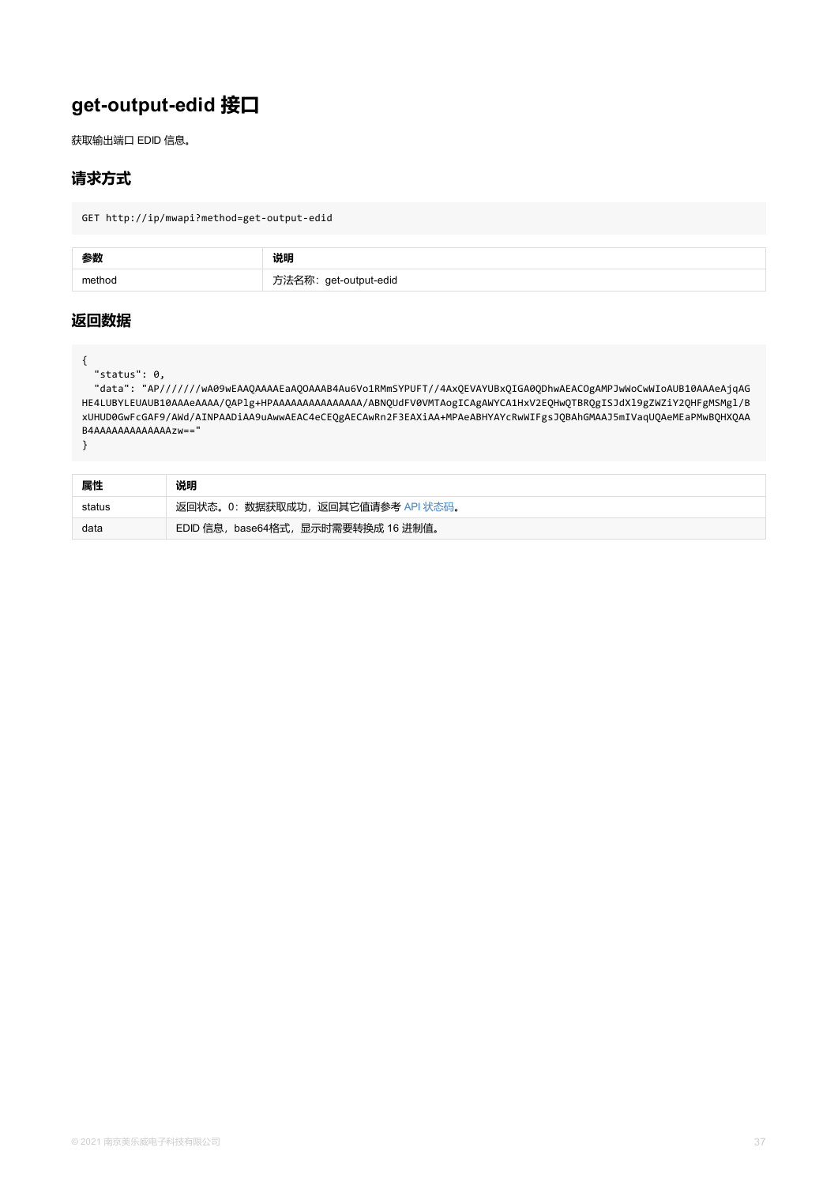<span id="page-36-0"></span>HE4LUBYLEUAUB10AAAeAAAA/QAPlg+HPAAAAAAAAAAAAAAAA/ABNQUdFV0VMTAogICAgAWYCA1HxV2EQHwQTBRQgI xUHUD0GwFcGAF9/AWd/AINPAADiAA9uAwwAEAC4eCEQgAECAwRn2F3EAXiAA+MPAeABHYAYcRwWIFgsJQBAhGMAA B4AAAAAAAAAAAAAzw=="

}

| 属性     | 说明                                  |
|--------|-------------------------------------|
| status | 返回状态。0: 数据获取成功, 返回其它值请参考 API 状态码。   |
| data   | EDID 信息, base64格式, 显示时需要转换成 16 进制值。 |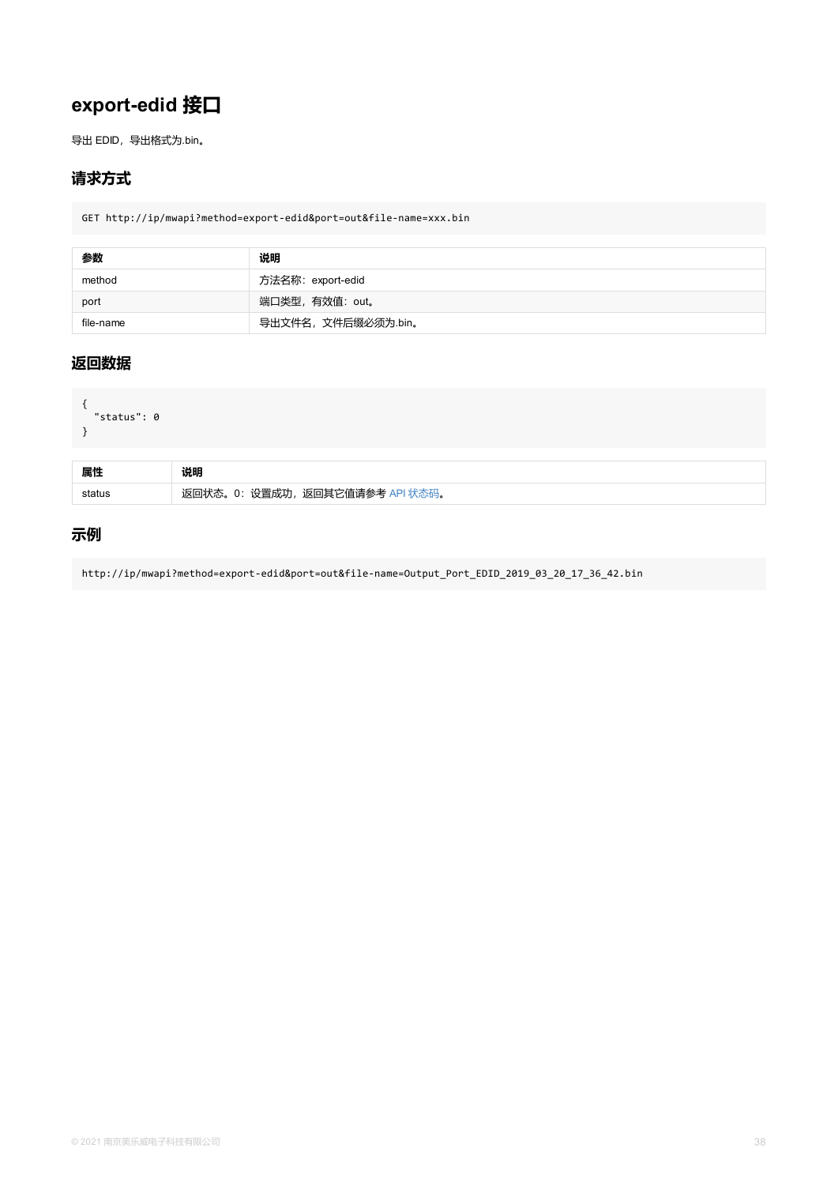```
{
  "status": 0
}
```

| 属性     | 说明                              |
|--------|---------------------------------|
| status | 返回状态。0: 设置成功, 返回其它值请参考 API 状态码。 |

## **示例**

http://ip/mwapi?method=export-edid&port=out&file-name=Output\_Port\_EDID\_2019\_03\_20\_17\_36\_4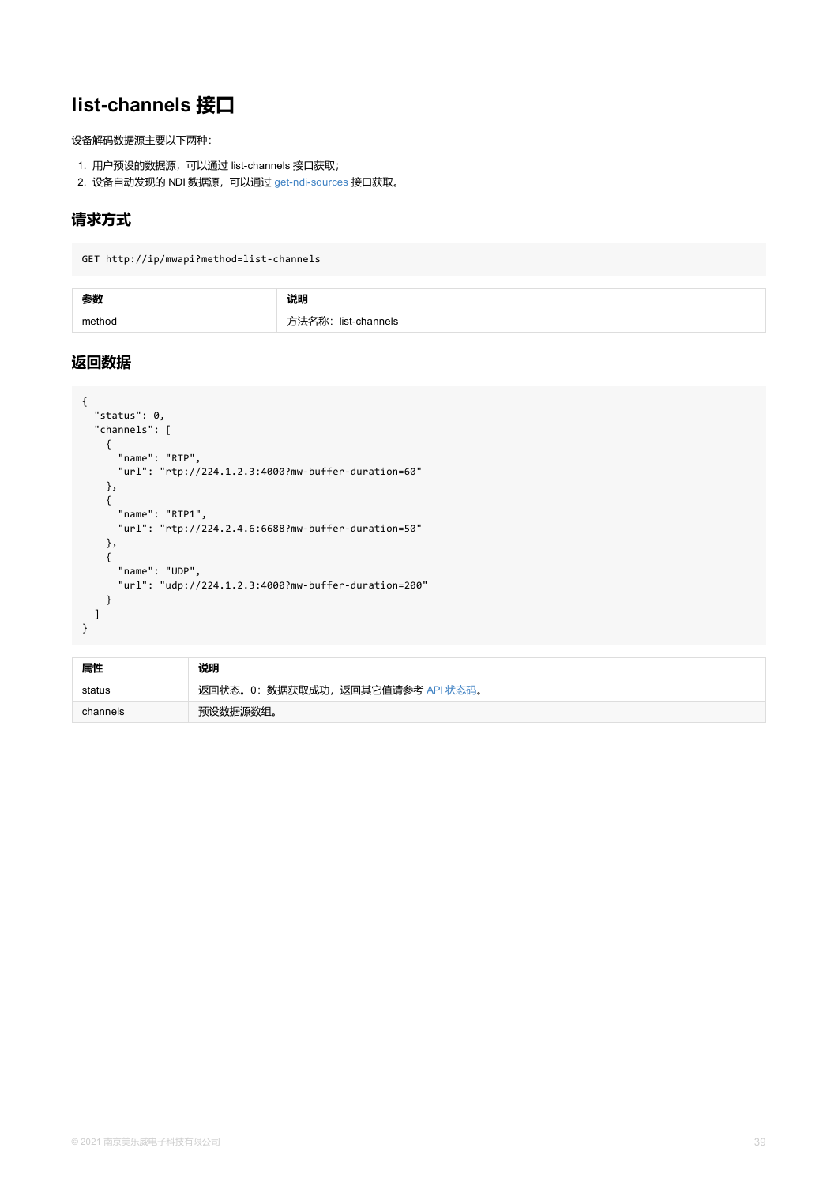```
{
  "status": 0,
  "channels": [
   {
     "name": "RTP",
     "url": "rtp://224.1.2.3:4000?mw-buffer-duration=60"
    },
    {
     "name": "RTP1",
     "url": "rtp://224.2.4.6:6688?mw-buffer-duration=50"
   },
    {
      "name": "UDP",
     "url": "udp://224.1.2.3:4000?mw-buffer-duration=200"
   }
 ]
}
```

| 属性       | 说明                                |  |
|----------|-----------------------------------|--|
| status   | 返回状态。0: 数据获取成功, 返回其它值请参考 API 状态码。 |  |
| channels | 预设数据源数组。                          |  |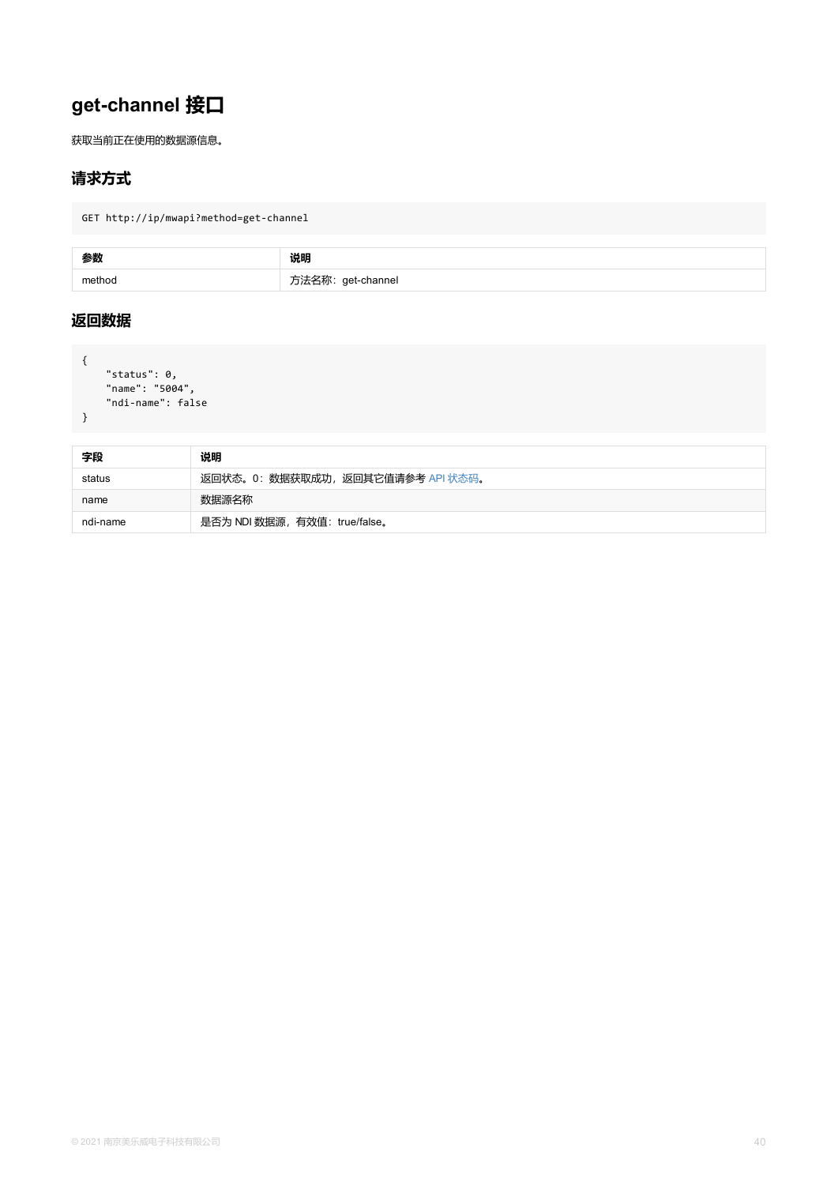```
"ndi-name": false
}
```

| 字段       | 说明                                |  |
|----------|-----------------------------------|--|
| status   | 返回状态。0: 数据获取成功, 返回其它值请参考 API 状态码。 |  |
| name     | 数据源名称                             |  |
| ndi-name | 是否为 NDI 数据源, 有效值: true/false。     |  |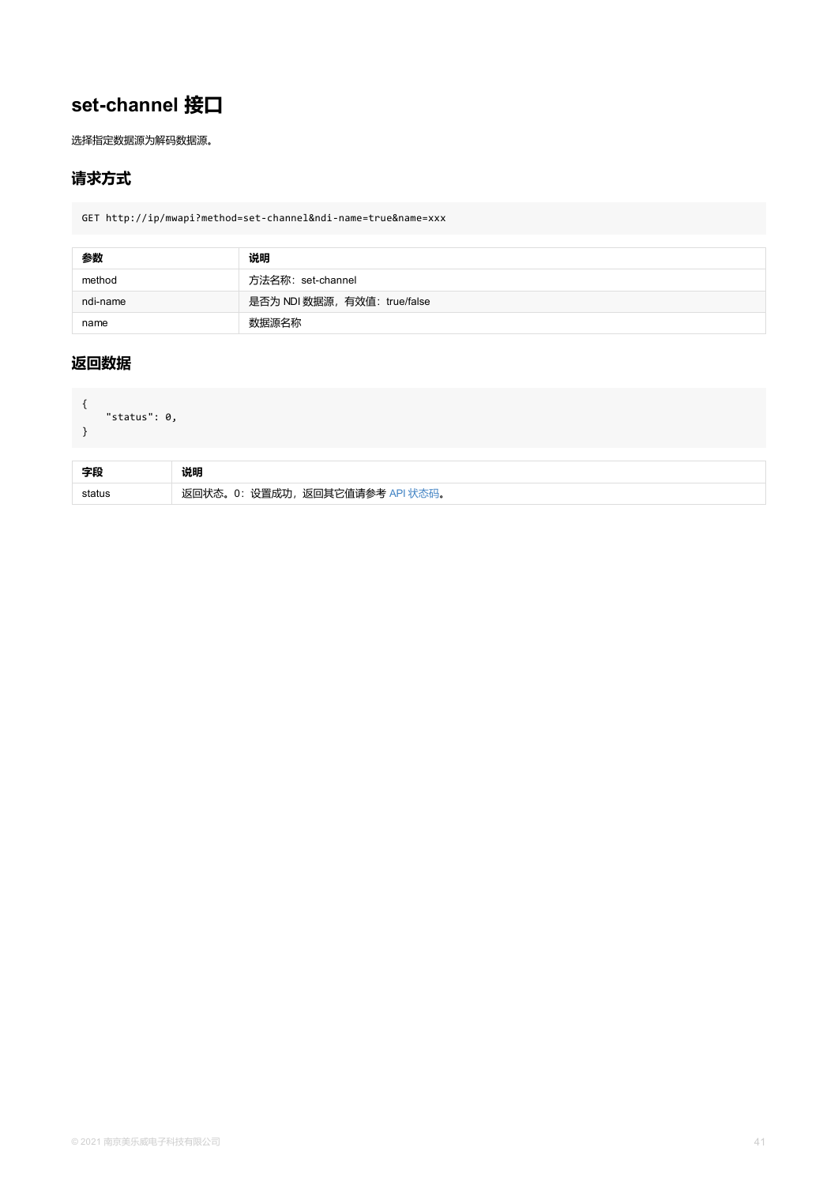```
{
  "status": 0,
}
```

| 字段     | 说明                              |
|--------|---------------------------------|
| status | 返回状态。0: 设置成功, 返回其它值请参考 API 状态码。 |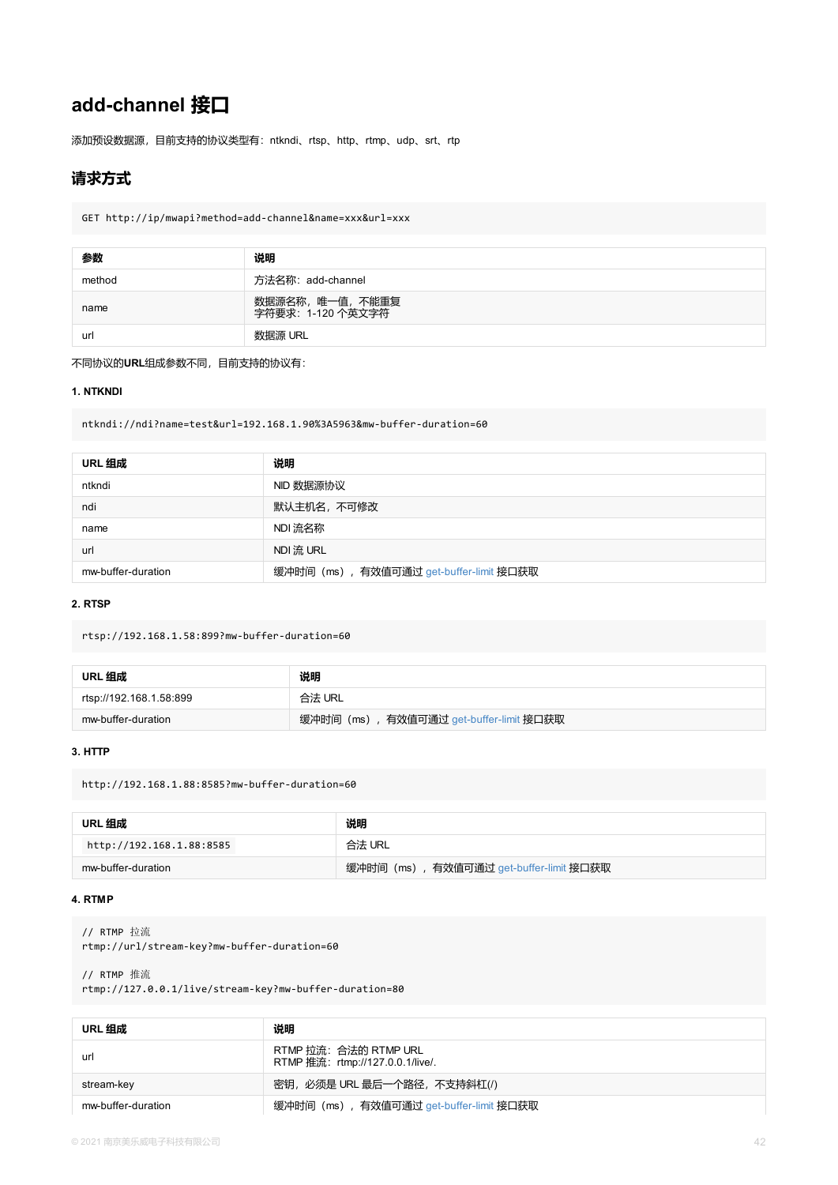<span id="page-41-0"></span>ntkndi://ndi?name=test&url=192.168.1.90%3A5963&mw-buffer-duration=60

| URL 组成             | 说明                                      |
|--------------------|-----------------------------------------|
| ntkndi             | NID 数据源协议                               |
| ndi                | 默认主机名,不可修改                              |
| name               | NDI 流名称                                 |
| url                | NDI 流 URL                               |
| mw-buffer-duration | 缓冲时间 (ms), 有效值可通过 get-buffer-limit 接口获取 |

#### **2. RTSP**

rtsp://192.168.1.58:899?mw-buffer-duration=60

| URL 组成                  | 说明                                      |
|-------------------------|-----------------------------------------|
| rtsp://192.168.1.58:899 | 合法 URL                                  |
| mw-buffer-duration      | 缓冲时间 (ms), 有效值可通过 get-buffer-limit 接口获取 |

#### **3. HTTP**

http://192.168.1.88:8585?mw-buffer-duration=60

| URL 组成                   | 说明                                      |
|--------------------------|-----------------------------------------|
| http://192.168.1.88:8585 | 合法 URL                                  |
| mw-buffer-duration       | 缓冲时间 (ms), 有效值可通过 get-buffer-limit 接口获取 |

#### **4. RTMP**

// RTMP 拉流 rtmp://url/stream-key?mw-buffer-duration=60

// RTMP 推流 rtmp://127.0.0.1/live/stream-key?mw-buffer-duration=80

| URL 组成             | 说明                                                        |
|--------------------|-----------------------------------------------------------|
| url                | RTMP 拉流: 合法的 RTMP URL<br>RTMP 推流: rtmp://127.0.0.1/live/. |
| stream-key         | 密钥,必须是 URL 最后一个路径,不支持斜杠(/)                                |
| mw-buffer-duration | 缓冲时间 (ms), 有效值可通过 get-buffer-limit 接口获取                   |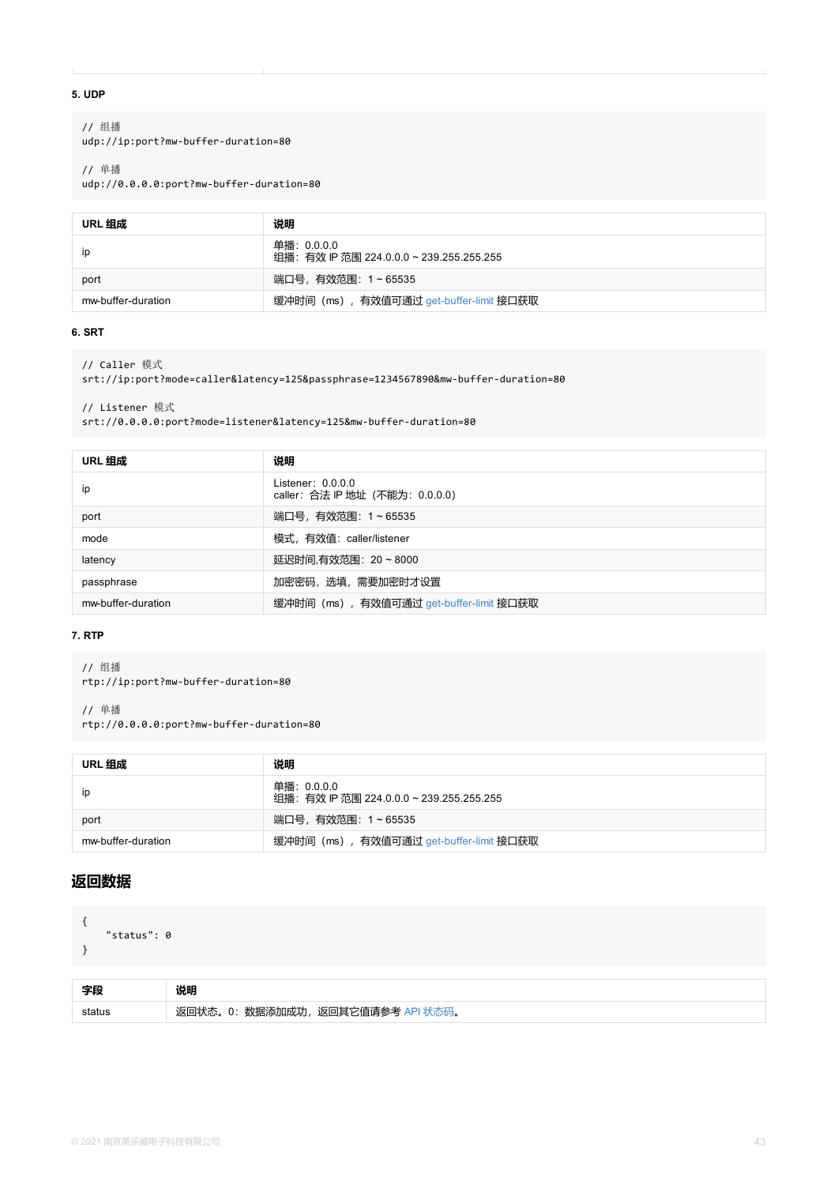```
// Listener 模式
srt://0.0.0.0:port?mode=listener&latency=125&mw-buffer-duration=80
```

| URL 组成             | 说明                                                     |
|--------------------|--------------------------------------------------------|
| ip                 | Listener: $0.0.0.0$<br>caller: 合法 IP 地址 (不能为: 0.0.0.0) |
| port               | 端口号,有效范围: 1~65535                                      |
| mode               | 模式, 有效值: caller/listener                               |
| latency            | 延迟时间,有效范围: 20~8000                                     |
| passphrase         | 加密密码,选填,需要加密时才设置                                       |
| mw-buffer-duration | 缓冲时间 (ms), 有效值可通过 get-buffer-limit 接口获取                |

#### **7. RTP**

// 组播

rtp://ip:port?mw-buffer-duration=80

// 单播 rtp://0.0.0.0:port?mw-buffer-duration=80

| URL 组成             | 说明                                                     |
|--------------------|--------------------------------------------------------|
| ip                 | 单播:0.0.0.0<br>组播: 有效 IP 范围 224.0.0.0 ~ 239.255.255.255 |
| port               | 端口号,有效范围: 1~65535                                      |
| mw-buffer-duration | 缓冲时间 (ms), 有效值可通过 get-buffer-limit 接口获取                |

```
{
    "status": 0
}
```

| 字段     | 说明                                |
|--------|-----------------------------------|
| status | 返回状态。0: 数据添加成功, 返回其它值请参考 API 状态码。 |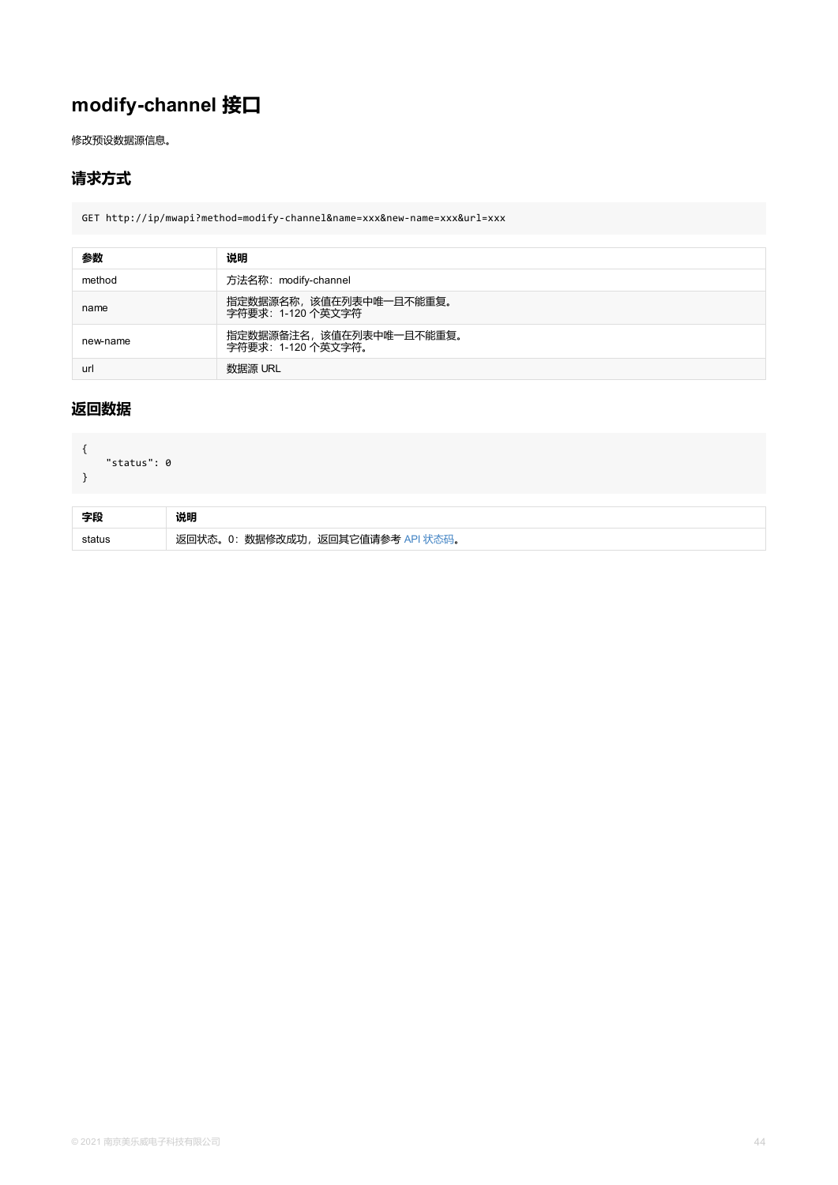```
{
   "status": 0
}
```

| 字段     | 说明                                       |
|--------|------------------------------------------|
| status | 返回状态。0: 数据修改成功, 、<br>- 返回其它值请参考 API 状态码。 |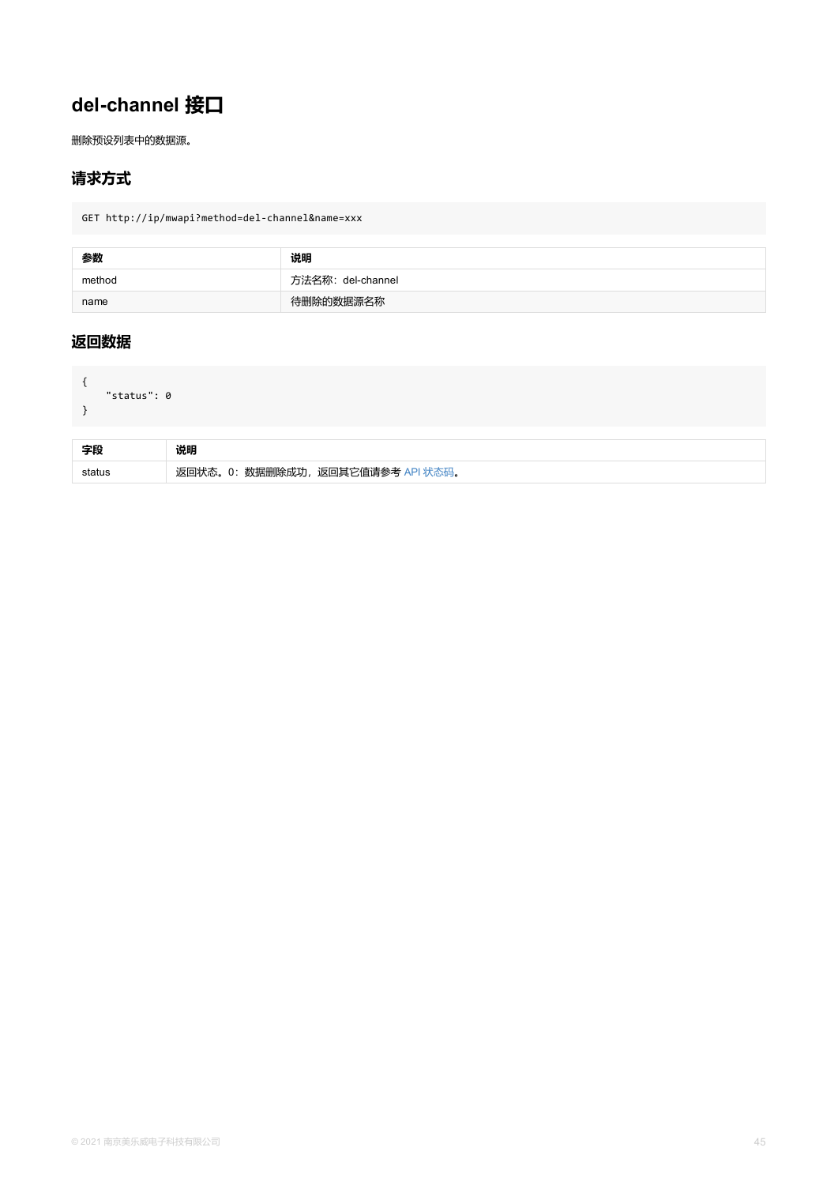```
status . U
}
```

| 字段     | 说明                                |
|--------|-----------------------------------|
| status | 返回状态。0: 数据删除成功, 返回其它值请参考 API 状态码。 |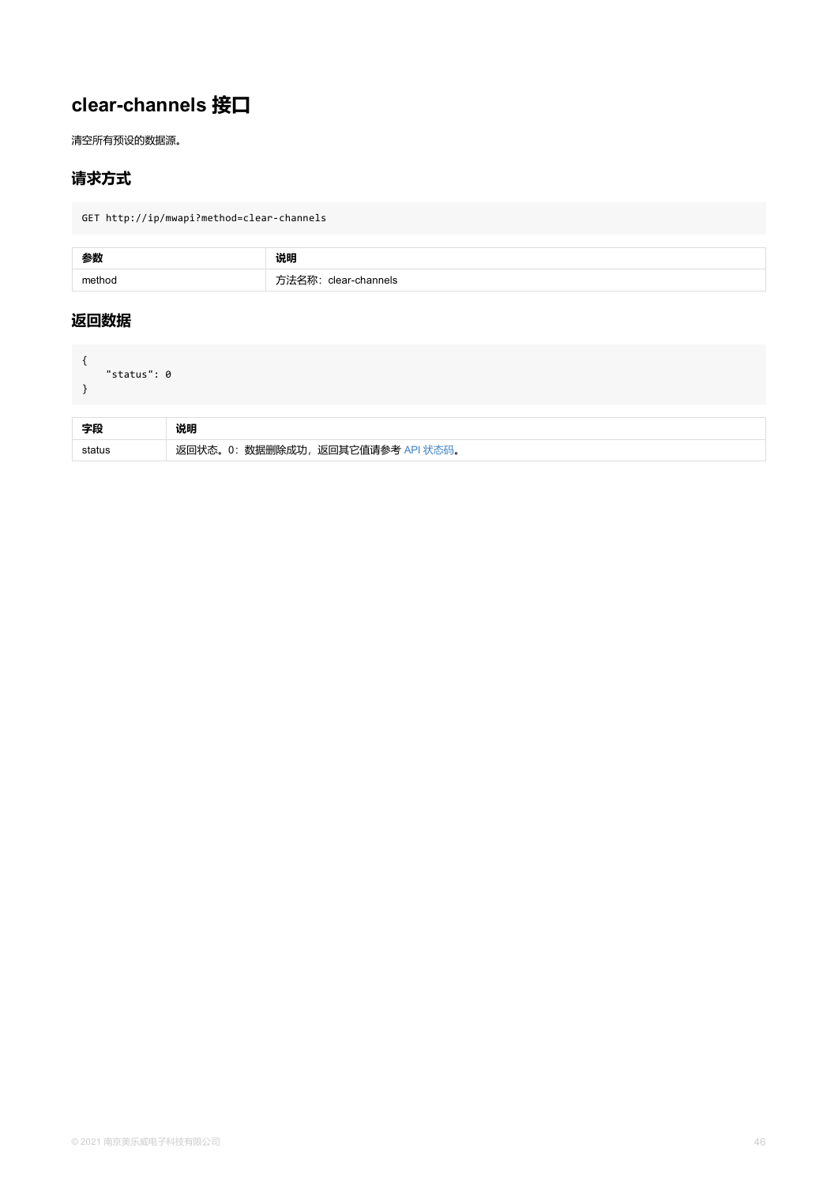<span id="page-45-0"></span>

| 字段     | 说明                                |
|--------|-----------------------------------|
| status | 返回状态。0: 数据删除成功, 返回其它值请参考 API 状态码。 |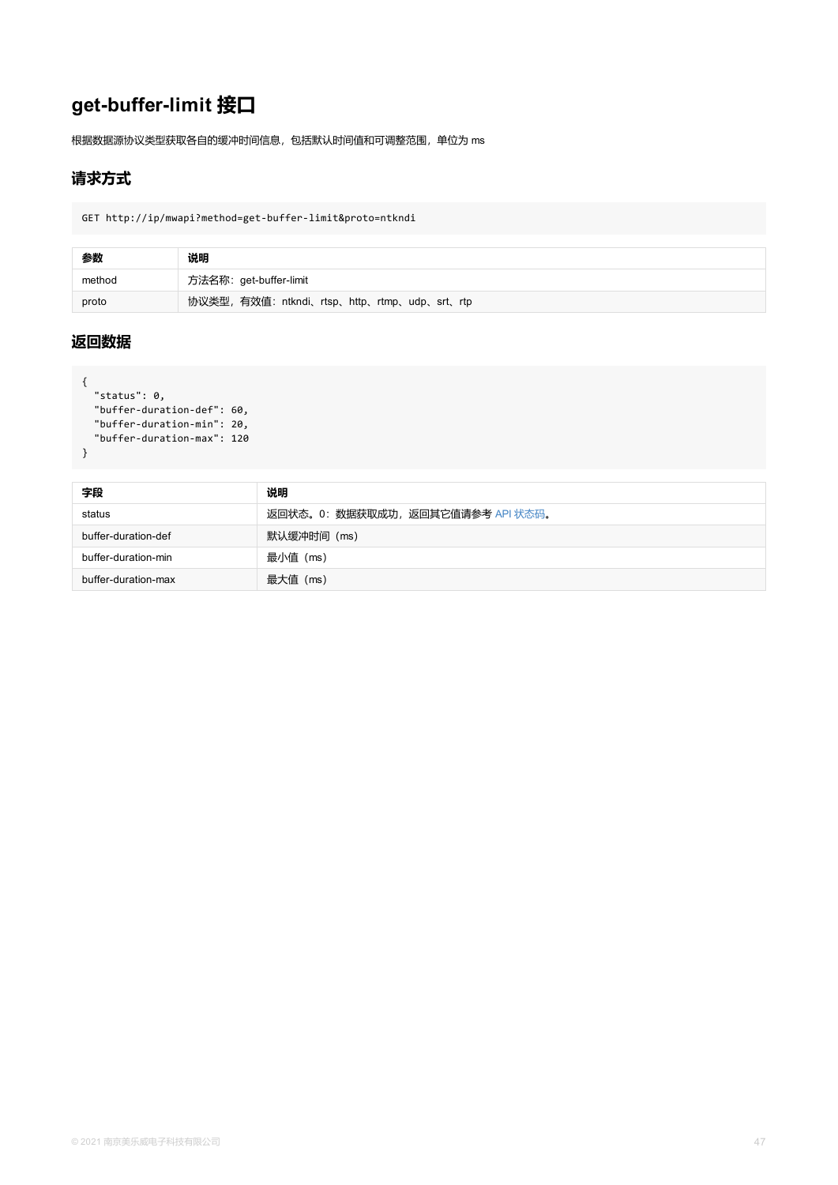```
status . v,
  "buffer-duration-def": 60,
  "buffer-duration-min": 20,
  "buffer-duration-max": 120
}
```

| 字段                  | 说明                                |
|---------------------|-----------------------------------|
| status              | 返回状态。0: 数据获取成功, 返回其它值请参考 API 状态码。 |
| buffer-duration-def | 默认缓冲时间 (ms)                       |
| buffer-duration-min | 最小值 (ms)                          |
| buffer-duration-max | 最大值(ms)                           |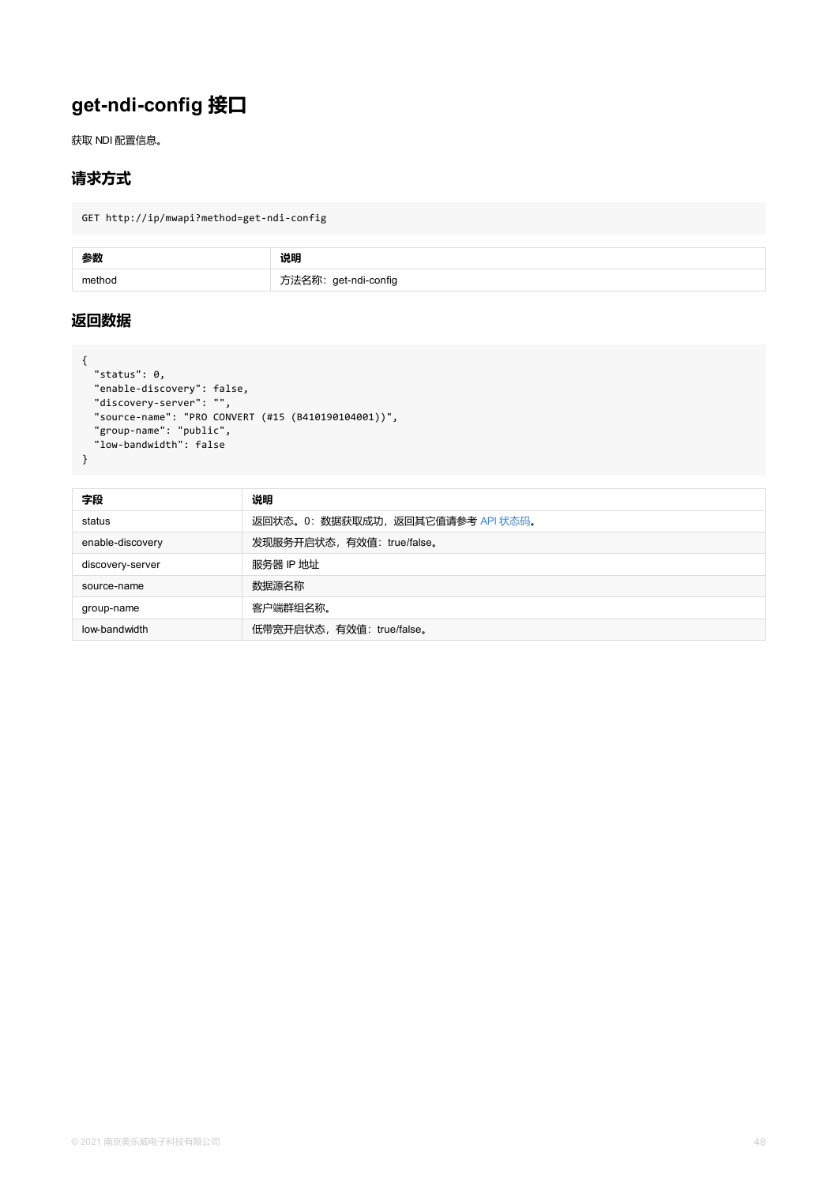```
"discovery-server": "",
  "source-name": "PRO CONVERT (#15 (B410190104001))",
  "group-name": "public",
 "low-bandwidth": false
}
```

| 字段               | 说明                                |
|------------------|-----------------------------------|
| status           | 返回状态。0: 数据获取成功, 返回其它值请参考 API 状态码。 |
| enable-discovery | 发现服务开启状态, 有效值: true/false。        |
| discovery-server | 服务器 IP 地址                         |
| source-name      | 数据源名称                             |
| group-name       | 客户端群组名称。                          |
| low-bandwidth    | 低带宽开启状态,有效值: true/false。          |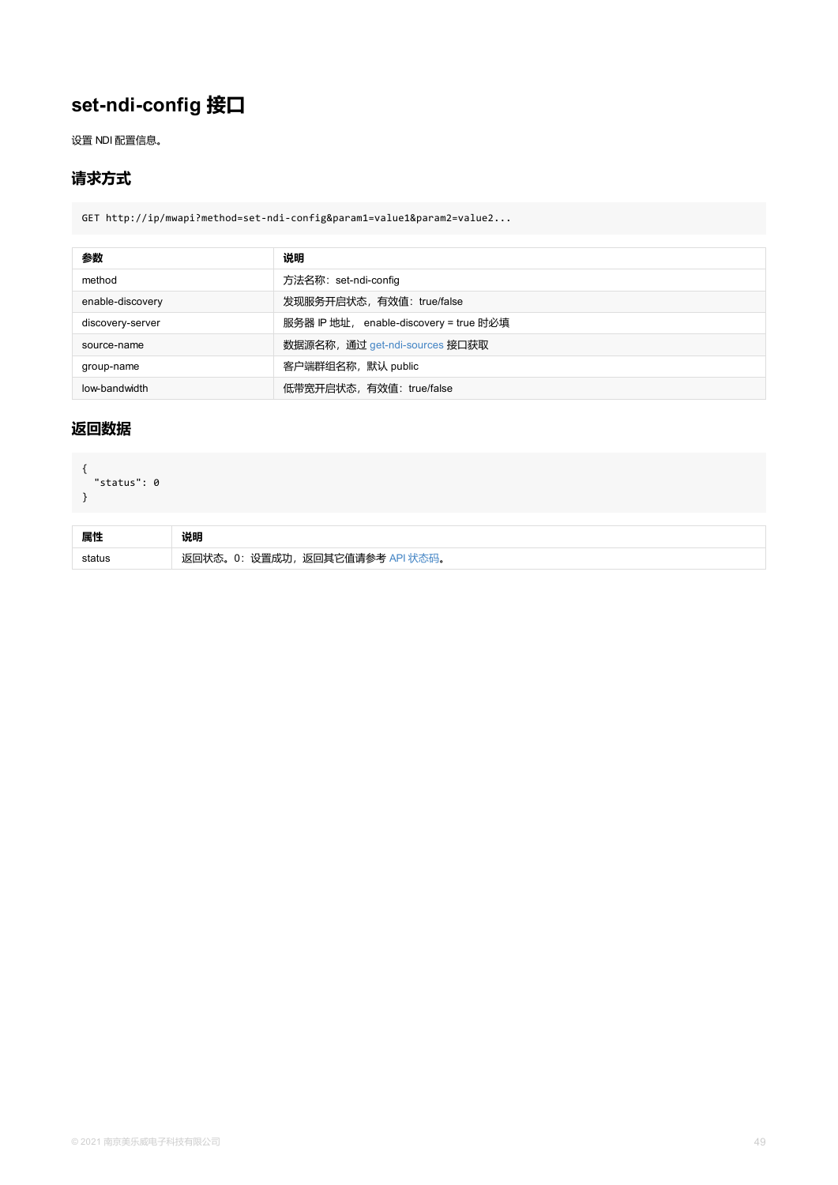```
{
  "status": 0
}
```

| 属性 |                                 |
|----|---------------------------------|
|    | 返回状态。0: 设置成功, 返回其它值请参考 API 状态码。 |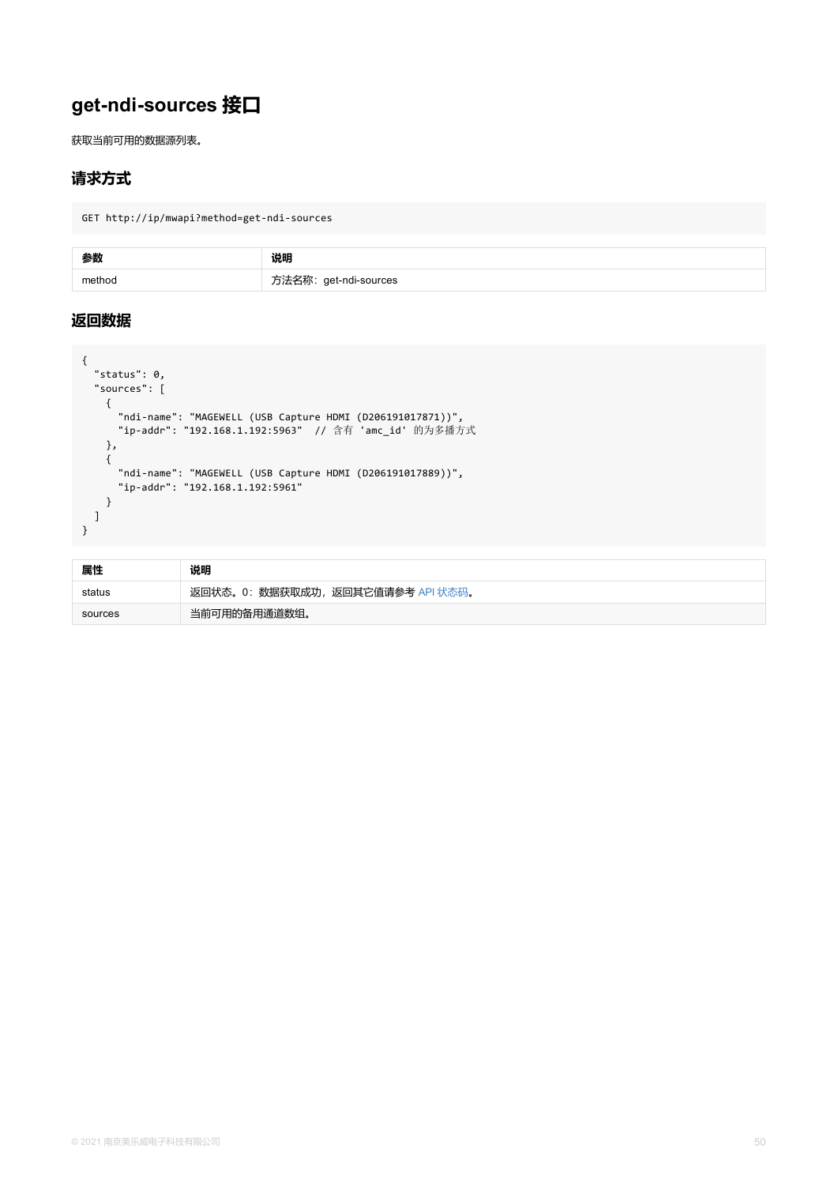```
{
     "ndi-name": "MAGEWELL (USB Capture HDMI (D206191017871))",
     "ip-addr": "192.168.1.192:5963" // 含有 'amc_id' 的为多播方式
    },
    {
     "ndi-name": "MAGEWELL (USB Capture HDMI (D206191017889))",
     "ip-addr": "192.168.1.192:5961"
   }
  ]
}
```

| 属性      | 说明                                |
|---------|-----------------------------------|
| status  | 返回状态。0: 数据获取成功, 返回其它值请参考 API 状态码。 |
| sources | 当前可用的备用通道数组。                      |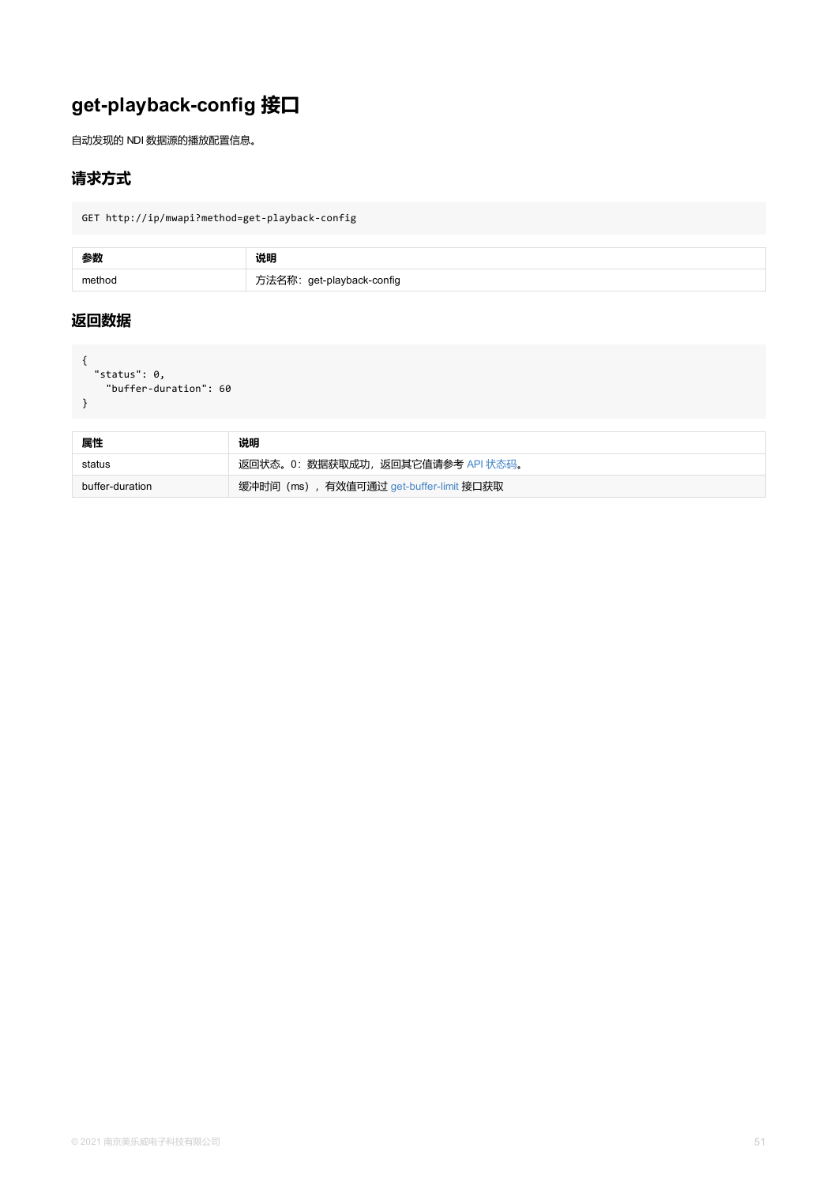<span id="page-50-0"></span>

| 属性              | 说明                                      |
|-----------------|-----------------------------------------|
| status          | 返回状态。0: 数据获取成功, 返回其它值请参考 API 状态码。       |
| buffer-duration | 缓冲时间 (ms), 有效值可通过 get-buffer-limit 接口获取 |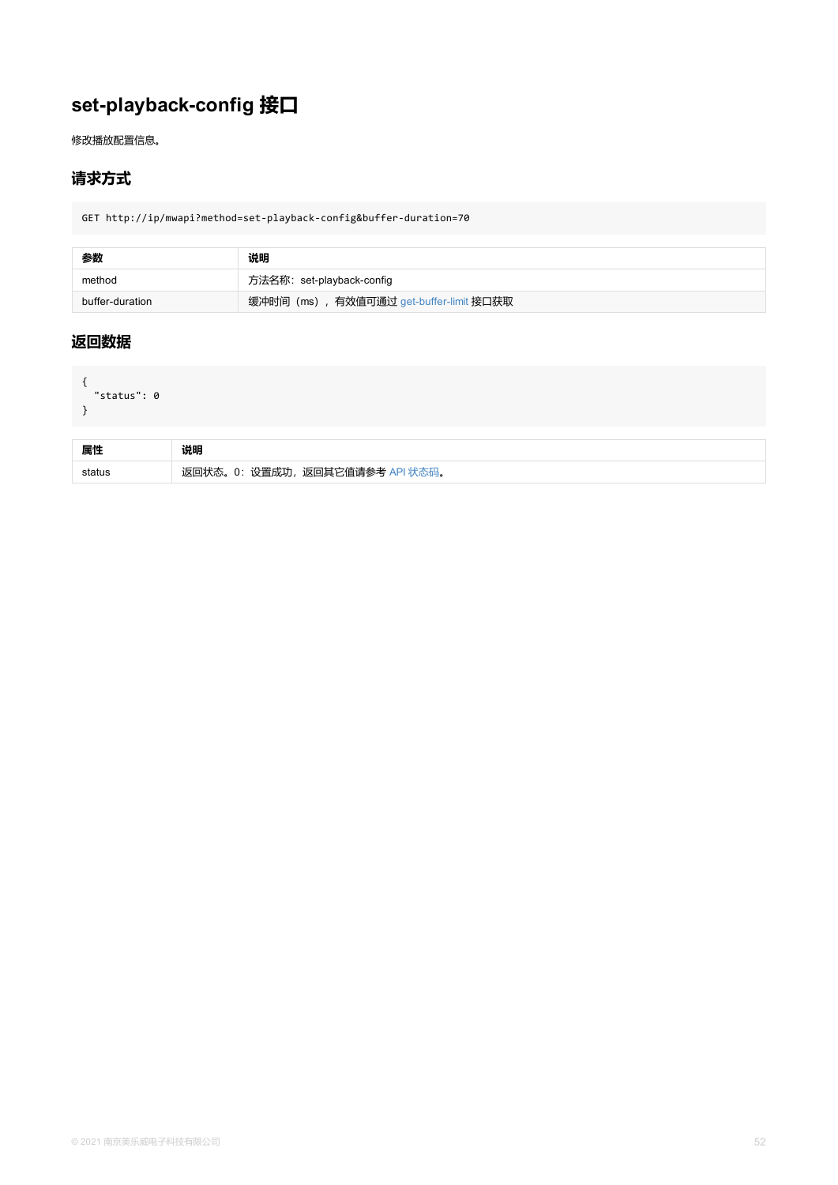```
status . U
}
```

| 属性     | 说明                              |
|--------|---------------------------------|
| status | 返回状态。0: 设置成功, 返回其它值请参考 API 状态码。 |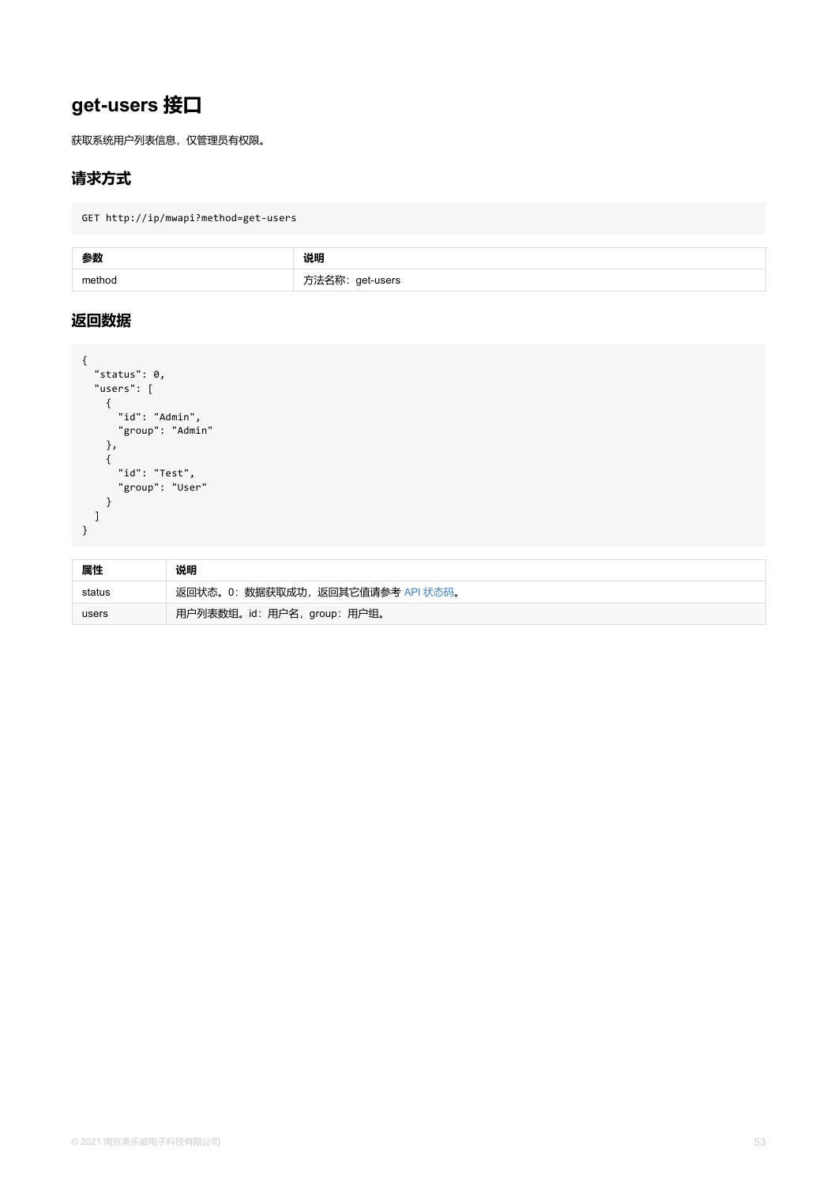```
{
     "id": "Admin",
    "group": "Admin"
   },
   {
    "id": "Test",
    "group": "User"
  }
 ]
}
```

| 属性     | 说明                                |
|--------|-----------------------------------|
| status | 返回状态。0: 数据获取成功, 返回其它值请参考 API 状态码。 |
| users  | 用户列表数组。id: 用户名, group: 用户组。       |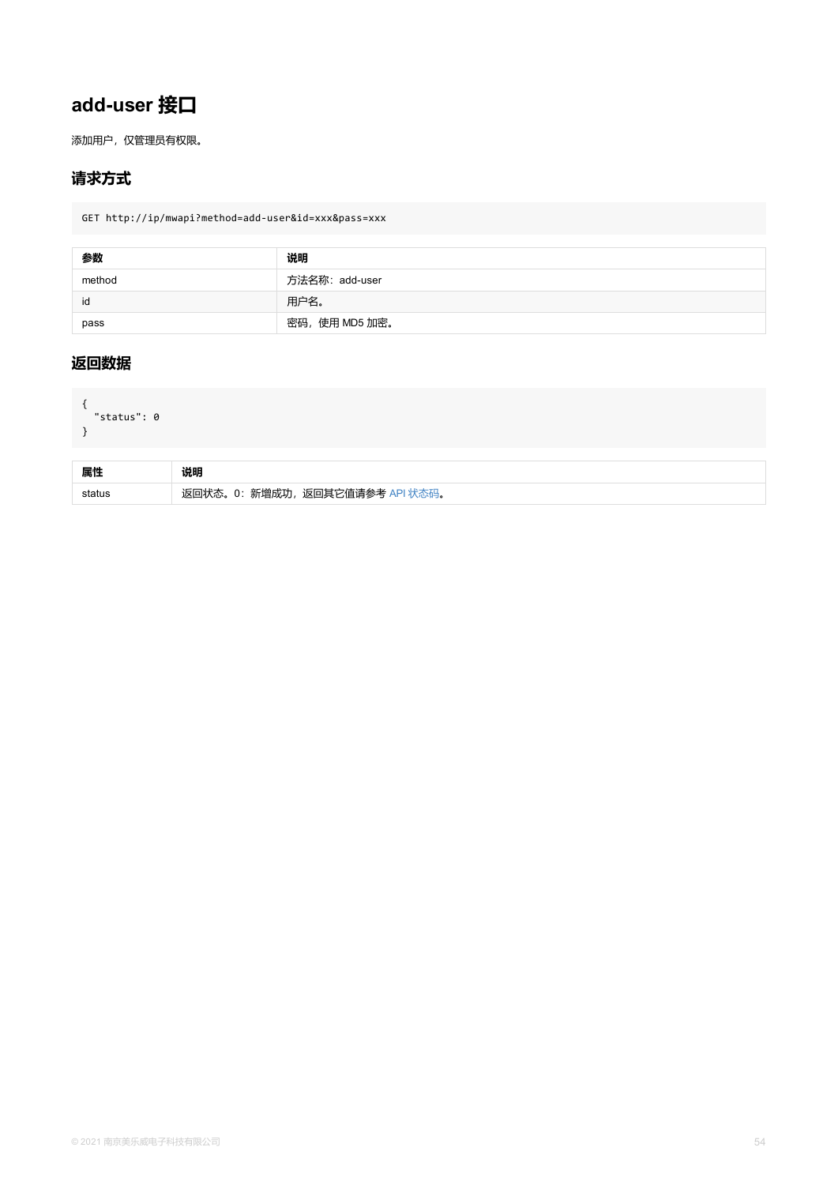```
{
"status": 0
}
```

| 属性     | 说明                              |
|--------|---------------------------------|
| status | 返回状态。0: 新增成功, 返回其它值请参考 API 状态码。 |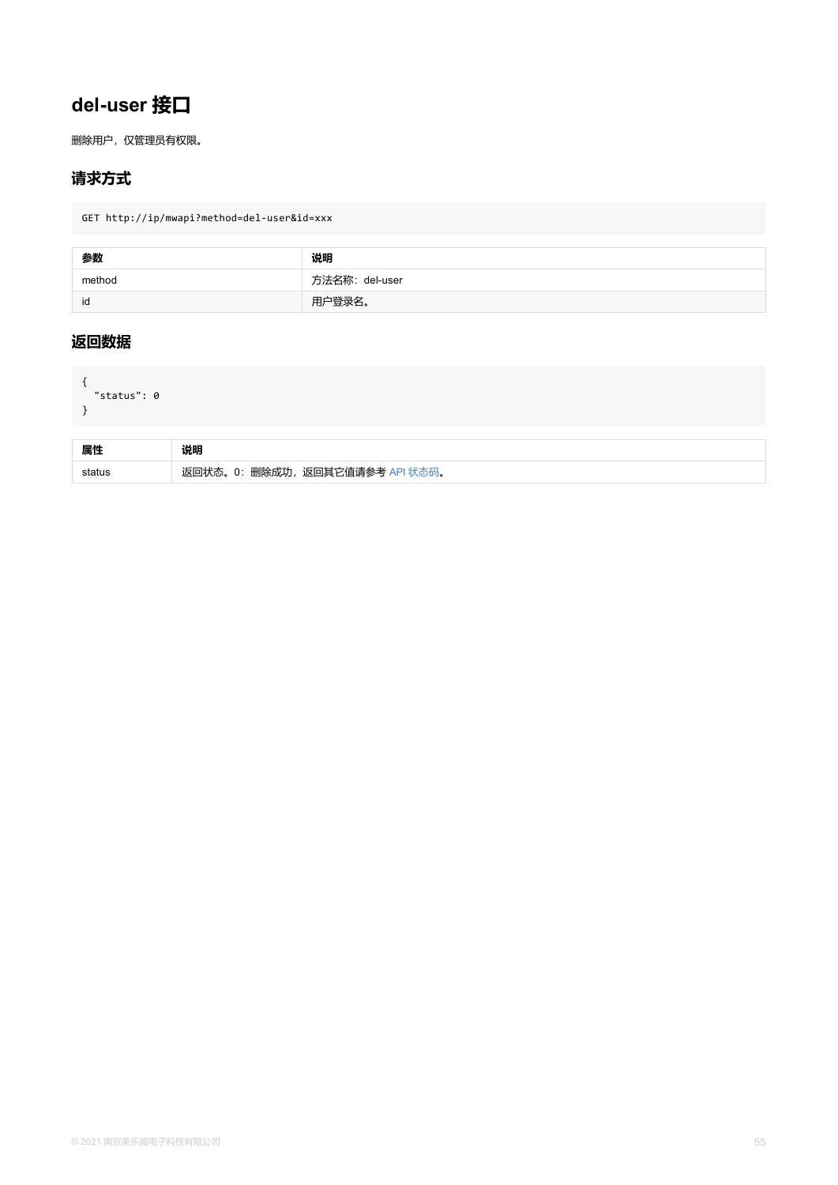```
status . U
}
```

| 属性     | 说明                              |
|--------|---------------------------------|
| status | 删除成功,<br>返回其它值请参考<br>0:<br>"状态。 |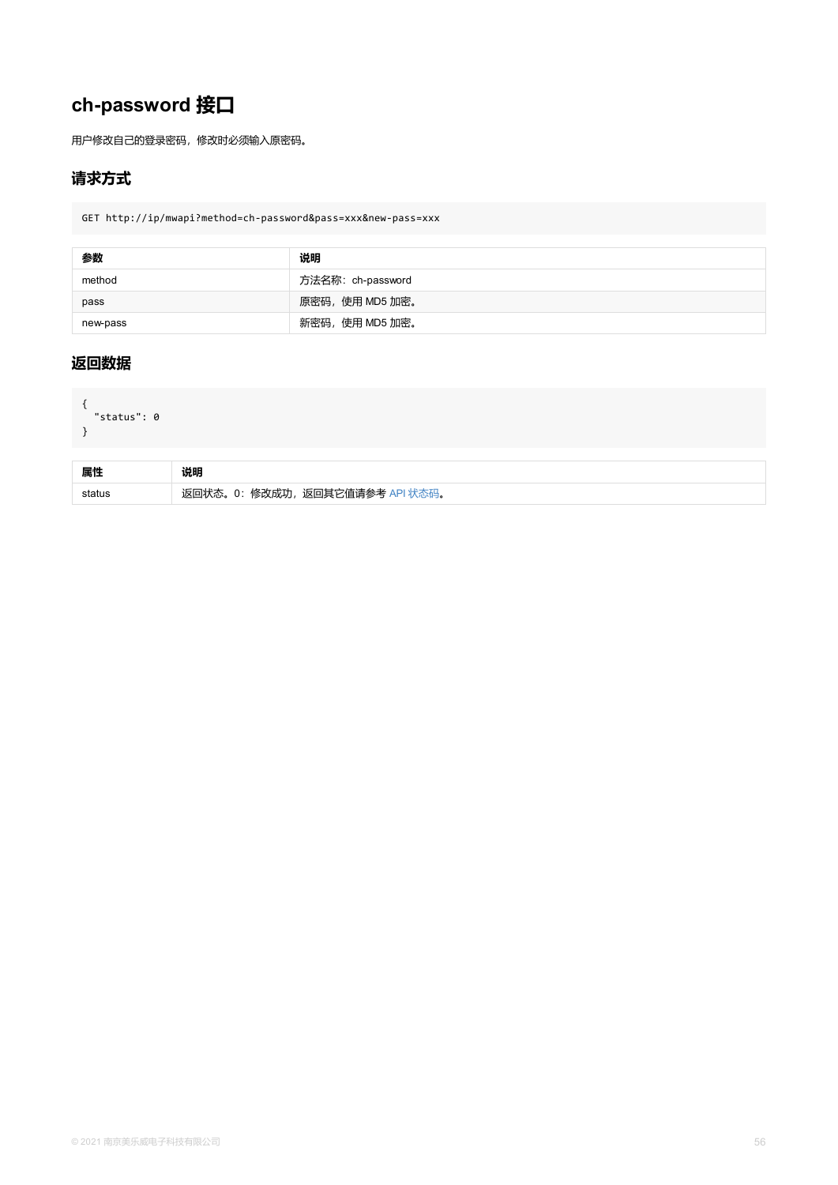```
{
"status": 0
}
```

| 属性     | 说明                              |
|--------|---------------------------------|
| status | 返回状态。0: 修改成功, 返回其它值请参考 API 状态码。 |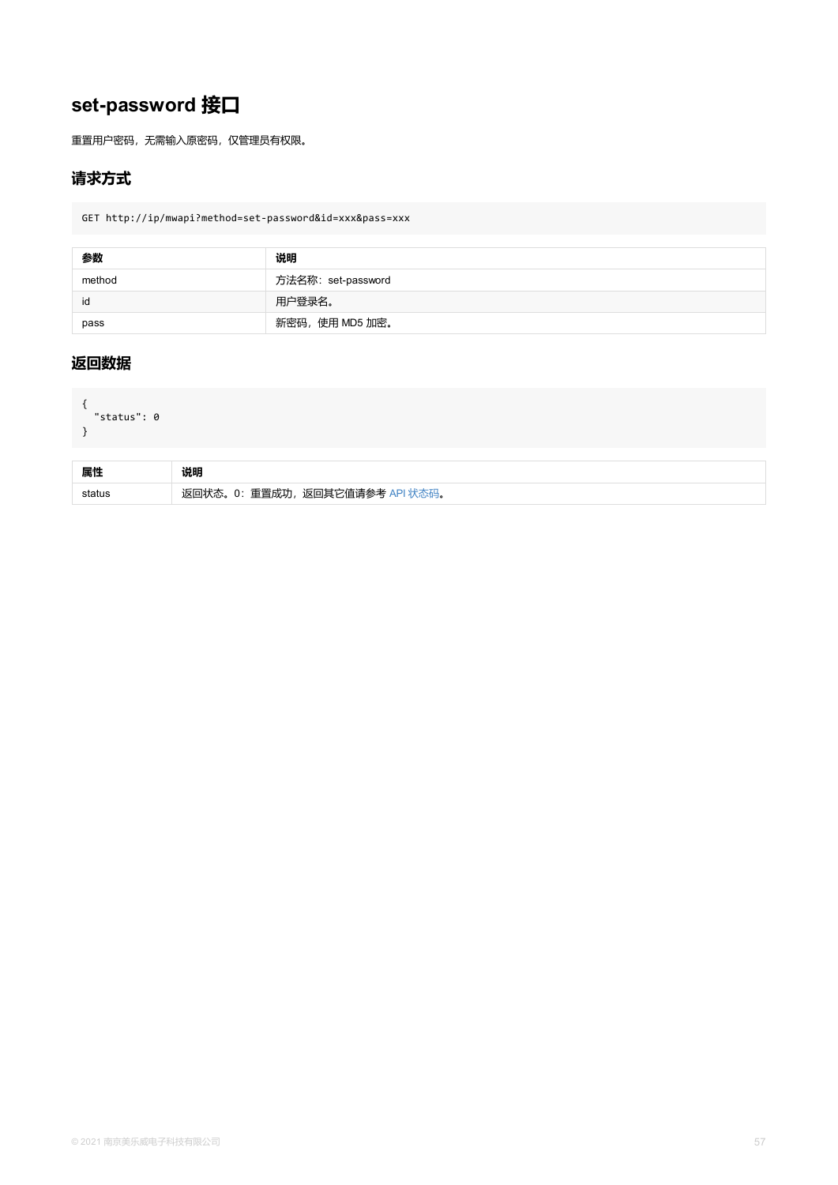```
{
"status": 0
}
```

| 属性     | 说明                              |
|--------|---------------------------------|
| status | 返回状态。0: 重置成功, 返回其它值请参考 API 状态码。 |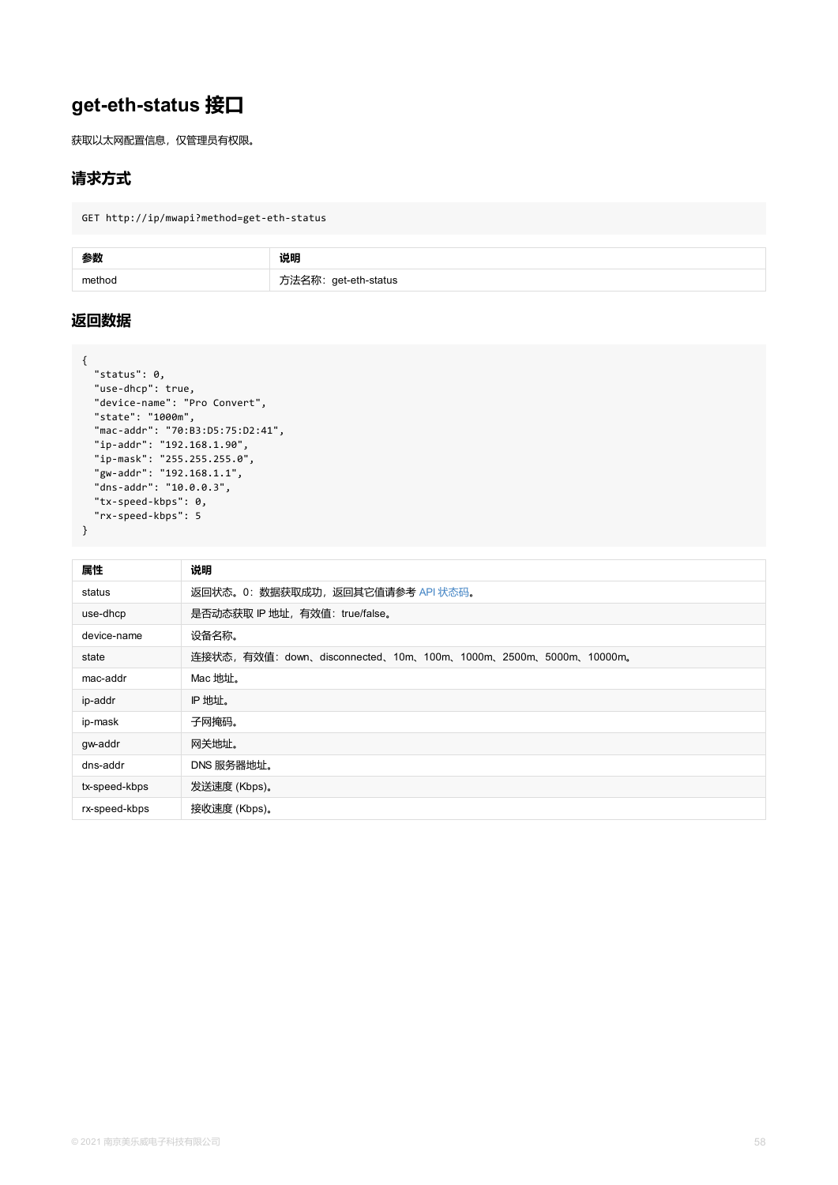```
"device-name": "Pro Convert",
  "state": "1000m",
  "mac-addr": "70:B3:D5:75:D2:41",
  "ip-addr": "192.168.1.90",
  "ip-mask": "255.255.255.0",
  "gw-addr": "192.168.1.1",
  "dns-addr": "10.0.0.3",
  "tx-speed-kbps": 0,
  "rx-speed-kbps": 5
}
```

| 属性            | 说明                                                           |  |
|---------------|--------------------------------------------------------------|--|
| status        | 返回状态。0: 数据获取成功, 返回其它值请参考 API 状态码。                            |  |
| use-dhcp      | 是否动态获取 IP 地址, 有效值: true/false。                               |  |
| device-name   | 设备名称。                                                        |  |
| state         | 连接状态, 有效值: down、disconnected、10m、100m、1000m、2500m、5000m、1000 |  |
| mac-addr      | Mac 地址。                                                      |  |
| ip-addr       | IP 地址。                                                       |  |
| ip-mask       | 子网掩码。                                                        |  |
| gw-addr       | 网关地址。                                                        |  |
| dns-addr      | DNS 服务器地址。                                                   |  |
| tx-speed-kbps | 发送速度 (Kbps)。                                                 |  |
| rx-speed-kbps | 接收速度 (Kbps)。                                                 |  |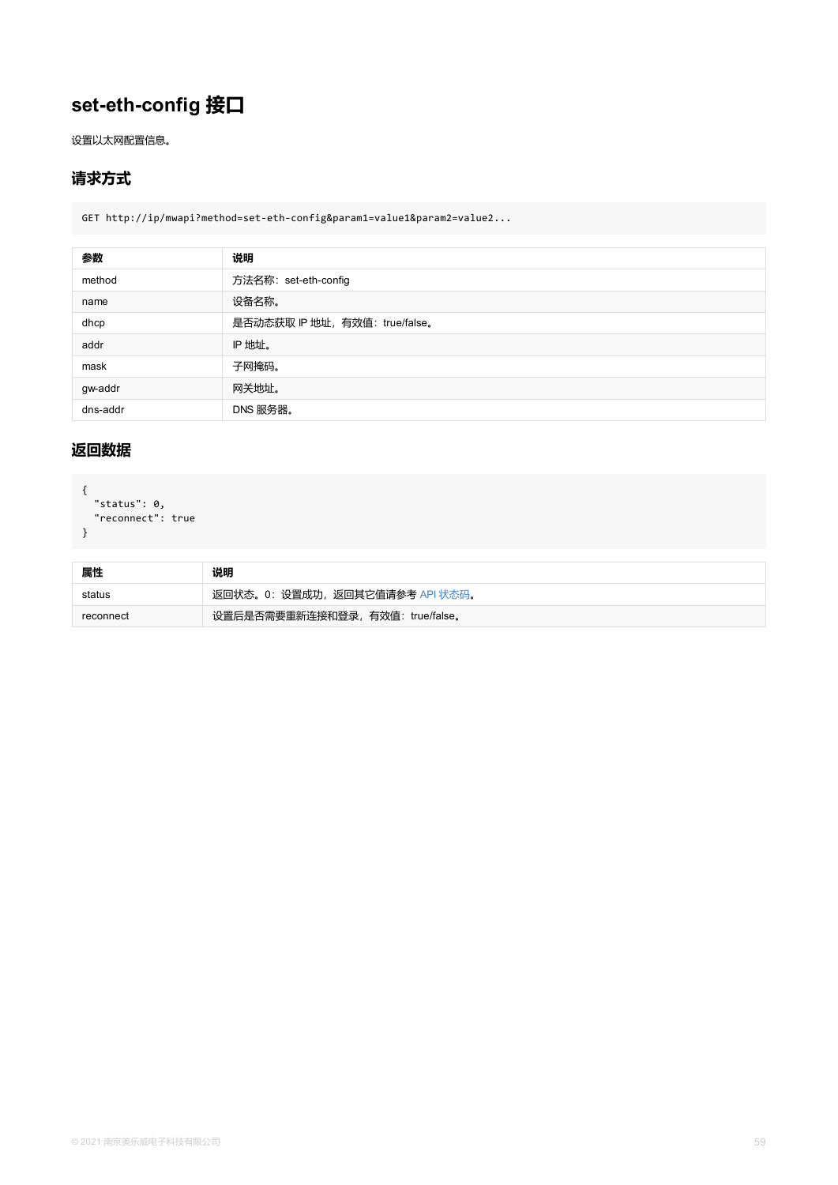dns-addr DNS 服务器。

```
{
 "status": 0,
"reconnect": true
}
```

| 属性        | 说明                               |
|-----------|----------------------------------|
| status    | 返回状态。0:设置成功,返回其它值请参考 API 状态码。    |
| reconnect | 设置后是否需要重新连接和登录, 有效值: true/false。 |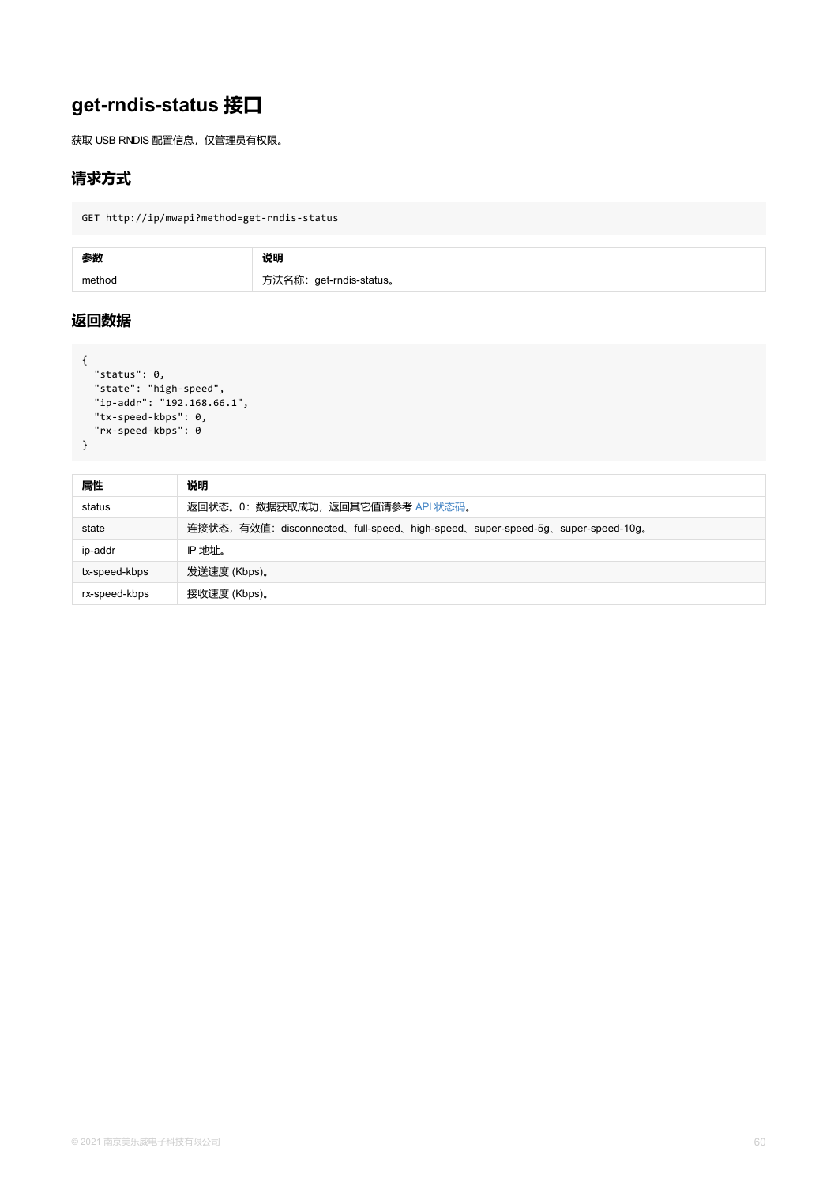```
"ip-addr": "192.168.66.1",
 "tx-speed-kbps": 0,
 "rx-speed-kbps": 0
}
```

| 属性            | 说明                                                                     |
|---------------|------------------------------------------------------------------------|
| status        | 返回状态。0: 数据获取成功, 返回其它值请参考 API 状态码。                                      |
| state         | 连接状态, 有效值: disconnected、full-speed、high-speed、super-speed-5g、super-spe |
| ip-addr       | IP 地址。                                                                 |
| tx-speed-kbps | 发送速度 (Kbps)。                                                           |
| rx-speed-kbps | 接收速度 (Kbps)。                                                           |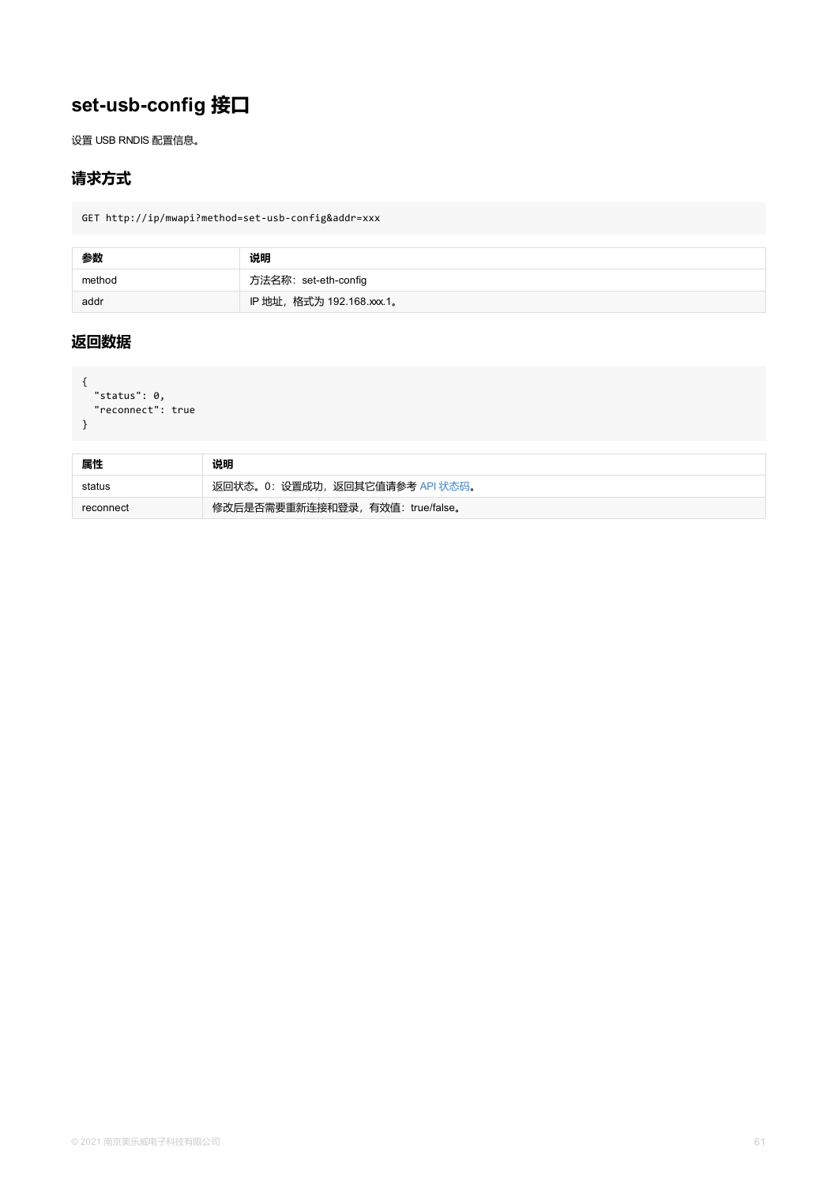```
status . v,
 "reconnect": true
}
```

| 属性        | 说明                               |
|-----------|----------------------------------|
| status    | 返回状态。0: 设置成功, 返回其它值请参考 API 状态码。  |
| reconnect | 修改后是否需要重新连接和登录, 有效值: true/false。 |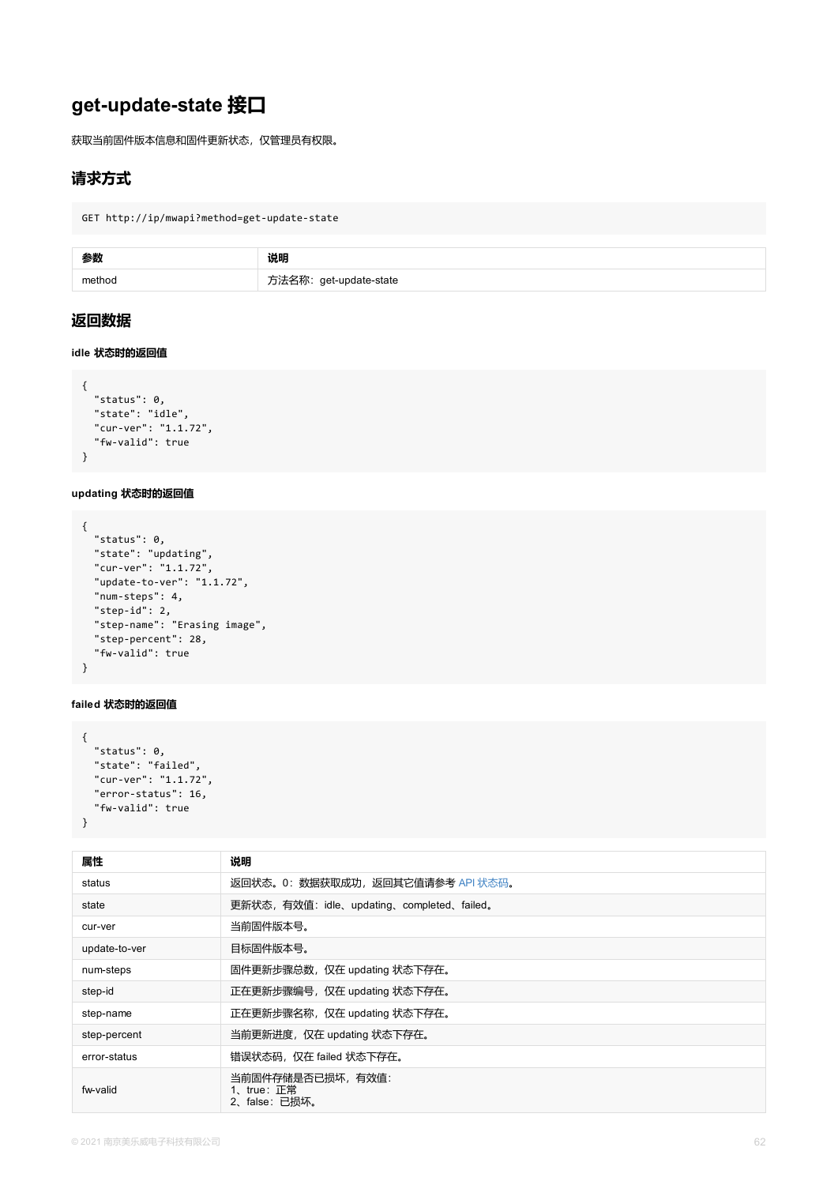```
"status": 0,
  "state": "idle",
  "cur-ver": "1.1.72",
  "fw-valid": true
}
```
**updating 状态时的返回值**

```
{
  "status": 0,
  "state": "updating",
  "cur-ver": "1.1.72",
  "update-to-ver": "1.1.72",
  "num-steps": 4,
  "step-id": 2,
  "step-name": "Erasing image",
  "step-percent": 28,
  "fw-valid": true
}
```
#### **failed 状态时的返回值**

```
{
 "status": 0,
  "state": "failed",
  "cur-ver": "1.1.72",
  "error-status": 16,
  "fw-valid": true
}
```

| 属性            | 说明                                             |
|---------------|------------------------------------------------|
| status        | 返回状态。0: 数据获取成功, 返回其它值请参考 API 状态码。              |
| state         | 更新状态, 有效值: idle、updating、completed、failed。     |
| cur-ver       | 当前固件版本号。                                       |
| update-to-ver | 目标固件版本号。                                       |
| num-steps     | 固件更新步骤总数, 仅在 updating 状态下存在。                   |
| step-id       | 正在更新步骤编号, 仅在 updating 状态下存在。                   |
| step-name     | 正在更新步骤名称, 仅在 updating 状态下存在。                   |
| step-percent  | 当前更新进度,仅在 updating 状态下存在。                      |
| error-status  | 错误状态码, 仅在 failed 状态下存在。                        |
| fw-valid      | 当前固件存储是否已损坏,有效值:<br>1、true: 正常<br>2、false:已损坏。 |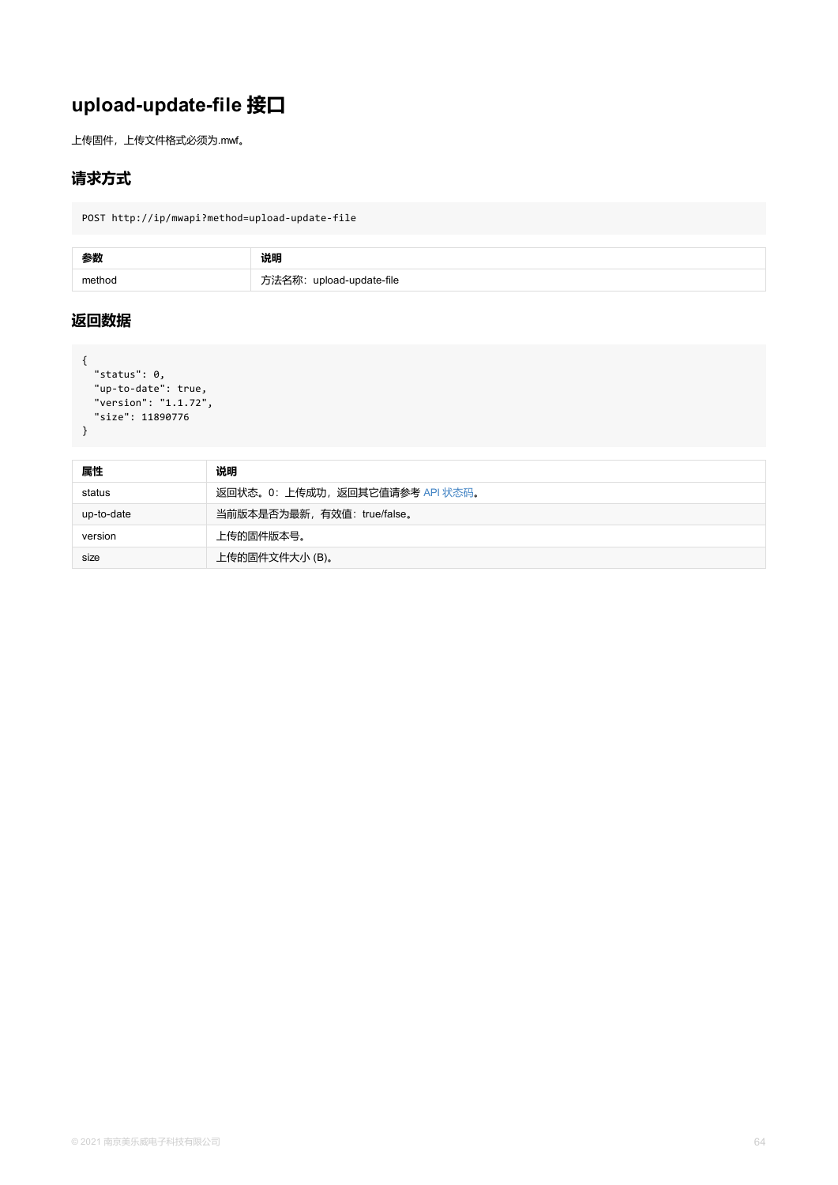```
"version": "1.1.72",
"size": 11890776
}
```

| 属性         | 说明                              |
|------------|---------------------------------|
| status     | 返回状态。0: 上传成功, 返回其它值请参考 API 状态码。 |
| up-to-date | 当前版本是否为最新, 有效值: true/false。     |
| version    | 上传的固件版本号。                       |
| size       | 上传的固件文件大小(B)。                   |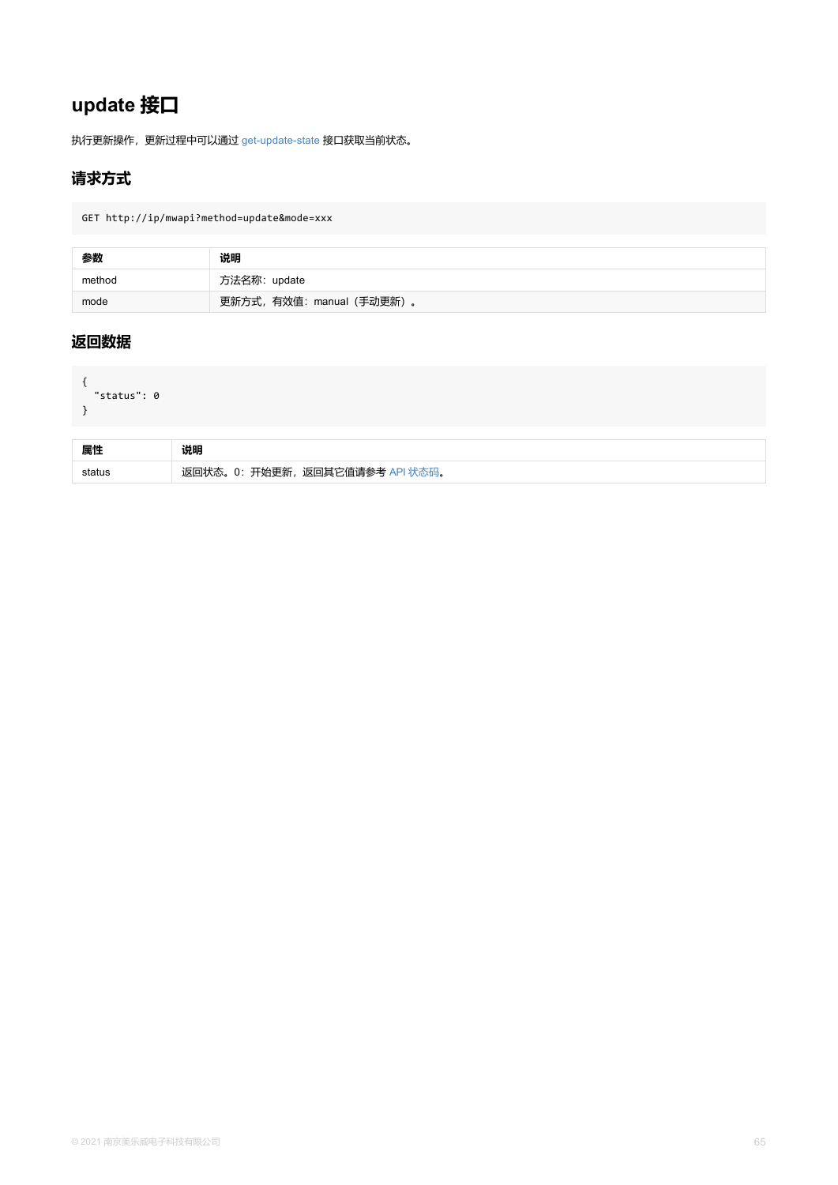```
status . U
}
```

| 属性     | 说明                                          |
|--------|---------------------------------------------|
| status | 开始更新<br>返回其它值请参考<br>$\mathbf{U}$ .<br>متشائ |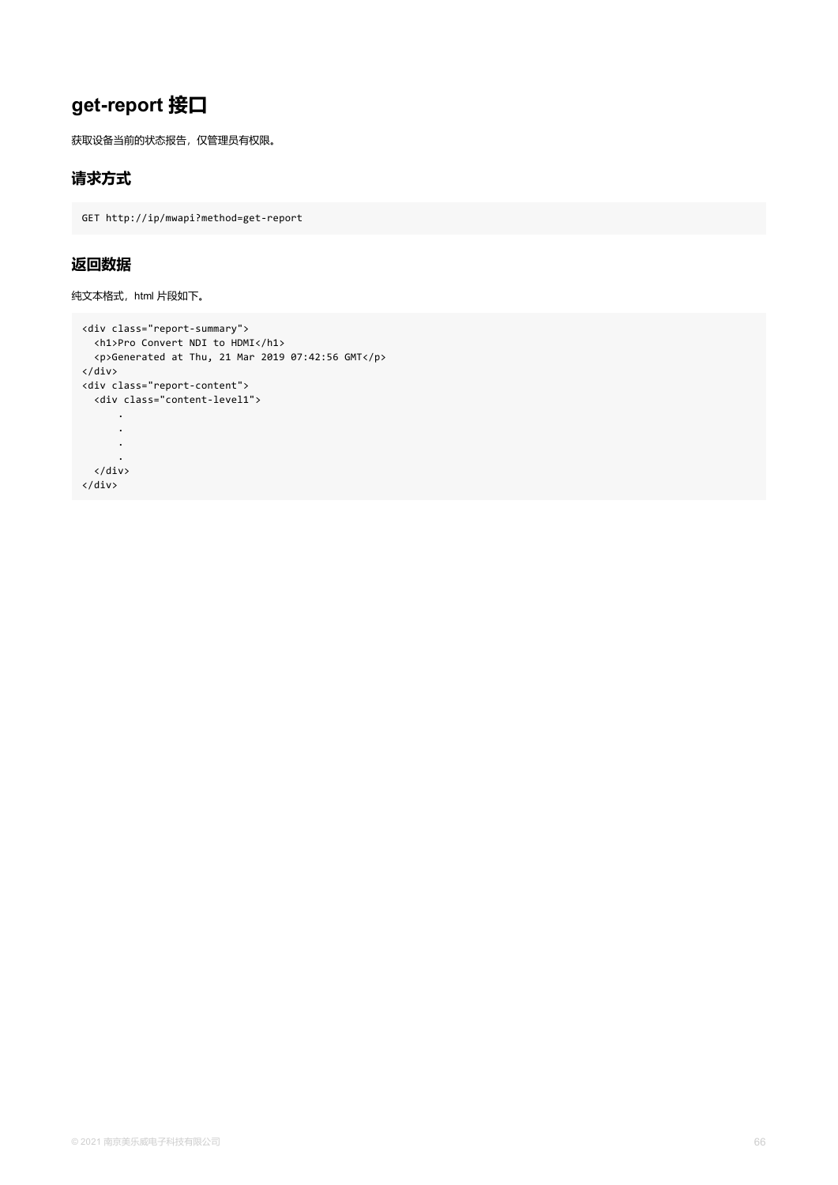# **get-report 接口**

获取设备当前的状态报告,仅管理员有权限。

### **请求方式**

GET http://ip/mwapi?method=get-report

### **返回数据**

纯文本格式, html 片段如下。

```
<div class="report-summary">
 <h1>Pro Convert NDI to HDMI</h1>
 <p>Generated at Thu, 21 Mar 2019 07:42:56 GMT</p>
</div>
<div class="report-content">
 <div class="content-level1">
      .
      .
      .
      .
 </div>
</div>
```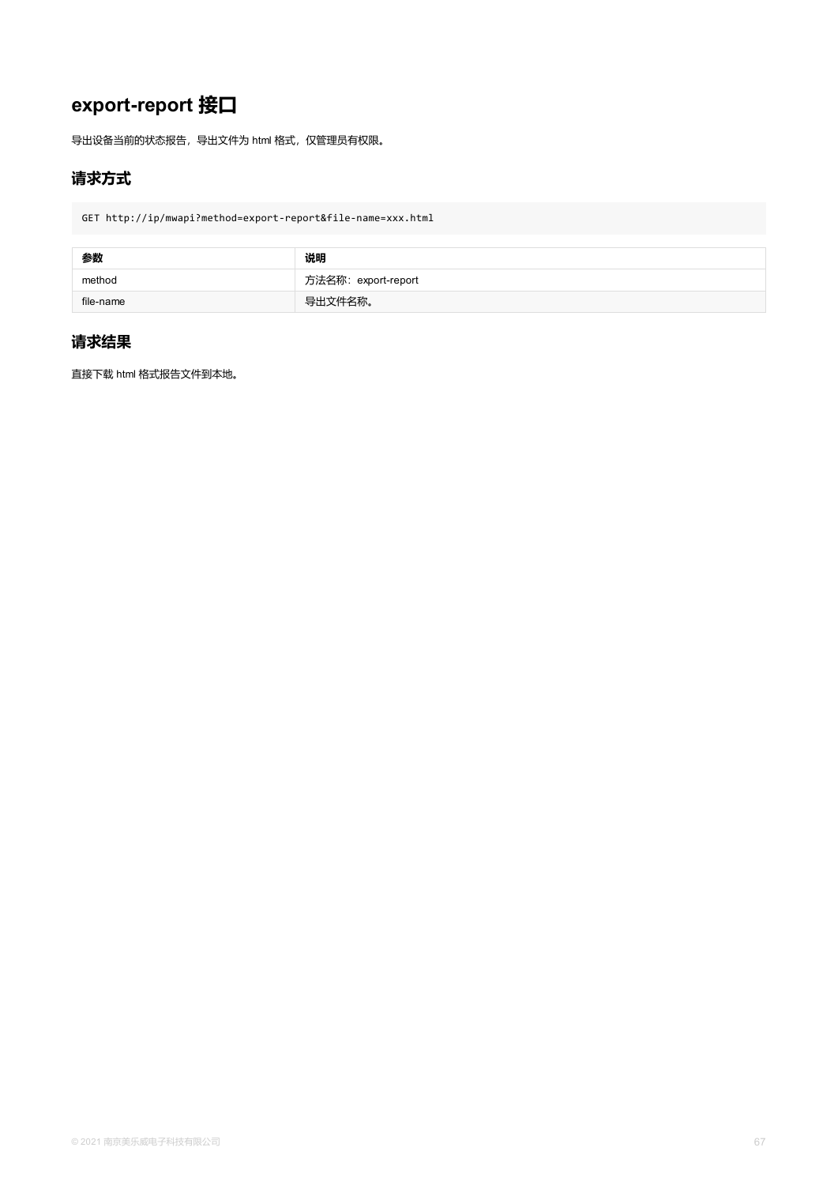# **export-report 接口**

导出设备当前的状态报告,导出文件为 html 格式,仅管理员有权限。

## **请求方式**

GET http://ip/mwapi?method=export-report&file-name=xxx.html

| 参数        | 说明                  |
|-----------|---------------------|
| method    | 方法名称: export-report |
| file-name | 导出文件名称。             |

### **请求结果**

直接下载 html 格式报告文件到本地。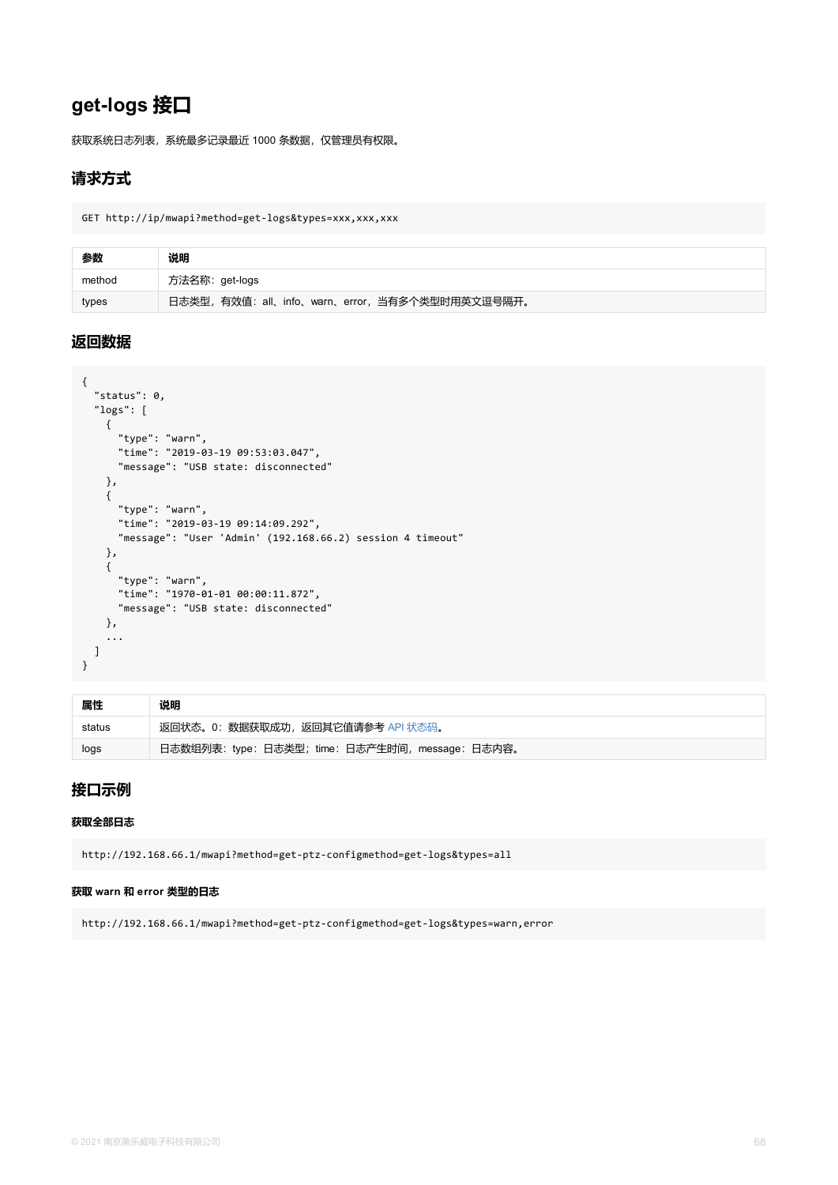```
status . v<sub>j</sub>
  "logs": [
    {
      "type": "warn",
      "time": "2019-03-19 09:53:03.047",
      "message": "USB state: disconnected"
    },
    {
      "type": "warn",
      "time": "2019-03-19 09:14:09.292",
      "message": "User 'Admin' (192.168.66.2) session 4 timeout"
    },
    {
      "type": "warn",
      "time": "1970-01-01 00:00:11.872",
      "message": "USB state: disconnected"
    },
    ...
  ]
}
```

| 属性     | 说明                                               |
|--------|--------------------------------------------------|
| status | 返回状态。0: 数据获取成功, 返回其它值请参考 API 状态码。                |
| logs   | 日志数组列表: type: 日志类型; time: 日志产生时间, message: 日志内容。 |

### **接口示例**

#### **获取全部日志**

http://192.168.66.1/mwapi?method=get-ptz-configmethod=get-logs&types=all

#### **获取 warn 和 error 类型的日志**

http://192.168.66.1/mwapi?method=get-ptz-configmethod=get-logs&types=warn,error